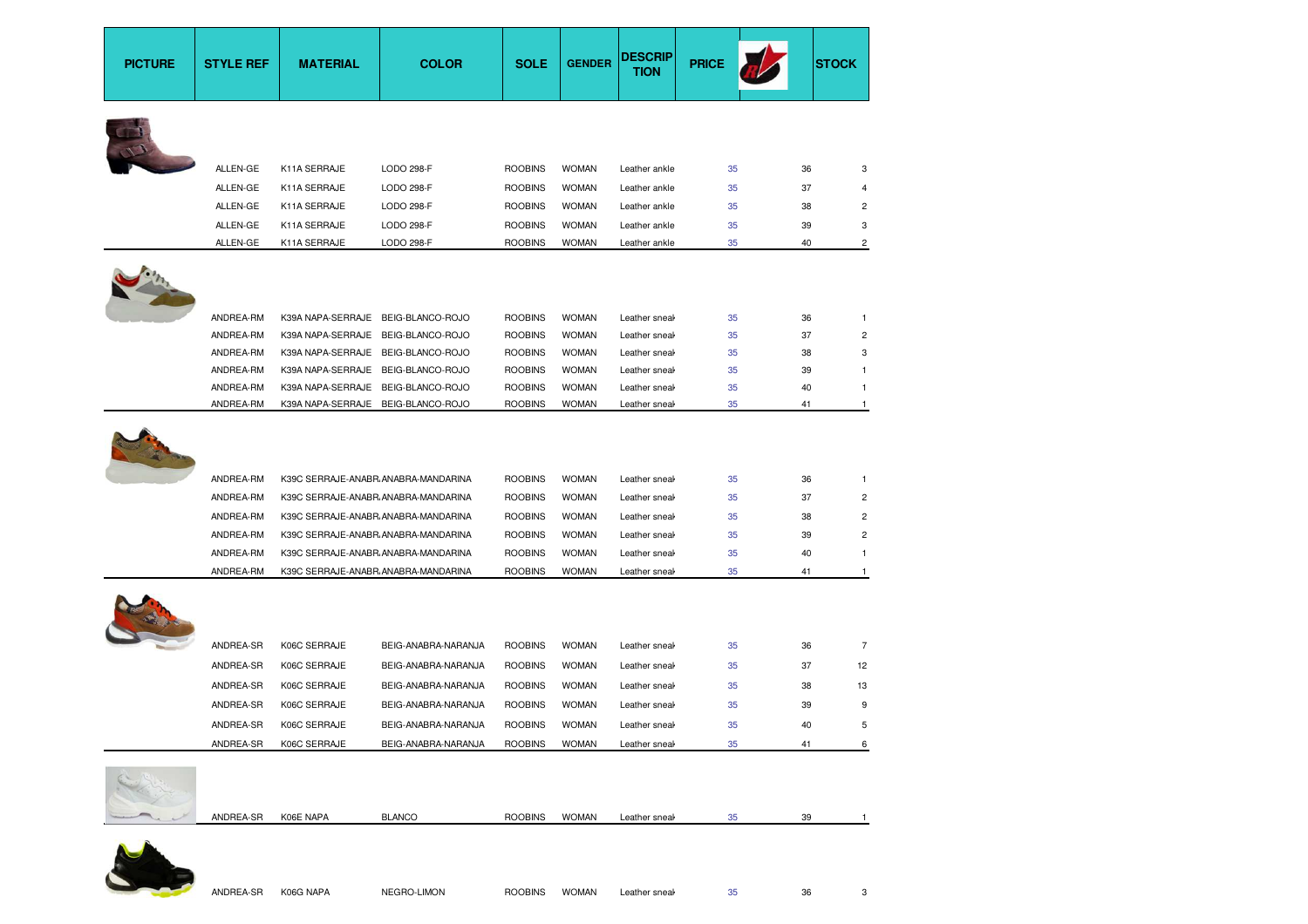| <b>PICTURE</b> | <b>STYLE REF</b>                                                           | <b>MATERIAL</b>                                                                                                                                                                                                                        | <b>COLOR</b>        | <b>SOLE</b>                                                                                              | <b>GENDER</b>                                                                                | <b>DESCRIP</b><br><b>TION</b>                                                                      | <b>PRICE</b>                     |                                  | <b>STOCK</b>                          |
|----------------|----------------------------------------------------------------------------|----------------------------------------------------------------------------------------------------------------------------------------------------------------------------------------------------------------------------------------|---------------------|----------------------------------------------------------------------------------------------------------|----------------------------------------------------------------------------------------------|----------------------------------------------------------------------------------------------------|----------------------------------|----------------------------------|---------------------------------------|
|                |                                                                            |                                                                                                                                                                                                                                        |                     |                                                                                                          |                                                                                              |                                                                                                    |                                  |                                  |                                       |
|                | ALLEN-GE                                                                   | K11A SERRAJE                                                                                                                                                                                                                           | LODO 298-F          | <b>ROOBINS</b>                                                                                           | <b>WOMAN</b>                                                                                 | Leather ankle                                                                                      | 35                               | 36                               | 3                                     |
|                | ALLEN-GE                                                                   | K11A SERRAJE                                                                                                                                                                                                                           | LODO 298-F          | <b>ROOBINS</b>                                                                                           | <b>WOMAN</b>                                                                                 | Leather ankle                                                                                      | 35                               | 37                               | 4                                     |
|                | ALLEN-GE                                                                   | K11A SERRAJE                                                                                                                                                                                                                           | LODO 298-F          | <b>ROOBINS</b>                                                                                           | <b>WOMAN</b>                                                                                 | Leather ankle                                                                                      | 35                               | 38                               | 2                                     |
|                | ALLEN-GE                                                                   | K11A SERRAJE                                                                                                                                                                                                                           | LODO 298-F          | <b>ROOBINS</b>                                                                                           | <b>WOMAN</b>                                                                                 | Leather ankle                                                                                      | 35                               | 39                               | 3                                     |
|                | ALLEN-GE                                                                   | K11A SERRAJE                                                                                                                                                                                                                           | <b>LODO 298-F</b>   | <b>ROOBINS</b>                                                                                           | <b>WOMAN</b>                                                                                 | Leather ankle                                                                                      | 35                               | 40                               | 2                                     |
|                |                                                                            |                                                                                                                                                                                                                                        |                     |                                                                                                          |                                                                                              |                                                                                                    |                                  |                                  |                                       |
|                | ANDREA-RM                                                                  | K39A NAPA-SERRAJE BEIG-BLANCO-ROJO                                                                                                                                                                                                     |                     | <b>ROOBINS</b>                                                                                           | <b>WOMAN</b>                                                                                 | Leather sneal                                                                                      | 35                               | 36                               | $\mathbf{1}$                          |
|                | ANDREA-RM                                                                  | K39A NAPA-SERRAJE BEIG-BLANCO-ROJO                                                                                                                                                                                                     |                     | <b>ROOBINS</b>                                                                                           | <b>WOMAN</b>                                                                                 | Leather sneal                                                                                      | 35                               | 37                               | $\overline{c}$                        |
|                | ANDREA-RM                                                                  | K39A NAPA-SERRAJE BEIG-BLANCO-ROJO<br>K39A NAPA-SERRAJE BEIG-BLANCO-ROJO                                                                                                                                                               |                     | <b>ROOBINS</b><br><b>ROOBINS</b>                                                                         | <b>WOMAN</b><br><b>WOMAN</b>                                                                 | Leather sneal                                                                                      | 35<br>35                         | 38<br>39                         | 3<br>1                                |
|                | ANDREA-RM<br>ANDREA-RM                                                     | K39A NAPA-SERRAJE BEIG-BLANCO-ROJO                                                                                                                                                                                                     |                     | <b>ROOBINS</b>                                                                                           | <b>WOMAN</b>                                                                                 | Leather sneal<br>Leather sneal                                                                     | 35                               | 40                               | 1                                     |
|                | ANDREA-RM                                                                  | K39A NAPA-SERRAJE BEIG-BLANCO-ROJO                                                                                                                                                                                                     |                     | <b>ROOBINS</b>                                                                                           | <b>WOMAN</b>                                                                                 | Leather sneak                                                                                      | 35                               | 41                               | $\mathbf{1}$                          |
|                | ANDREA-RM<br>ANDREA-RM<br>ANDREA-RM<br>ANDREA-RM<br>ANDREA-RM<br>ANDREA-RM | K39C SERRAJE-ANABR ANABRA-MANDARINA<br>K39C SERRAJE-ANABR ANABRA-MANDARINA<br>K39C SERRAJE-ANABR ANABRA-MANDARINA<br>K39C SERRAJE-ANABR ANABRA-MANDARINA<br>K39C SERRAJE-ANABR ANABRA-MANDARINA<br>K39C SERRAJE-ANABR ANABRA-MANDARINA |                     | <b>ROOBINS</b><br><b>ROOBINS</b><br><b>ROOBINS</b><br><b>ROOBINS</b><br><b>ROOBINS</b><br><b>ROOBINS</b> | <b>WOMAN</b><br><b>WOMAN</b><br><b>WOMAN</b><br><b>WOMAN</b><br><b>WOMAN</b><br><b>WOMAN</b> | Leather sneal<br>Leather sneal<br>Leather sneal<br>Leather sneal<br>Leather sneal<br>Leather sneal | 35<br>35<br>35<br>35<br>35<br>35 | 36<br>37<br>38<br>39<br>40<br>41 | 1<br>2<br>2<br>2<br>1<br>$\mathbf{1}$ |
|                | ANDREA-SR                                                                  | K06C SERRAJE                                                                                                                                                                                                                           | BEIG-ANABRA-NARANJA | <b>ROOBINS</b>                                                                                           | <b>WOMAN</b>                                                                                 | Leather sneal                                                                                      | 35                               | 36                               | $\overline{7}$                        |
|                | ANDREA-SR                                                                  | K06C SERRAJE                                                                                                                                                                                                                           | BEIG-ANABRA-NARANJA | <b>ROOBINS</b>                                                                                           | <b>WOMAN</b>                                                                                 | Leather sneal                                                                                      | 35                               | 37                               | 12                                    |
|                | ANDREA-SR                                                                  | K06C SERRAJE                                                                                                                                                                                                                           | BEIG-ANABRA-NARANJA | <b>ROOBINS</b>                                                                                           | <b>WOMAN</b>                                                                                 | Leather sneal                                                                                      | 35                               | 38                               | 13                                    |
|                | ANDREA-SR                                                                  | K06C SERRAJE                                                                                                                                                                                                                           | BEIG-ANABRA-NARANJA | <b>ROOBINS</b>                                                                                           | <b>WOMAN</b>                                                                                 | Leather sneal                                                                                      | 35                               | 39                               | 9                                     |
|                | ANDREA-SR                                                                  | K06C SERRAJE                                                                                                                                                                                                                           | BEIG-ANABRA-NARANJA | <b>ROOBINS</b>                                                                                           | <b>WOMAN</b>                                                                                 |                                                                                                    | 35                               |                                  |                                       |
|                | ANDREA-SR                                                                  | K06C SERRAJE                                                                                                                                                                                                                           | BEIG-ANABRA-NARANJA | <b>ROOBINS</b>                                                                                           | <b>WOMAN</b>                                                                                 | Leather sneak                                                                                      | 35                               | 41                               | 6                                     |
|                |                                                                            |                                                                                                                                                                                                                                        |                     |                                                                                                          |                                                                                              |                                                                                                    |                                  |                                  |                                       |
|                | ANDREA-SR                                                                  | K06E NAPA                                                                                                                                                                                                                              | <b>BLANCO</b>       | <b>ROOBINS</b>                                                                                           | <b>WOMAN</b>                                                                                 | Leather sneal                                                                                      | 35                               | 39                               | $\mathbf{1}$                          |

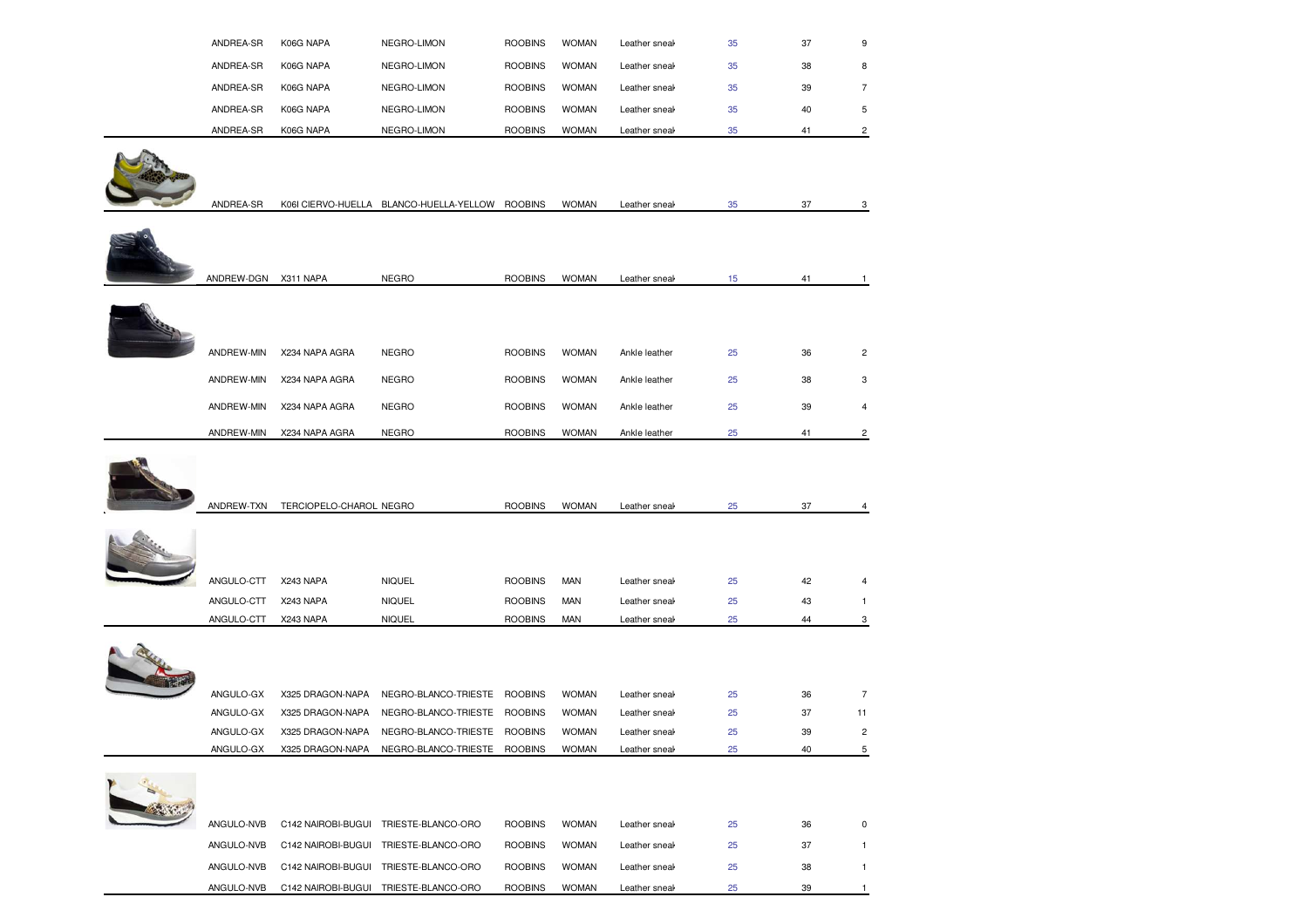|           |           |             |                |              |               | 35 |    |   |
|-----------|-----------|-------------|----------------|--------------|---------------|----|----|---|
| ANDREA-SR | K06G NAPA | NEGRO-LIMON | <b>ROOBINS</b> | <b>WOMAN</b> | Leather sneal |    | 41 | 2 |
| ANDREA-SR | K06G NAPA | NEGRO-LIMON | <b>ROOBINS</b> | <b>WOMAN</b> | Leather sneak | 35 | 40 | 5 |
| ANDREA-SR | K06G NAPA | NEGRO-LIMON | <b>ROOBINS</b> | <b>WOMAN</b> | Leather sneak | 35 | 39 |   |
| ANDREA-SR | K06G NAPA | NEGRO-LIMON | <b>ROOBINS</b> | <b>WOMAN</b> | Leather sneak | 35 | 38 | 8 |
| ANDREA-SR | K06G NAPA | NEGRO-LIMON | <b>ROOBINS</b> | <b>WOMAN</b> | Leather sneak | 35 | 37 | 9 |



| ANDREW-DGN<br>NEGRO<br>X311 NAPA<br><b>ROOBINS</b><br><b>WOMAN</b><br>15<br>Leather sneal             | 41 |                |
|-------------------------------------------------------------------------------------------------------|----|----------------|
| 25<br>ANDREW-MIN<br>X234 NAPA AGRA<br>NEGRO<br><b>ROOBINS</b><br><b>WOMAN</b><br>Ankle leather        | 36 | $\overline{2}$ |
| 25<br>ANDREW-MIN<br><b>WOMAN</b><br>X234 NAPA AGRA<br>NEGRO<br><b>ROOBINS</b><br>Ankle leather        | 38 | 3              |
| 25<br>ANDREW-MIN<br><b>NEGRO</b><br><b>WOMAN</b><br>X234 NAPA AGRA<br><b>ROOBINS</b><br>Ankle leather | 39 | 4              |
| <b>NEGRO</b><br><b>WOMAN</b><br>ANDREW-MIN<br>X234 NAPA AGRA<br><b>ROOBINS</b><br>25<br>Ankle leather | 41 | 2              |



| ANDREW-TXN | TERCIOPELO-CHAROL NEGRO |                      | <b>ROOBINS</b> | <b>WOMAN</b> | Leather sneak | 25 | 37 | 4              |
|------------|-------------------------|----------------------|----------------|--------------|---------------|----|----|----------------|
|            |                         |                      |                |              |               |    |    |                |
| ANGULO-CTT | X243 NAPA               | <b>NIQUEL</b>        | <b>ROOBINS</b> | MAN          | Leather sneak | 25 | 42 | 4              |
| ANGULO-CTT | X243 NAPA               | <b>NIQUEL</b>        | <b>ROOBINS</b> | MAN          | Leather sneal | 25 | 43 |                |
| ANGULO-CTT | X243 NAPA               | <b>NIQUEL</b>        | <b>ROOBINS</b> | <b>MAN</b>   | Leather sneak | 25 | 44 | 3              |
| ANGULO-GX  | X325 DRAGON-NAPA        | NEGRO-BLANCO-TRIESTE | <b>ROOBINS</b> | <b>WOMAN</b> | Leather sneak | 25 | 36 | $\overline{7}$ |
| ANGULO-GX  | X325 DRAGON-NAPA        | NEGRO-BLANCO-TRIESTE | <b>ROOBINS</b> | <b>WOMAN</b> | Leather sneal | 25 | 37 | 11             |
| ANGULO-GX  | X325 DRAGON-NAPA        | NEGRO-BLANCO-TRIESTE | <b>ROOBINS</b> | <b>WOMAN</b> | Leather sneak | 25 | 39 | 2              |
| ANGULO-GX  | X325 DRAGON-NAPA        | NEGRO-BLANCO-TRIESTE | <b>ROOBINS</b> | <b>WOMAN</b> | Leather sneal | 25 | 40 | 5              |



| ANGULO-NVB | C142 NAIROBI-BUGUI | TRIESTE-BLANCO-ORO | <b>ROOBINS</b> | <b>WOMAN</b> | Leather sneak | 25 | 36  |  |
|------------|--------------------|--------------------|----------------|--------------|---------------|----|-----|--|
| ANGULO-NVB | C142 NAIROBI-BUGUL | TRIESTE-BLANCO-ORO | <b>ROOBINS</b> | <b>WOMAN</b> | Leather sneak | 25 | 37  |  |
| ANGULO-NVB | C142 NAIROBI-BUGUI | TRIESTE-BLANCO-ORO | <b>ROOBINS</b> | <b>WOMAN</b> | Leather sneak | 25 | 38  |  |
| ANGULO-NVB | C142 NAIROBI-BUGUI | TRIESTE-BLANCO-ORO | <b>ROOBINS</b> | <b>WOMAN</b> | Leather sneal | 25 | -39 |  |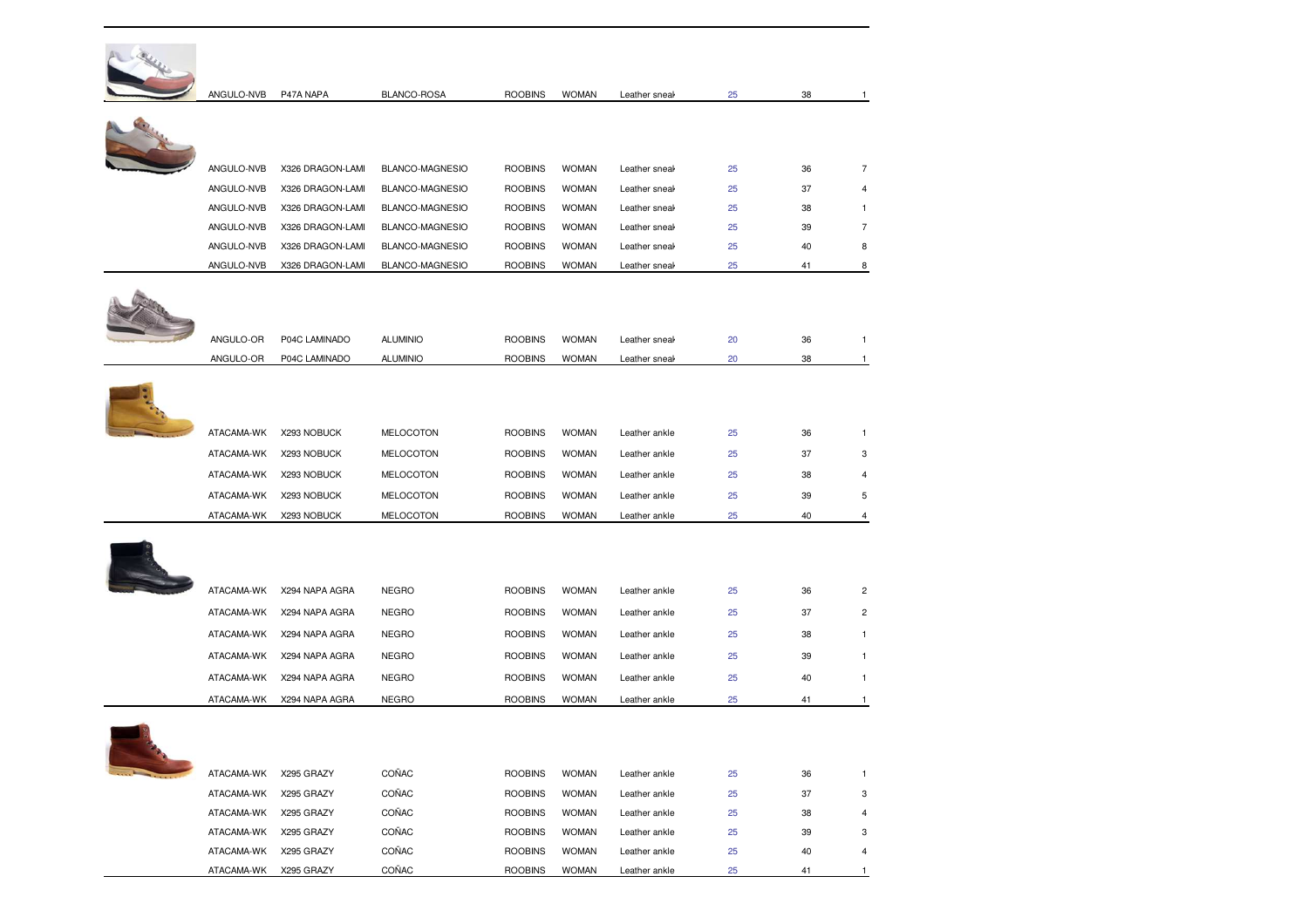| ANGULO-NVB | P47A NAPA        | BLANCO-ROSA      | <b>ROOBINS</b> | <b>WOMAN</b> | Leather sneal | 25 | 38 | $\mathbf{1}$   |
|------------|------------------|------------------|----------------|--------------|---------------|----|----|----------------|
|            |                  |                  |                |              |               |    |    |                |
|            |                  |                  |                |              |               |    |    |                |
| ANGULO-NVB | X326 DRAGON-LAMI | BLANCO-MAGNESIO  | <b>ROOBINS</b> | <b>WOMAN</b> | Leather sneal | 25 | 36 | $\overline{7}$ |
| ANGULO-NVB | X326 DRAGON-LAMI | BLANCO-MAGNESIO  | <b>ROOBINS</b> | <b>WOMAN</b> | Leather sneal | 25 | 37 | $\overline{4}$ |
| ANGULO-NVB | X326 DRAGON-LAMI | BLANCO-MAGNESIO  | <b>ROOBINS</b> | <b>WOMAN</b> | Leather sneal | 25 | 38 | 1              |
| ANGULO-NVB | X326 DRAGON-LAMI | BLANCO-MAGNESIO  | <b>ROOBINS</b> | <b>WOMAN</b> | Leather sneal | 25 | 39 | $\overline{7}$ |
| ANGULO-NVB | X326 DRAGON-LAMI | BLANCO-MAGNESIO  | <b>ROOBINS</b> | <b>WOMAN</b> | Leather sneal | 25 | 40 | 8              |
| ANGULO-NVB | X326 DRAGON-LAMI | BLANCO-MAGNESIO  | <b>ROOBINS</b> | <b>WOMAN</b> | Leather sneal | 25 | 41 | 8              |
|            |                  |                  |                |              |               |    |    |                |
|            |                  |                  |                |              |               |    |    |                |
| ANGULO-OR  | P04C LAMINADO    | <b>ALUMINIO</b>  | <b>ROOBINS</b> | <b>WOMAN</b> | Leather sneal | 20 | 36 | $\mathbf{1}$   |
| ANGULO-OR  | P04C LAMINADO    | <b>ALUMINIO</b>  | <b>ROOBINS</b> | <b>WOMAN</b> | Leather sneal | 20 | 38 | $\mathbf{1}$   |
|            |                  |                  |                |              |               |    |    |                |
|            |                  |                  |                |              |               |    |    |                |
|            |                  |                  |                |              |               |    |    |                |
| ATACAMA-WK | X293 NOBUCK      | <b>MELOCOTON</b> | <b>ROOBINS</b> | <b>WOMAN</b> | Leather ankle | 25 | 36 | $\mathbf{1}$   |
| ATACAMA-WK | X293 NOBUCK      | <b>MELOCOTON</b> | <b>ROOBINS</b> | <b>WOMAN</b> | Leather ankle | 25 | 37 | 3              |
| ATACAMA-WK | X293 NOBUCK      | MELOCOTON        | <b>ROOBINS</b> | <b>WOMAN</b> | Leather ankle | 25 | 38 | 4              |
| ATACAMA-WK | X293 NOBUCK      | <b>MELOCOTON</b> | <b>ROOBINS</b> | <b>WOMAN</b> | Leather ankle | 25 | 39 | 5              |
| ATACAMA-WK | X293 NOBUCK      | MELOCOTON        | <b>ROOBINS</b> | <b>WOMAN</b> | Leather ankle | 25 | 40 | 4              |
|            |                  |                  |                |              |               |    |    |                |
|            |                  |                  |                |              |               |    |    |                |
|            |                  |                  |                |              |               |    |    |                |
| ATACAMA-WK | X294 NAPA AGRA   | <b>NEGRO</b>     | <b>ROOBINS</b> | <b>WOMAN</b> | Leather ankle | 25 | 36 | $\overline{c}$ |
| ATACAMA-WK | X294 NAPA AGRA   | <b>NEGRO</b>     | <b>ROOBINS</b> | <b>WOMAN</b> | Leather ankle | 25 | 37 | $\overline{c}$ |
| ATACAMA-WK | X294 NAPA AGRA   | <b>NEGRO</b>     | <b>ROOBINS</b> | <b>WOMAN</b> | Leather ankle | 25 | 38 | 1              |
| ATACAMA-WK | X294 NAPA AGRA   | <b>NEGRO</b>     | <b>ROOBINS</b> | <b>WOMAN</b> | Leather ankle | 25 | 39 | 1              |
| ATACAMA-WK | X294 NAPA AGRA   | <b>NEGRO</b>     | <b>ROOBINS</b> | <b>WOMAN</b> | Leather ankle | 25 | 40 | 1              |
| ATACAMA-WK | X294 NAPA AGRA   | <b>NEGRO</b>     | <b>ROOBINS</b> | <b>WOMAN</b> | Leather ankle | 25 | 41 | -1             |
|            |                  |                  |                |              |               |    |    |                |
|            |                  |                  |                |              |               |    |    |                |
|            |                  |                  |                |              |               |    |    |                |
| ATACAMA-WK | X295 GRAZY       | COÑAC            | <b>ROOBINS</b> | <b>WOMAN</b> | Leather ankle | 25 | 36 | $\mathbf{1}$   |
| ATACAMA-WK | X295 GRAZY       | COÑAC            | <b>ROOBINS</b> | <b>WOMAN</b> | Leather ankle | 25 | 37 | 3              |
| ATACAMA-WK | X295 GRAZY       | COÑAC            | <b>ROOBINS</b> | <b>WOMAN</b> | Leather ankle | 25 | 38 | $\overline{4}$ |
| ATACAMA-WK | X295 GRAZY       | COÑAC            | <b>ROOBINS</b> | <b>WOMAN</b> | Leather ankle | 25 | 39 | 3              |
| ATACAMA-WK | X295 GRAZY       | COÑAC            | <b>ROOBINS</b> | <b>WOMAN</b> | Leather ankle | 25 | 40 | 4              |
| ATACAMA-WK | X295 GRAZY       | COÑAC            | <b>ROOBINS</b> | <b>WOMAN</b> | Leather ankle | 25 | 41 | 1              |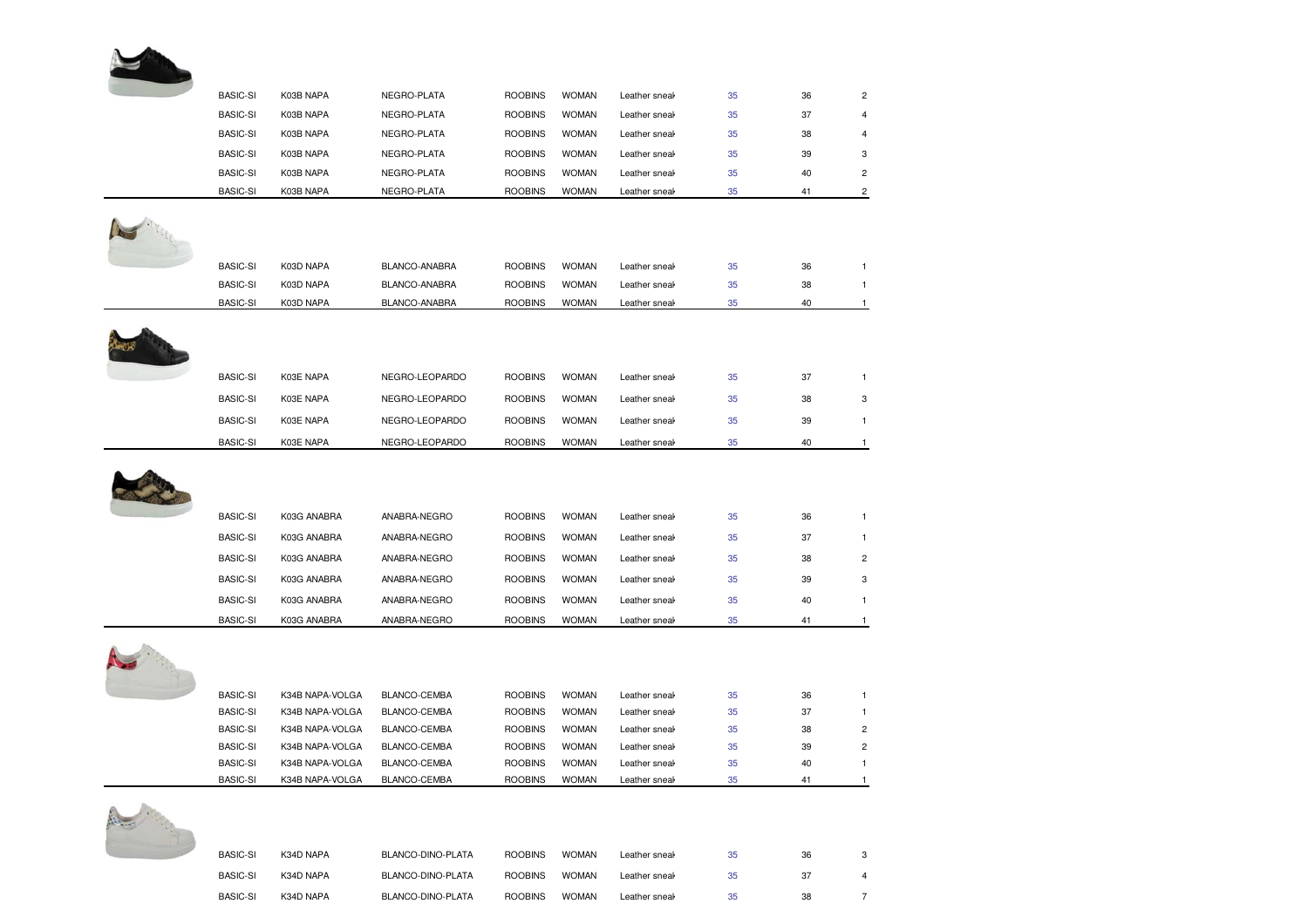| <b>BASIC-SI</b>                    | K03B NAPA                          | NEGRO-PLATA                  | <b>ROOBINS</b>                   | <b>WOMAN</b>                 | Leather sneal                  | 35       | 36       | $\overline{c}$                 |
|------------------------------------|------------------------------------|------------------------------|----------------------------------|------------------------------|--------------------------------|----------|----------|--------------------------------|
| <b>BASIC-SI</b>                    | K03B NAPA                          | NEGRO-PLATA                  | <b>ROOBINS</b>                   | <b>WOMAN</b>                 | Leather sneal                  | 35       | 37       | $\overline{a}$                 |
| <b>BASIC-SI</b>                    | K03B NAPA                          | NEGRO-PLATA                  | <b>ROOBINS</b>                   | <b>WOMAN</b>                 | Leather sneal                  | 35       | 38       | 4                              |
| <b>BASIC-SI</b>                    | K03B NAPA                          | NEGRO-PLATA                  | <b>ROOBINS</b>                   | <b>WOMAN</b>                 | Leather sneal                  | 35       | 39       | 3                              |
| <b>BASIC-SI</b>                    | K03B NAPA                          | NEGRO-PLATA                  | <b>ROOBINS</b>                   | <b>WOMAN</b>                 | Leather sneal                  | 35       | 40       | $\overline{c}$                 |
| <b>BASIC-SI</b>                    | K03B NAPA                          | NEGRO-PLATA                  | <b>ROOBINS</b>                   | <b>WOMAN</b>                 | Leather sneal                  | 35       | 41       | $\overline{c}$                 |
| <b>BASIC-SI</b>                    | K03D NAPA                          | BLANCO-ANABRA                | <b>ROOBINS</b>                   | <b>WOMAN</b>                 | Leather sneal                  | 35       | 36       | $\mathbf{1}$                   |
| <b>BASIC-SI</b>                    | K03D NAPA                          | BLANCO-ANABRA                | <b>ROOBINS</b>                   | <b>WOMAN</b>                 | Leather sneak                  | 35       | 38       | $\mathbf{1}$                   |
| <b>BASIC-SI</b>                    | K03D NAPA                          | BLANCO-ANABRA                | <b>ROOBINS</b>                   | <b>WOMAN</b>                 | Leather sneal                  | 35       | 40       | $\mathbf{1}$                   |
|                                    |                                    |                              |                                  |                              |                                |          |          |                                |
| <b>BASIC-SI</b>                    | K03E NAPA                          | NEGRO-LEOPARDO               | <b>ROOBINS</b>                   | <b>WOMAN</b>                 | Leather sneal                  | 35       | 37       | $\mathbf{1}$                   |
| <b>BASIC-SI</b>                    | K03E NAPA                          | NEGRO-LEOPARDO               | <b>ROOBINS</b>                   | <b>WOMAN</b>                 | Leather sneal                  | 35       | 38       | 3                              |
| <b>BASIC-SI</b>                    | K03E NAPA                          | NEGRO-LEOPARDO               | <b>ROOBINS</b>                   | <b>WOMAN</b>                 | Leather sneal                  | 35       | 39       | $\mathbf{1}$                   |
| <b>BASIC-SI</b>                    | K03E NAPA                          | NEGRO-LEOPARDO               | <b>ROOBINS</b>                   | <b>WOMAN</b>                 | Leather sneak                  | 35       | 40       | $\mathbf{1}$                   |
|                                    |                                    | ANABRA-NEGRO                 | <b>ROOBINS</b>                   | <b>WOMAN</b>                 | Leather sneak                  | 35       | 36       | $\mathbf{1}$                   |
| <b>BASIC-SI</b>                    | K03G ANABRA                        |                              |                                  |                              |                                |          |          |                                |
| <b>BASIC-SI</b>                    | K03G ANABRA                        | ANABRA-NEGRO                 | <b>ROOBINS</b>                   | <b>WOMAN</b>                 | Leather sneal                  | 35       | 37       | $\mathbf{1}$                   |
| <b>BASIC-SI</b>                    | K03G ANABRA                        | ANABRA-NEGRO                 | <b>ROOBINS</b>                   | <b>WOMAN</b>                 | Leather sneal                  | 35       | 38       | $\overline{c}$                 |
| <b>BASIC-SI</b>                    | K03G ANABRA                        | ANABRA-NEGRO                 | <b>ROOBINS</b>                   | <b>WOMAN</b>                 | Leather sneal                  | 35       | 39       | 3                              |
| <b>BASIC-SI</b>                    | K03G ANABRA                        | ANABRA-NEGRO                 | <b>ROOBINS</b>                   | <b>WOMAN</b>                 | Leather sneal                  | 35       | 40       | 1                              |
| <b>BASIC-SI</b>                    | K03G ANABRA                        | ANABRA-NEGRO                 | <b>ROOBINS</b>                   | <b>WOMAN</b>                 | Leather sneal                  | 35       | 41       | $\mathbf{1}$                   |
|                                    |                                    |                              |                                  |                              |                                |          |          |                                |
| <b>BASIC-SI</b>                    | K34B NAPA-VOLGA                    | BLANCO-CEMBA                 | <b>ROOBINS</b>                   | <b>WOMAN</b>                 | Leather sneal                  | 35       | 36       | 1                              |
| <b>BASIC-SI</b>                    | K34B NAPA-VOLGA                    | BLANCO-CEMBA                 | <b>ROOBINS</b>                   | <b>WOMAN</b>                 | Leather sneal                  | 35       | 37       | $\mathbf{1}$                   |
| <b>BASIC-SI</b>                    | K34B NAPA-VOLGA                    | BLANCO-CEMBA                 | <b>ROOBINS</b>                   | <b>WOMAN</b>                 | Leather sneal                  | 35       | 38       | $\overline{\mathbf{c}}$        |
| <b>BASIC-SI</b><br><b>BASIC-SI</b> | K34B NAPA-VOLGA<br>K34B NAPA-VOLGA | BLANCO-CEMBA<br>BLANCO-CEMBA | <b>ROOBINS</b><br><b>ROOBINS</b> | <b>WOMAN</b><br><b>WOMAN</b> | Leather sneal<br>Leather sneak | 35<br>35 | 39<br>40 | $\overline{c}$<br>$\mathbf{1}$ |

| <b>BASIC-SI</b> | K34D NAPA | BLANCO-DINO-PLATA | <b>ROOBINS</b> | <b>WOMAN</b> | Leather sneal <sub>t</sub> | 35 | 36 |  |
|-----------------|-----------|-------------------|----------------|--------------|----------------------------|----|----|--|
| <b>BASIC-SI</b> | K34D NAPA | BLANCO-DINO-PLATA | <b>ROOBINS</b> | <b>WOMAN</b> | Leather sneal              | 35 | 37 |  |
| <b>BASIC-SI</b> | K34D NAPA | BLANCO-DINO-PLATA | <b>ROOBINS</b> | <b>WOMAN</b> | Leather sneal              | 35 | 38 |  |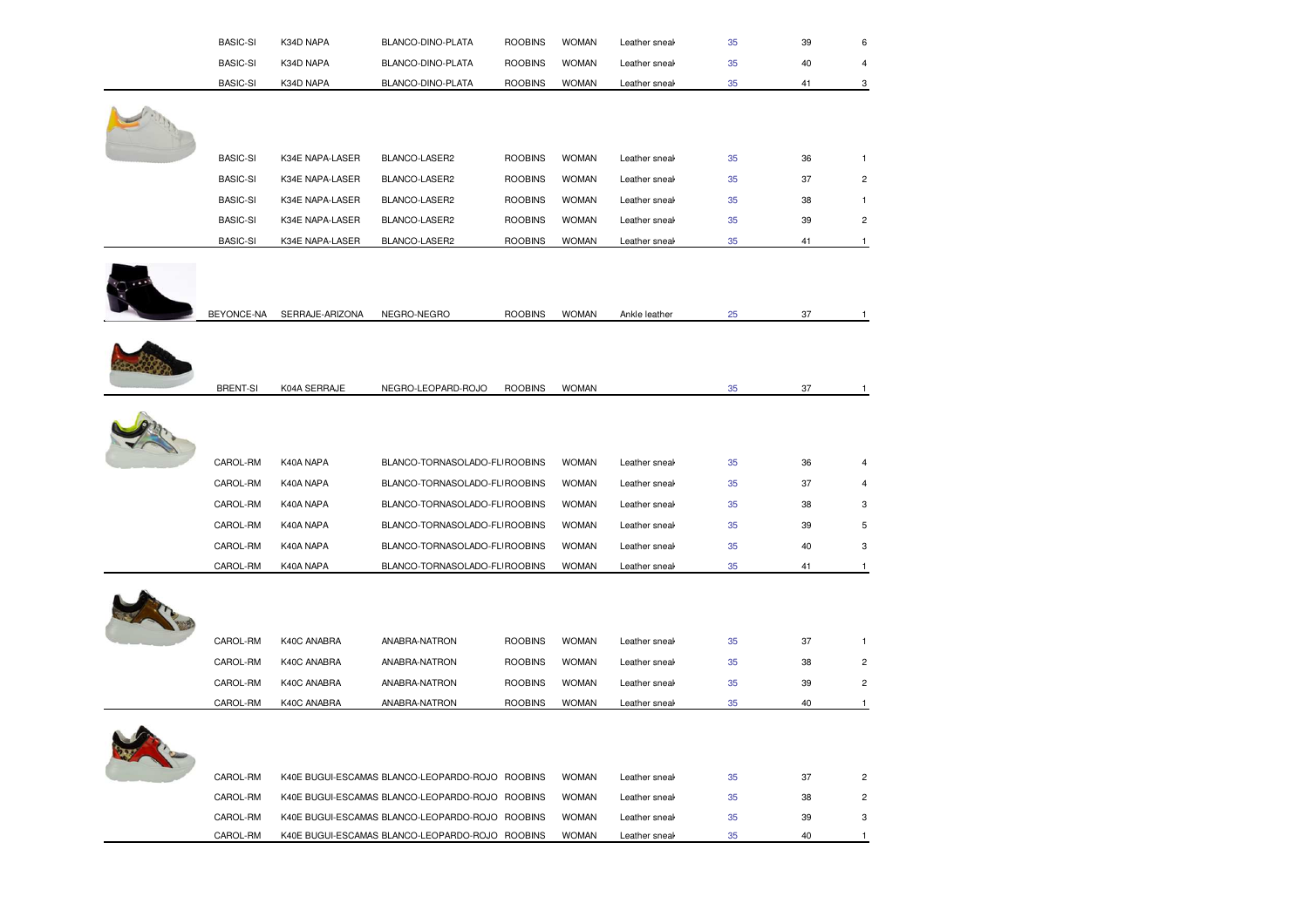| <b>BASIC-SI</b> | K34D NAPA       | BLANCO-DINO-PLATA                               | <b>ROOBINS</b> | <b>WOMAN</b> | Leather sneal | 35 | 39 | 6                       |
|-----------------|-----------------|-------------------------------------------------|----------------|--------------|---------------|----|----|-------------------------|
| <b>BASIC-SI</b> | K34D NAPA       | BLANCO-DINO-PLATA                               | <b>ROOBINS</b> | <b>WOMAN</b> | Leather sneal | 35 | 40 |                         |
| <b>BASIC-SI</b> | K34D NAPA       | BLANCO-DINO-PLATA                               | <b>ROOBINS</b> | <b>WOMAN</b> | Leather sneak | 35 | 41 | 3                       |
|                 |                 |                                                 |                |              |               |    |    |                         |
| <b>BASIC-SI</b> | K34E NAPA-LASER | BLANCO-LASER2                                   | <b>ROOBINS</b> | <b>WOMAN</b> | Leather sneal | 35 | 36 | $\mathbf{1}$            |
| <b>BASIC-SI</b> | K34E NAPA-LASER | BLANCO-LASER2                                   | <b>ROOBINS</b> | <b>WOMAN</b> | Leather sneak | 35 | 37 | $\overline{c}$          |
| <b>BASIC-SI</b> | K34E NAPA-LASER | BLANCO-LASER2                                   | <b>ROOBINS</b> | <b>WOMAN</b> | Leather sneal | 35 | 38 | 1                       |
| <b>BASIC-SI</b> | K34E NAPA-LASER | BLANCO-LASER2                                   | <b>ROOBINS</b> | <b>WOMAN</b> | Leather sneal | 35 | 39 | 2                       |
| <b>BASIC-SI</b> | K34E NAPA-LASER | BLANCO-LASER2                                   | <b>ROOBINS</b> | <b>WOMAN</b> | Leather sneal | 35 | 41 | $\overline{1}$          |
| BEYONCE-NA      | SERRAJE-ARIZONA | NEGRO-NEGRO                                     | <b>ROOBINS</b> | <b>WOMAN</b> | Ankle leather | 25 | 37 | $\mathbf{1}$            |
| <b>BRENT-SI</b> | K04A SERRAJE    | NEGRO-LEOPARD-ROJO                              | <b>ROOBINS</b> | <b>WOMAN</b> |               | 35 | 37 | $\mathbf{1}$            |
| CAROL-RM        | K40A NAPA       | BLANCO-TORNASOLADO-FLI ROOBINS                  |                | <b>WOMAN</b> | Leather sneal | 35 | 36 | 4                       |
| CAROL-RM        | K40A NAPA       | BLANCO-TORNASOLADO-FL ROOBINS                   |                | <b>WOMAN</b> | Leather sneal | 35 | 37 | 4                       |
| CAROL-RM        | K40A NAPA       | BLANCO-TORNASOLADO-FL ROOBINS                   |                | <b>WOMAN</b> | Leather sneal | 35 | 38 | 3                       |
| CAROL-RM        | K40A NAPA       | BLANCO-TORNASOLADO-FL ROOBINS                   |                | <b>WOMAN</b> | Leather sneal | 35 | 39 | 5                       |
| CAROL-RM        | K40A NAPA       | BLANCO-TORNASOLADO-FLI ROOBINS                  |                | <b>WOMAN</b> | Leather sneal | 35 | 40 | 3                       |
| CAROL-RM        | K40A NAPA       | BLANCO-TORNASOLADO-FLI ROOBINS                  |                | <b>WOMAN</b> | Leather sneal | 35 | 41 | $\mathbf{1}$            |
|                 |                 |                                                 |                |              |               |    |    |                         |
| CAROL-RM        | K40C ANABRA     | ANABRA-NATRON                                   | <b>ROOBINS</b> | <b>WOMAN</b> | Leather sneal | 35 | 37 | $\mathbf{1}$            |
| CAROL-RM        | K40C ANABRA     | ANABRA-NATRON                                   | <b>ROOBINS</b> | <b>WOMAN</b> | Leather sneal | 35 | 38 | 2                       |
| CAROL-RM        | K40C ANABRA     | ANABRA-NATRON                                   | <b>ROOBINS</b> | <b>WOMAN</b> | Leather sneal | 35 | 39 | $\overline{\mathbf{c}}$ |
| CAROL-RM        | K40C ANABRA     | ANABRA-NATRON                                   | <b>ROOBINS</b> | <b>WOMAN</b> | Leather sneal | 35 | 40 | $\mathbf{1}$            |
|                 |                 |                                                 |                |              |               |    |    |                         |
| CAROL-RM        |                 | K40E BUGUI-ESCAMAS BLANCO-LEOPARDO-ROJO ROOBINS |                | <b>WOMAN</b> | Leather sneal | 35 | 37 | $\overline{\mathbf{c}}$ |
| CAROL-RM        |                 | K40E BUGUI-ESCAMAS BLANCO-LEOPARDO-ROJO ROOBINS |                | <b>WOMAN</b> | Leather sneal | 35 | 38 | $\overline{2}$          |
| CAROL-RM        |                 | K40E BUGUI-ESCAMAS BLANCO-LEOPARDO-ROJO ROOBINS |                | <b>WOMAN</b> | Leather sneal | 35 | 39 | 3                       |
| CAROL-RM        |                 | K40E BUGUI-ESCAMAS BLANCO-LEOPARDO-ROJO ROOBINS |                | <b>WOMAN</b> | Leather sneak | 35 | 40 | $\mathbf{1}$            |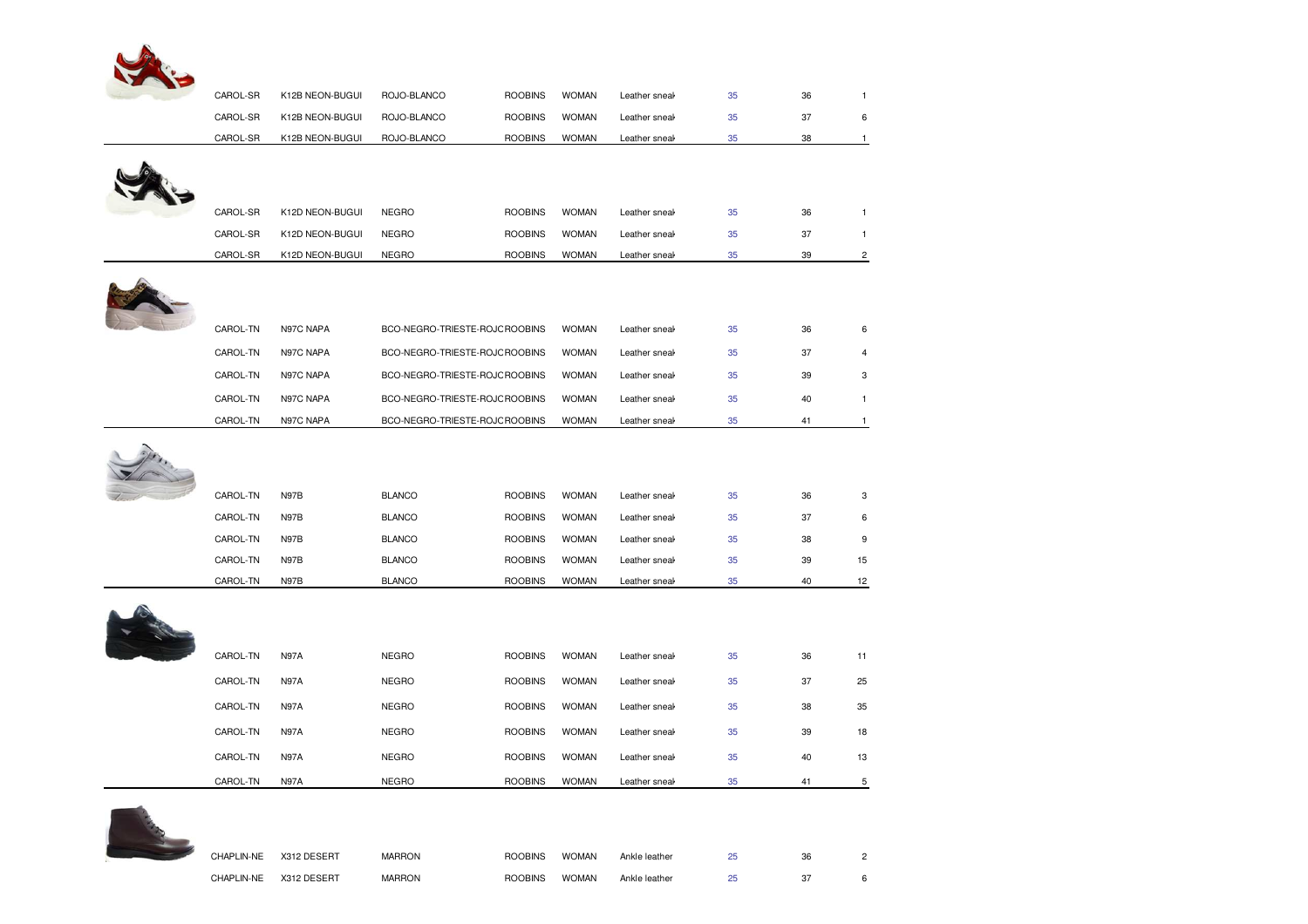

| CAROL-SR | K12B NEON-BUGUI | ROJO-BLANCO                    | <b>ROOBINS</b> | <b>WOMAN</b> | Leather sneak | 35 | 36 | $\mathbf{1}$     |
|----------|-----------------|--------------------------------|----------------|--------------|---------------|----|----|------------------|
| CAROL-SR | K12B NEON-BUGUI | ROJO-BLANCO                    | <b>ROOBINS</b> | <b>WOMAN</b> | Leather sneal | 35 | 37 | 6                |
| CAROL-SR | K12B NEON-BUGUI | ROJO-BLANCO                    | <b>ROOBINS</b> | <b>WOMAN</b> | Leather sneak | 35 | 38 | $\mathbf{1}$     |
|          |                 |                                |                |              |               |    |    |                  |
|          |                 |                                |                |              |               |    |    |                  |
|          |                 |                                |                |              |               |    |    |                  |
| CAROL-SR | K12D NEON-BUGUI | <b>NEGRO</b>                   | <b>ROOBINS</b> | <b>WOMAN</b> | Leather sneak | 35 | 36 | $\mathbf{1}$     |
| CAROL-SR | K12D NEON-BUGUI | <b>NEGRO</b>                   | <b>ROOBINS</b> | <b>WOMAN</b> | Leather sneak | 35 | 37 | $\mathbf{1}$     |
| CAROL-SR | K12D NEON-BUGUI | NEGRO                          | <b>ROOBINS</b> | <b>WOMAN</b> | Leather sneak | 35 | 39 | $\overline{c}$   |
|          |                 |                                |                |              |               |    |    |                  |
|          |                 |                                |                |              |               |    |    |                  |
| CAROL-TN | N97C NAPA       | BCO-NEGRO-TRIESTE-ROJC ROOBINS |                | <b>WOMAN</b> | Leather sneak | 35 | 36 | 6                |
| CAROL-TN | N97C NAPA       | BCO-NEGRO-TRIESTE-ROJC ROOBINS |                | <b>WOMAN</b> | Leather sneal | 35 | 37 | $\overline{4}$   |
| CAROL-TN | N97C NAPA       | BCO-NEGRO-TRIESTE-ROJC ROOBINS |                | <b>WOMAN</b> | Leather sneak | 35 | 39 | 3                |
| CAROL-TN | N97C NAPA       | BCO-NEGRO-TRIESTE-ROJC ROOBINS |                | <b>WOMAN</b> | Leather sneak | 35 | 40 | $\mathbf{1}$     |
|          |                 |                                |                |              |               |    |    |                  |
| CAROL-TN | N97C NAPA       | BCO-NEGRO-TRIESTE-ROJC ROOBINS |                | <b>WOMAN</b> | Leather sneak | 35 | 41 | $\mathbf{1}$     |
|          |                 |                                |                |              |               |    |    |                  |
|          |                 |                                |                |              |               |    |    |                  |
| CAROL-TN | N97B            | <b>BLANCO</b>                  | <b>ROOBINS</b> | <b>WOMAN</b> | Leather sneak | 35 | 36 | 3                |
| CAROL-TN | N97B            | <b>BLANCO</b>                  | <b>ROOBINS</b> | <b>WOMAN</b> | Leather sneak | 35 | 37 | 6                |
| CAROL-TN | N97B            | <b>BLANCO</b>                  | <b>ROOBINS</b> | <b>WOMAN</b> | Leather sneak | 35 | 38 | $\boldsymbol{9}$ |
| CAROL-TN | N97B            | <b>BLANCO</b>                  | <b>ROOBINS</b> | <b>WOMAN</b> | Leather sneak | 35 | 39 | 15               |
| CAROL-TN | N97B            | <b>BLANCO</b>                  | <b>ROOBINS</b> | <b>WOMAN</b> | Leather sneak | 35 | 40 | 12               |
|          |                 |                                |                |              |               |    |    |                  |
|          |                 |                                |                |              |               |    |    |                  |
|          |                 |                                |                |              |               |    |    |                  |
| CAROL-TN | <b>N97A</b>     | <b>NEGRO</b>                   | <b>ROOBINS</b> | <b>WOMAN</b> | Leather sneak | 35 | 36 | 11               |
| CAROL-TN | <b>N97A</b>     | <b>NEGRO</b>                   | <b>ROOBINS</b> | <b>WOMAN</b> | Leather sneak | 35 | 37 | 25               |
| CAROL-TN | N97A            | <b>NEGRO</b>                   | <b>ROOBINS</b> | <b>WOMAN</b> | Leather sneak | 35 | 38 | 35               |
| CAROL-TN | <b>N97A</b>     | <b>NEGRO</b>                   | <b>ROOBINS</b> | <b>WOMAN</b> | Leather sneak | 35 | 39 | 18               |
| CAROL-TN | <b>N97A</b>     | <b>NEGRO</b>                   | <b>ROOBINS</b> | <b>WOMAN</b> | Leather sneak | 35 | 40 | 13               |
|          |                 |                                |                |              |               |    |    |                  |



| CHAPLIN-NE | X312 DESERT | MARRON | <b>ROOBINS</b> | <b>WOMAN</b> | Ankle leather | 36 |  |
|------------|-------------|--------|----------------|--------------|---------------|----|--|
| CHAPLIN-NE | X312 DESERT | MARRON | <b>ROOBINS</b> | <b>WOMAN</b> | Ankle leather | 37 |  |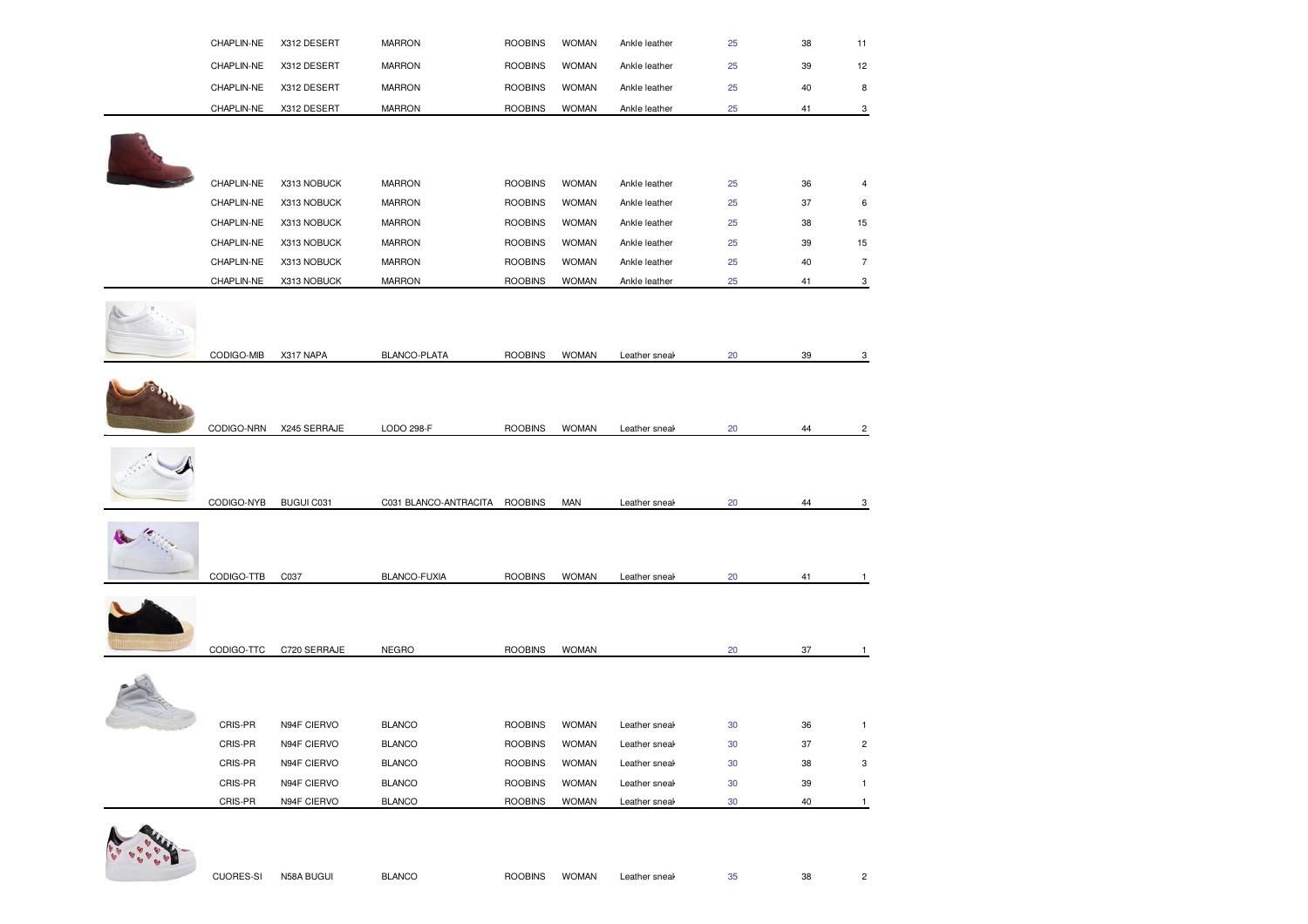| CHAPLIN-NE | X312 DESERT                            | <b>MARRON</b>                           | <b>ROOBINS</b>                                      | <b>WOMAN</b>                                       | Ankle leather                              | 25                             | 38       | 11                                    |
|------------|----------------------------------------|-----------------------------------------|-----------------------------------------------------|----------------------------------------------------|--------------------------------------------|--------------------------------|----------|---------------------------------------|
| CHAPLIN-NE | X312 DESERT                            | <b>MARRON</b>                           | <b>ROOBINS</b>                                      | <b>WOMAN</b>                                       | Ankle leather                              | 25                             | 39       | 12                                    |
| CHAPLIN-NE | X312 DESERT                            | <b>MARRON</b>                           | <b>ROOBINS</b>                                      | <b>WOMAN</b>                                       | Ankle leather                              | 25                             | 40       | 8                                     |
| CHAPLIN-NE | X312 DESERT                            | <b>MARRON</b>                           | <b>ROOBINS</b>                                      | <b>WOMAN</b>                                       | Ankle leather                              | 25                             | 41       | 3                                     |
|            |                                        |                                         |                                                     |                                                    |                                            |                                |          |                                       |
|            |                                        |                                         |                                                     |                                                    |                                            |                                |          |                                       |
|            |                                        |                                         |                                                     |                                                    |                                            |                                |          |                                       |
| CHAPLIN-NE | X313 NOBUCK                            | <b>MARRON</b>                           | <b>ROOBINS</b>                                      | <b>WOMAN</b>                                       | Ankle leather                              | 25                             | 36       | 4                                     |
| CHAPLIN-NE | X313 NOBUCK                            | <b>MARRON</b>                           | <b>ROOBINS</b>                                      | <b>WOMAN</b>                                       | Ankle leather                              | 25                             | 37       | 6                                     |
| CHAPLIN-NE | X313 NOBUCK                            | <b>MARRON</b>                           | <b>ROOBINS</b>                                      | <b>WOMAN</b>                                       | Ankle leather                              | 25                             | 38       | 15                                    |
| CHAPLIN-NE | X313 NOBUCK                            | <b>MARRON</b>                           | <b>ROOBINS</b>                                      | <b>WOMAN</b>                                       | Ankle leather                              | 25                             | 39       | 15                                    |
| CHAPLIN-NE | X313 NOBUCK                            | <b>MARRON</b>                           | <b>ROOBINS</b>                                      | <b>WOMAN</b>                                       | Ankle leather                              | 25                             | 40       | $\overline{7}$                        |
| CHAPLIN-NE | X313 NOBUCK                            | <b>MARRON</b>                           | <b>ROOBINS</b>                                      | <b>WOMAN</b>                                       | Ankle leather                              | 25                             | 41       | 3                                     |
|            |                                        |                                         |                                                     |                                                    |                                            |                                |          |                                       |
|            |                                        |                                         |                                                     |                                                    |                                            |                                |          |                                       |
|            |                                        |                                         |                                                     |                                                    |                                            |                                |          |                                       |
|            |                                        |                                         |                                                     |                                                    |                                            |                                |          | 3                                     |
|            |                                        |                                         |                                                     |                                                    |                                            |                                |          |                                       |
|            |                                        |                                         |                                                     |                                                    |                                            |                                |          |                                       |
|            |                                        |                                         |                                                     |                                                    |                                            |                                |          |                                       |
|            |                                        |                                         |                                                     |                                                    |                                            |                                |          | $\overline{c}$                        |
|            |                                        |                                         |                                                     |                                                    |                                            |                                |          |                                       |
|            |                                        |                                         |                                                     |                                                    |                                            |                                |          |                                       |
|            |                                        |                                         |                                                     |                                                    |                                            |                                |          | 3                                     |
|            |                                        |                                         |                                                     |                                                    |                                            |                                |          |                                       |
|            |                                        |                                         |                                                     |                                                    |                                            |                                |          |                                       |
|            |                                        |                                         |                                                     |                                                    |                                            |                                |          |                                       |
|            |                                        |                                         |                                                     |                                                    |                                            |                                |          |                                       |
| CODIGO-TTB | C037                                   | BLANCO-FUXIA                            | <b>ROOBINS</b>                                      | <b>WOMAN</b>                                       | Leather sneak                              | 20                             | 41       | 1                                     |
|            |                                        |                                         |                                                     |                                                    |                                            |                                |          |                                       |
|            |                                        |                                         |                                                     |                                                    |                                            |                                |          |                                       |
|            |                                        |                                         |                                                     |                                                    |                                            |                                |          |                                       |
| CODIGO-TTC | C720 SERRAJE                           | <b>NEGRO</b>                            | <b>ROOBINS</b>                                      | <b>WOMAN</b>                                       |                                            | 20                             | 37       | $\mathbf{1}$                          |
|            |                                        |                                         |                                                     |                                                    |                                            |                                |          |                                       |
|            |                                        |                                         |                                                     |                                                    |                                            |                                |          |                                       |
|            |                                        |                                         |                                                     |                                                    |                                            |                                |          |                                       |
| CRIS-PR    | N94F CIERVO                            | <b>BLANCO</b>                           | <b>ROOBINS</b>                                      | <b>WOMAN</b>                                       | Leather sneak                              | $30\,$                         | 36       | $\mathbf{1}$                          |
| CRIS-PR    | N94F CIERVO                            | <b>BLANCO</b>                           | <b>ROOBINS</b>                                      | <b>WOMAN</b>                                       | Leather sneal                              | $30\,$                         | 37       | $\overline{\mathbf{c}}$               |
| CRIS-PR    | N94F CIERVO                            | <b>BLANCO</b>                           | <b>ROOBINS</b>                                      | <b>WOMAN</b>                                       | Leather sneak                              | 30                             | 38       | 3                                     |
| CRIS-PR    | N94F CIERVO                            | <b>BLANCO</b>                           | <b>ROOBINS</b>                                      | <b>WOMAN</b>                                       | Leather sneak                              | 30                             | 39       | $\mathbf{1}$                          |
|            | CODIGO-MIB<br>CODIGO-NRN<br>CODIGO-NYB | X317 NAPA<br>X245 SERRAJE<br>BUGUI C031 | BLANCO-PLATA<br>LODO 298-F<br>C031 BLANCO-ANTRACITA | <b>ROOBINS</b><br><b>ROOBINS</b><br><b>ROOBINS</b> | <b>WOMAN</b><br><b>WOMAN</b><br><b>MAN</b> | Leather sneak<br>Leather sneak | 20<br>20 | 39<br>44<br>Leather sneal<br>20<br>44 |

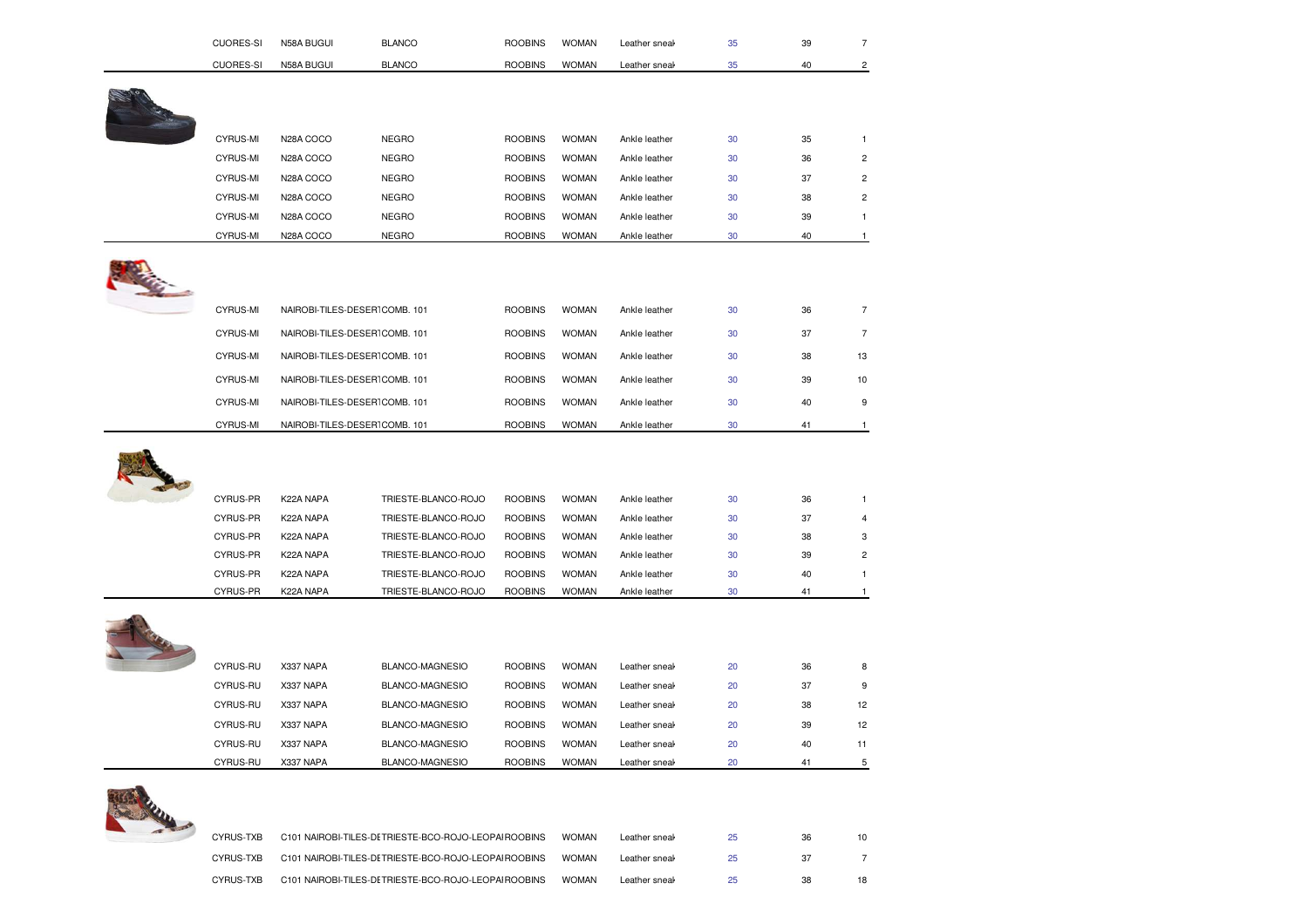| <b>CUORES-SI</b> | N58A BUGUI                    | <b>BLANCO</b>       | <b>ROOBINS</b> | <b>WOMAN</b> | Leather sneak | 35 | 39 | $\overline{7}$ |
|------------------|-------------------------------|---------------------|----------------|--------------|---------------|----|----|----------------|
| <b>CUORES-SI</b> | N58A BUGUI                    | <b>BLANCO</b>       | <b>ROOBINS</b> | <b>WOMAN</b> | Leather sneak | 35 | 40 | $\overline{c}$ |
|                  |                               |                     |                |              |               |    |    |                |
|                  |                               |                     |                |              |               |    |    |                |
|                  |                               |                     |                |              |               |    |    |                |
| CYRUS-MI         | N28A COCO                     | <b>NEGRO</b>        | <b>ROOBINS</b> | <b>WOMAN</b> | Ankle leather | 30 | 35 | $\mathbf{1}$   |
| CYRUS-MI         | N28A COCO                     | <b>NEGRO</b>        | <b>ROOBINS</b> | <b>WOMAN</b> | Ankle leather | 30 | 36 | $\mathbf 2$    |
| <b>CYRUS-MI</b>  | N28A COCO                     | <b>NEGRO</b>        | <b>ROOBINS</b> | <b>WOMAN</b> | Ankle leather | 30 | 37 | $\overline{c}$ |
| CYRUS-MI         | N28A COCO                     | <b>NEGRO</b>        | <b>ROOBINS</b> | <b>WOMAN</b> | Ankle leather | 30 | 38 | $\overline{2}$ |
| CYRUS-MI         | N28A COCO                     | <b>NEGRO</b>        | <b>ROOBINS</b> | <b>WOMAN</b> | Ankle leather | 30 | 39 | $\mathbf{1}$   |
| CYRUS-MI         | N28A COCO                     | <b>NEGRO</b>        | <b>ROOBINS</b> | <b>WOMAN</b> | Ankle leather | 30 | 40 | $\mathbf{1}$   |
|                  |                               |                     |                |              |               |    |    |                |
| <b>CYRUS-MI</b>  | NAIROBI-TILES-DESERTCOMB. 101 |                     | <b>ROOBINS</b> | <b>WOMAN</b> | Ankle leather | 30 | 36 | $\overline{7}$ |
| CYRUS-MI         | NAIROBI-TILES-DESERTCOMB. 101 |                     | <b>ROOBINS</b> | <b>WOMAN</b> | Ankle leather | 30 | 37 | $\overline{7}$ |
| CYRUS-MI         | NAIROBI-TILES-DESERTCOMB. 101 |                     | <b>ROOBINS</b> | <b>WOMAN</b> | Ankle leather | 30 | 38 | 13             |
| CYRUS-MI         | NAIROBI-TILES-DESERTCOMB. 101 |                     | <b>ROOBINS</b> | <b>WOMAN</b> | Ankle leather | 30 | 39 | 10             |
| CYRUS-MI         | NAIROBI-TILES-DESERTCOMB. 101 |                     | <b>ROOBINS</b> | <b>WOMAN</b> | Ankle leather | 30 | 40 | 9              |
| <b>CYRUS-MI</b>  | NAIROBI-TILES-DESERTCOMB. 101 |                     | <b>ROOBINS</b> | <b>WOMAN</b> | Ankle leather | 30 | 41 | $\mathbf{1}$   |
|                  |                               |                     |                |              |               |    |    |                |
| CYRUS-PR         | K22A NAPA                     | TRIESTE-BLANCO-ROJO | <b>ROOBINS</b> | <b>WOMAN</b> | Ankle leather | 30 | 36 | $\mathbf{1}$   |
| CYRUS-PR         | K22A NAPA                     | TRIESTE-BLANCO-ROJO | <b>ROOBINS</b> | <b>WOMAN</b> | Ankle leather | 30 | 37 | $\overline{a}$ |
| CYRUS-PR         | K22A NAPA                     | TRIESTE-BLANCO-ROJO | <b>ROOBINS</b> | <b>WOMAN</b> | Ankle leather | 30 | 38 | 3              |
| CYRUS-PR         | K22A NAPA                     | TRIESTE-BLANCO-ROJO | <b>ROOBINS</b> | <b>WOMAN</b> | Ankle leather | 30 | 39 | $\overline{c}$ |
| CYRUS-PR         | K22A NAPA                     | TRIESTE-BLANCO-ROJO | <b>ROOBINS</b> | <b>WOMAN</b> | Ankle leather | 30 | 40 | $\mathbf{1}$   |
| CYRUS-PR         | K22A NAPA                     | TRIESTE-BLANCO-ROJO | <b>ROOBINS</b> | <b>WOMAN</b> | Ankle leather | 30 | 41 | $\mathbf{1}$   |
|                  |                               |                     |                |              |               |    |    |                |
| CYRUS-RU         | X337 NAPA                     | BLANCO-MAGNESIO     | <b>ROOBINS</b> | <b>WOMAN</b> | Leather sneak | 20 | 36 | 8              |
| CYRUS-RU         | X337 NAPA                     | BLANCO-MAGNESIO     | <b>ROOBINS</b> | <b>WOMAN</b> | Leather sneak | 20 | 37 | 9              |
| CYRUS-RU         | X337 NAPA                     | BLANCO-MAGNESIO     | <b>ROOBINS</b> | <b>WOMAN</b> | Leather sneak | 20 | 38 | 12             |
|                  |                               |                     | <b>ROOBINS</b> | <b>WOMAN</b> | Leather sneal | 20 | 39 | 12             |
| CYRUS-RU         | X337 NAPA                     | BLANCO-MAGNESIO     |                |              |               |    |    |                |
| CYRUS-RU         | X337 NAPA                     | BLANCO-MAGNESIO     | <b>ROOBINS</b> | <b>WOMAN</b> | Leather sneal | 20 | 40 | 11             |

| CYRUS-TXB | C101 NAIROBI-TILES-DETRIESTE-BCO-ROJO-LEOPAI ROOBINS  | <b>WOMAN</b> | Leather sneak | 25 | 36  | 10 |  |
|-----------|-------------------------------------------------------|--------------|---------------|----|-----|----|--|
| CYRUS-TXB | C101 NAIROBI-TILES-DE TRIESTE-BCO-ROJO-LEOPAI ROOBINS | <b>WOMAN</b> | Leather sneak | 25 |     |    |  |
| CYRUS-TXB | C101 NAIROBI-TILES-DE TRIESTE-BCO-ROJO-LEOPAI ROOBINS | <b>WOMAN</b> | Leather sneak | 25 | 38. | 18 |  |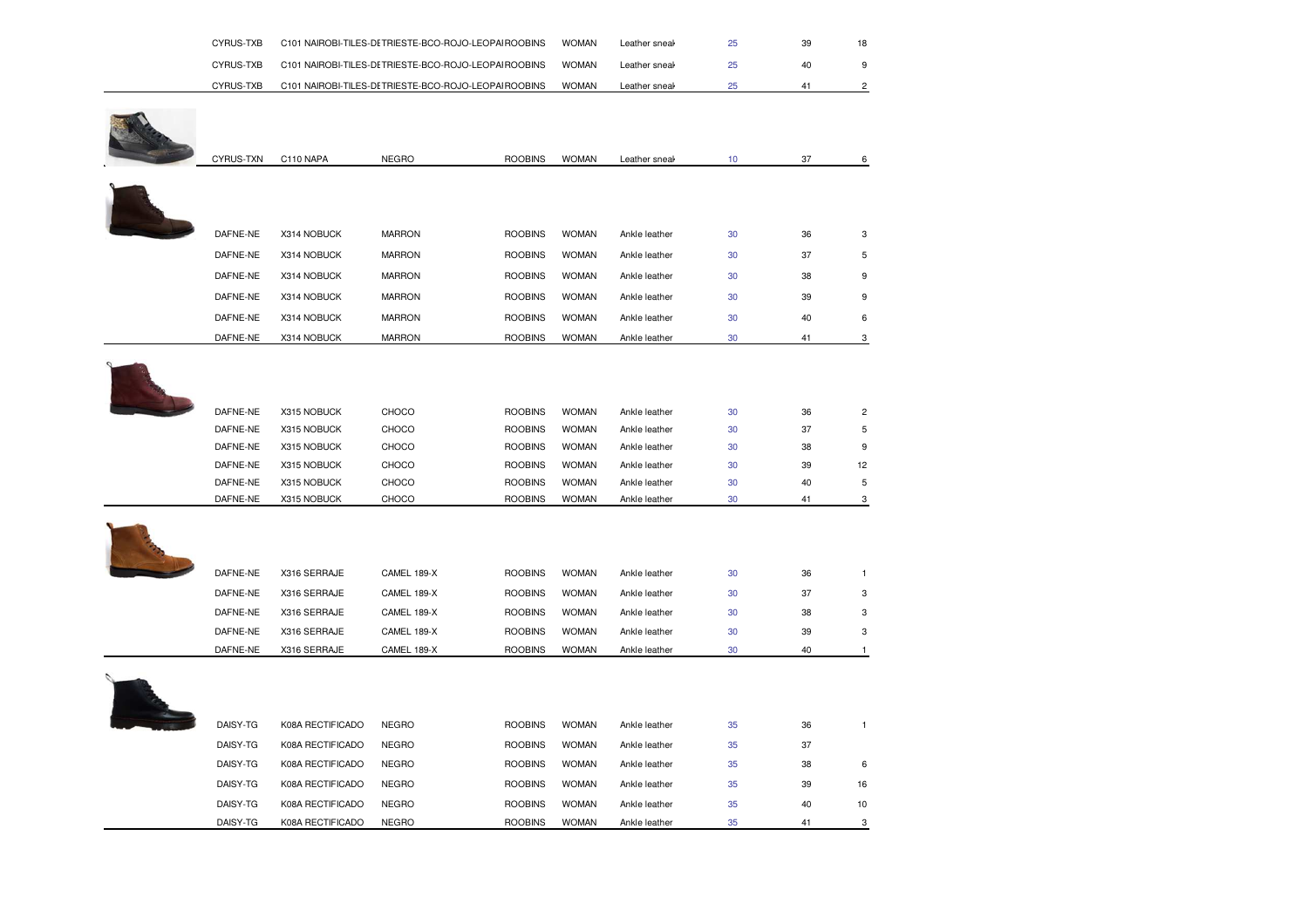| CYRUS-TXB |                  | C101 NAIROBI-TILES-DETRIESTE-BCO-ROJO-LEOPAI ROOBINS |                | <b>WOMAN</b> | Leather sneal | 25     | 39 | 18             |
|-----------|------------------|------------------------------------------------------|----------------|--------------|---------------|--------|----|----------------|
| CYRUS-TXB |                  | C101 NAIROBI-TILES-DETRIESTE-BCO-ROJO-LEOPAI ROOBINS |                | <b>WOMAN</b> | Leather sneal | 25     | 40 | 9              |
| CYRUS-TXB |                  | C101 NAIROBI-TILES-DETRIESTE-BCO-ROJO-LEOPAI ROOBINS |                | <b>WOMAN</b> | Leather sneak | 25     | 41 | $\overline{c}$ |
|           |                  |                                                      |                |              |               |        |    |                |
|           |                  |                                                      |                |              |               |        |    |                |
|           |                  |                                                      |                |              |               |        |    |                |
| CYRUS-TXN | C110 NAPA        | <b>NEGRO</b>                                         | <b>ROOBINS</b> | <b>WOMAN</b> | Leather sneak | 10     | 37 | 6              |
|           |                  |                                                      |                |              |               |        |    |                |
|           |                  |                                                      |                |              |               |        |    |                |
|           |                  |                                                      |                |              |               |        |    |                |
| DAFNE-NE  | X314 NOBUCK      | <b>MARRON</b>                                        | <b>ROOBINS</b> | <b>WOMAN</b> | Ankle leather | 30     | 36 | 3              |
| DAFNE-NE  | X314 NOBUCK      | <b>MARRON</b>                                        | <b>ROOBINS</b> | <b>WOMAN</b> | Ankle leather | 30     | 37 | 5              |
| DAFNE-NE  | X314 NOBUCK      | <b>MARRON</b>                                        | <b>ROOBINS</b> | <b>WOMAN</b> | Ankle leather | 30     | 38 | 9              |
| DAFNE-NE  | X314 NOBUCK      | <b>MARRON</b>                                        | <b>ROOBINS</b> | <b>WOMAN</b> | Ankle leather | 30     | 39 | 9              |
| DAFNE-NE  | X314 NOBUCK      | <b>MARRON</b>                                        | <b>ROOBINS</b> | <b>WOMAN</b> | Ankle leather | 30     | 40 | 6              |
| DAFNE-NE  | X314 NOBUCK      | <b>MARRON</b>                                        | <b>ROOBINS</b> | <b>WOMAN</b> | Ankle leather | 30     | 41 | 3              |
|           |                  |                                                      |                |              |               |        |    |                |
|           |                  |                                                      |                |              |               |        |    |                |
|           |                  |                                                      |                |              |               |        |    |                |
| DAFNE-NE  | X315 NOBUCK      | CHOCO                                                | <b>ROOBINS</b> | <b>WOMAN</b> | Ankle leather | 30     | 36 | $\overline{c}$ |
| DAFNE-NE  | X315 NOBUCK      | CHOCO                                                | <b>ROOBINS</b> | <b>WOMAN</b> | Ankle leather | 30     | 37 | 5              |
| DAFNE-NE  | X315 NOBUCK      | CHOCO                                                | <b>ROOBINS</b> | <b>WOMAN</b> | Ankle leather | 30     | 38 | 9              |
| DAFNE-NE  | X315 NOBUCK      | CHOCO                                                | <b>ROOBINS</b> | <b>WOMAN</b> | Ankle leather | 30     | 39 | 12             |
| DAFNE-NE  | X315 NOBUCK      | CHOCO                                                | <b>ROOBINS</b> | <b>WOMAN</b> | Ankle leather | 30     | 40 | $\sqrt{5}$     |
| DAFNE-NE  | X315 NOBUCK      | CHOCO                                                | <b>ROOBINS</b> | <b>WOMAN</b> | Ankle leather | 30     | 41 | 3              |
|           |                  |                                                      |                |              |               |        |    |                |
|           |                  |                                                      |                |              |               |        |    |                |
|           |                  |                                                      |                |              |               |        |    |                |
| DAFNE-NE  | X316 SERRAJE     | CAMEL 189-X                                          | <b>ROOBINS</b> | <b>WOMAN</b> | Ankle leather | 30     | 36 | $\overline{1}$ |
| DAFNE-NE  | X316 SERRAJE     | CAMEL 189-X                                          | <b>ROOBINS</b> | <b>WOMAN</b> | Ankle leather | 30     | 37 | 3              |
| DAFNE-NE  | X316 SERRAJE     | CAMEL 189-X                                          | <b>ROOBINS</b> | <b>WOMAN</b> | Ankle leather | 30     | 38 | 3              |
| DAFNE-NE  | X316 SERRAJE     | CAMEL 189-X                                          | <b>ROOBINS</b> | <b>WOMAN</b> | Ankle leather | $30\,$ | 39 | 3              |
| DAFNE-NE  | X316 SERRAJE     | CAMEL 189-X                                          | <b>ROOBINS</b> | <b>WOMAN</b> | Ankle leather | 30     | 40 | $\mathbf{1}$   |
|           |                  |                                                      |                |              |               |        |    |                |
|           |                  |                                                      |                |              |               |        |    |                |
|           |                  |                                                      |                |              |               |        |    |                |
| DAISY-TG  | K08A RECTIFICADO | <b>NEGRO</b>                                         | <b>ROOBINS</b> | <b>WOMAN</b> | Ankle leather | 35     | 36 | $\overline{1}$ |
| DAISY-TG  | K08A RECTIFICADO | <b>NEGRO</b>                                         | <b>ROOBINS</b> | <b>WOMAN</b> | Ankle leather | 35     | 37 |                |
| DAISY-TG  | K08A RECTIFICADO | <b>NEGRO</b>                                         | <b>ROOBINS</b> | <b>WOMAN</b> | Ankle leather | 35     | 38 | 6              |
| DAISY-TG  | K08A RECTIFICADO | <b>NEGRO</b>                                         | <b>ROOBINS</b> | <b>WOMAN</b> | Ankle leather | 35     | 39 | 16             |
| DAISY-TG  | K08A RECTIFICADO | <b>NEGRO</b>                                         | <b>ROOBINS</b> | <b>WOMAN</b> | Ankle leather | 35     | 40 | 10             |
| DAISY-TG  | K08A RECTIFICADO | <b>NEGRO</b>                                         | <b>ROOBINS</b> | <b>WOMAN</b> | Ankle leather | 35     | 41 | 3              |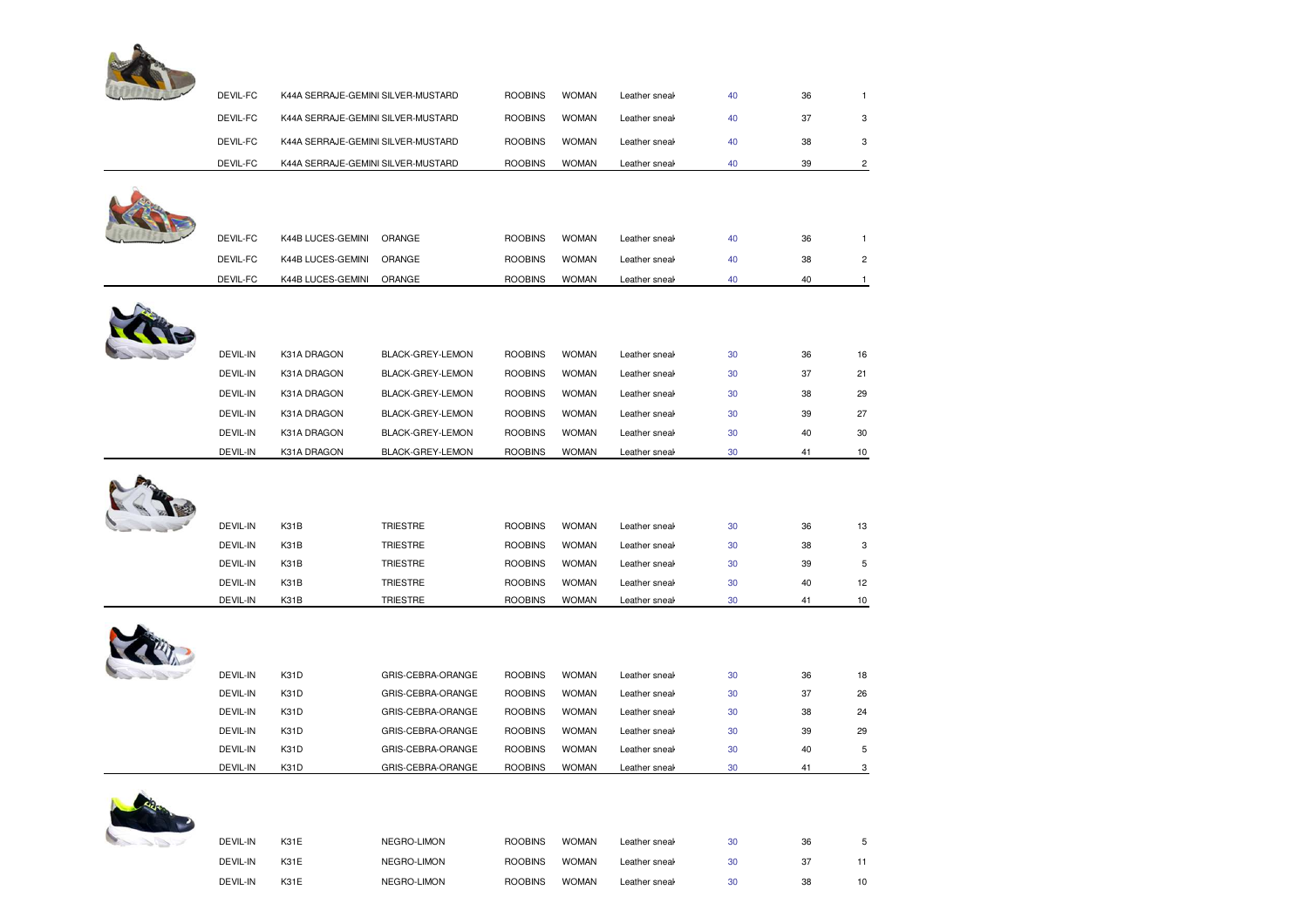

| DEVIL-FC | K44A SERRAJE-GEMINI SILVER-MUSTARD |                   | <b>ROOBINS</b> | <b>WOMAN</b> | Leather sneal | 40 | 36 | $\mathbf{1}$            |
|----------|------------------------------------|-------------------|----------------|--------------|---------------|----|----|-------------------------|
| DEVIL-FC | K44A SERRAJE-GEMINI SILVER-MUSTARD |                   | <b>ROOBINS</b> | <b>WOMAN</b> | Leather sneal | 40 | 37 | 3                       |
| DEVIL-FC | K44A SERRAJE-GEMINI SILVER-MUSTARD |                   | <b>ROOBINS</b> | <b>WOMAN</b> | Leather sneal | 40 | 38 | 3                       |
| DEVIL-FC | K44A SERRAJE-GEMINI SILVER-MUSTARD |                   | <b>ROOBINS</b> | <b>WOMAN</b> | Leather sneak | 40 | 39 | $\overline{c}$          |
|          |                                    |                   |                |              |               |    |    |                         |
|          |                                    |                   |                |              |               |    |    |                         |
|          |                                    |                   |                |              |               |    |    |                         |
| DEVIL-FC | K44B LUCES-GEMINI                  | ORANGE            | <b>ROOBINS</b> | <b>WOMAN</b> | Leather sneal | 40 | 36 | $\mathbf{1}$            |
| DEVIL-FC | K44B LUCES-GEMINI                  | ORANGE            | <b>ROOBINS</b> | <b>WOMAN</b> | Leather sneal | 40 | 38 | $\overline{\mathbf{c}}$ |
| DEVIL-FC | K44B LUCES-GEMINI                  | ORANGE            | <b>ROOBINS</b> | <b>WOMAN</b> | Leather sneal | 40 | 40 | $\mathbf{1}$            |
|          |                                    |                   |                |              |               |    |    |                         |
|          |                                    |                   |                |              |               |    |    |                         |
|          |                                    |                   |                |              |               |    |    |                         |
| DEVIL-IN | K31A DRAGON                        | BLACK-GREY-LEMON  | <b>ROOBINS</b> | <b>WOMAN</b> | Leather sneal | 30 | 36 | 16                      |
| DEVIL-IN | K31A DRAGON                        | BLACK-GREY-LEMON  | <b>ROOBINS</b> | <b>WOMAN</b> | Leather sneal | 30 | 37 | 21                      |
| DEVIL-IN | K31A DRAGON                        | BLACK-GREY-LEMON  | <b>ROOBINS</b> | <b>WOMAN</b> | Leather sneal | 30 | 38 | 29                      |
| DEVIL-IN | K31A DRAGON                        | BLACK-GREY-LEMON  | <b>ROOBINS</b> | <b>WOMAN</b> | Leather sneak | 30 | 39 | 27                      |
| DEVIL-IN | K31A DRAGON                        | BLACK-GREY-LEMON  | <b>ROOBINS</b> | <b>WOMAN</b> | Leather sneak | 30 | 40 | 30                      |
| DEVIL-IN | K31A DRAGON                        | BLACK-GREY-LEMON  | <b>ROOBINS</b> | <b>WOMAN</b> | Leather sneal | 30 | 41 | 10                      |
|          |                                    |                   |                |              |               |    |    |                         |
|          |                                    |                   |                |              |               |    |    |                         |
|          |                                    |                   |                |              |               |    |    |                         |
| DEVIL-IN | K31B                               | TRIESTRE          | <b>ROOBINS</b> | <b>WOMAN</b> | Leather sneal | 30 | 36 | 13                      |
| DEVIL-IN | K31B                               | <b>TRIESTRE</b>   | <b>ROOBINS</b> | <b>WOMAN</b> | Leather sneal | 30 | 38 | 3                       |
| DEVIL-IN | K31B                               | TRIESTRE          | <b>ROOBINS</b> | <b>WOMAN</b> | Leather sneal | 30 | 39 | 5                       |
| DEVIL-IN | K31B                               | <b>TRIESTRE</b>   | <b>ROOBINS</b> | <b>WOMAN</b> | Leather sneal | 30 | 40 | 12                      |
| DEVIL-IN | K31B                               | <b>TRIESTRE</b>   | <b>ROOBINS</b> | <b>WOMAN</b> | Leather sneal | 30 | 41 | 10                      |
|          |                                    |                   |                |              |               |    |    |                         |
|          |                                    |                   |                |              |               |    |    |                         |
|          |                                    |                   |                |              |               |    |    |                         |
| DEVIL-IN | K31D                               | GRIS-CEBRA-ORANGE | <b>ROOBINS</b> | <b>WOMAN</b> | Leather sneal | 30 | 36 | 18                      |
| DEVIL-IN | K31D                               | GRIS-CEBRA-ORANGE | <b>ROOBINS</b> | <b>WOMAN</b> | Leather sneal | 30 | 37 | 26                      |
| DEVIL-IN | K31D                               | GRIS-CEBRA-ORANGE | <b>ROOBINS</b> | <b>WOMAN</b> | Leather sneal | 30 | 38 | 24                      |
| DEVIL-IN | K31D                               | GRIS-CEBRA-ORANGE | <b>ROOBINS</b> | <b>WOMAN</b> | Leather sneal | 30 | 39 | 29                      |
| DEVIL-IN | K31D                               | GRIS-CEBRA-ORANGE | <b>ROOBINS</b> | <b>WOMAN</b> | Leather sneal | 30 | 40 | 5                       |
| DEVIL-IN | K31D                               | GRIS-CEBRA-ORANGE | <b>ROOBINS</b> | <b>WOMAN</b> | Leather sneal | 30 | 41 | 3                       |

| $\mathcal{L}_{\mathcal{D}} \subset \mathcal{L}_{\mathcal{D}} \subset \mathcal{L}_{\mathcal{D}}$ | <b>DEVIL-IN</b> | <b>K31E</b> | NEGRO-LIMON | <b>ROOBINS</b> | <b>WOMAN</b> | Leather sneal | 30 | 36 |    |
|-------------------------------------------------------------------------------------------------|-----------------|-------------|-------------|----------------|--------------|---------------|----|----|----|
|                                                                                                 | <b>DEVIL-IN</b> | <b>K31E</b> | NEGRO-LIMON | <b>ROOBINS</b> | <b>WOMAN</b> | Leather sneal | 30 | 37 |    |
|                                                                                                 | <b>DEVIL-IN</b> | <b>K31E</b> | NEGRO-LIMON | <b>ROOBINS</b> | <b>WOMAN</b> | Leather sneal | 30 | 38 | 10 |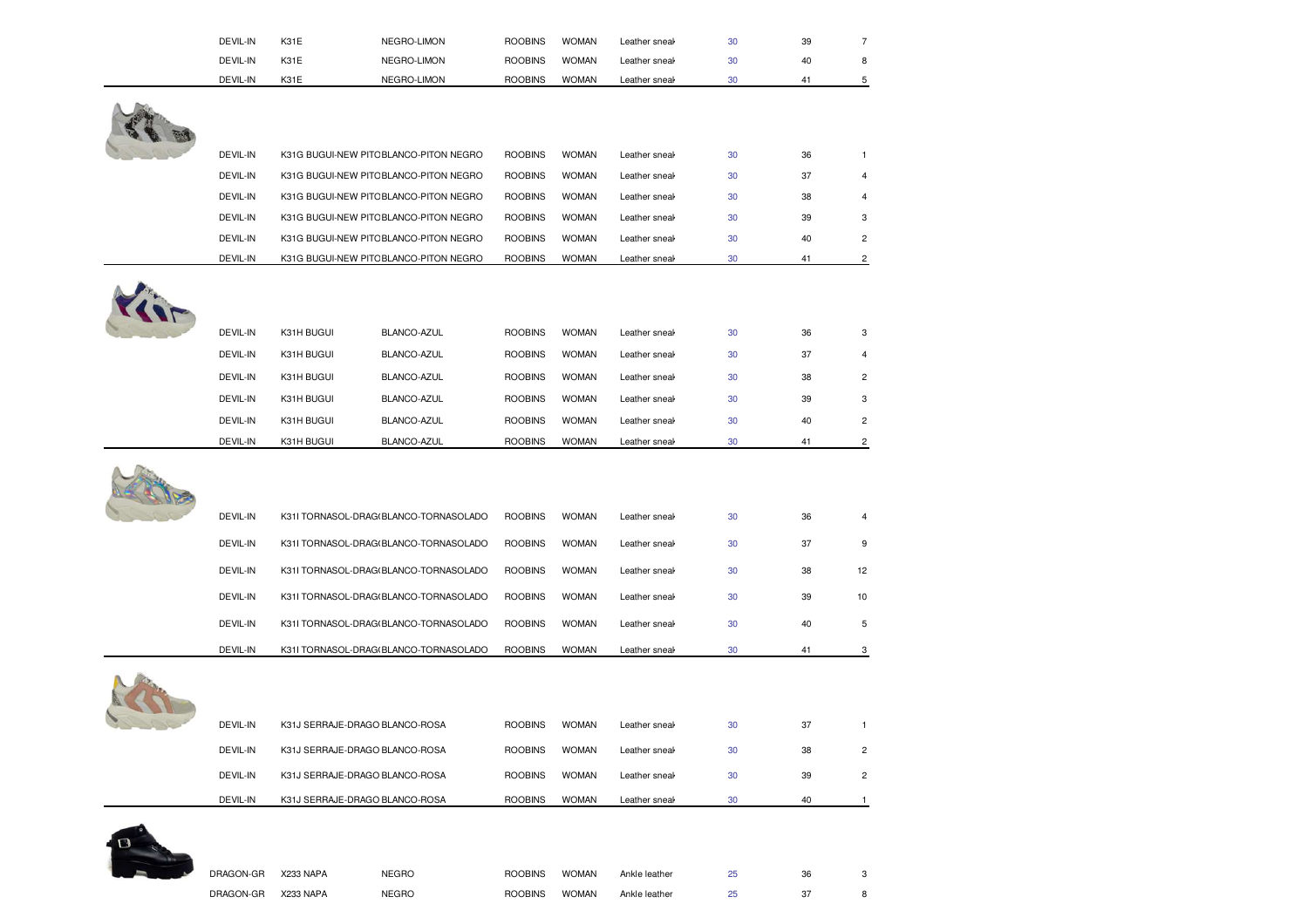| DEVIL-IN | K31E                           | NEGRO-LIMON                            | <b>ROOBINS</b> | <b>WOMAN</b> | Leather sneak | 30 | 39 | $\overline{7}$ |
|----------|--------------------------------|----------------------------------------|----------------|--------------|---------------|----|----|----------------|
| DEVIL-IN | K31E                           | NEGRO-LIMON                            | <b>ROOBINS</b> | <b>WOMAN</b> | Leather sneak | 30 | 40 | 8              |
| DEVIL-IN | K31E                           | NEGRO-LIMON                            | <b>ROOBINS</b> | <b>WOMAN</b> | Leather sneal | 30 | 41 | 5              |
|          |                                |                                        |                |              |               |    |    |                |
|          |                                |                                        |                |              |               |    |    |                |
| DEVIL-IN |                                | K31G BUGUI-NEW PITCBLANCO-PITON NEGRO  | <b>ROOBINS</b> | <b>WOMAN</b> | Leather sneal | 30 | 36 | $\mathbf{1}$   |
| DEVIL-IN |                                | K31G BUGUI-NEW PITC BLANCO-PITON NEGRO | <b>ROOBINS</b> | <b>WOMAN</b> | Leather sneal | 30 | 37 | $\overline{4}$ |
| DEVIL-IN |                                | K31G BUGUI-NEW PITCBLANCO-PITON NEGRO  | <b>ROOBINS</b> | <b>WOMAN</b> | Leather sneal | 30 | 38 | $\overline{4}$ |
| DEVIL-IN |                                | K31G BUGUI-NEW PITC BLANCO-PITON NEGRO | <b>ROOBINS</b> | <b>WOMAN</b> | Leather sneal | 30 | 39 | 3              |
| DEVIL-IN |                                | K31G BUGUI-NEW PITC BLANCO-PITON NEGRO | <b>ROOBINS</b> | <b>WOMAN</b> | Leather sneal | 30 | 40 | $\overline{c}$ |
| DEVIL-IN |                                | K31G BUGUI-NEW PITC BLANCO-PITON NEGRO | <b>ROOBINS</b> | <b>WOMAN</b> | Leather sneal | 30 | 41 | $\overline{c}$ |
|          |                                |                                        |                |              |               |    |    |                |
| DEVIL-IN | K31H BUGUI                     | BLANCO-AZUL                            | <b>ROOBINS</b> | <b>WOMAN</b> | Leather sneal | 30 | 36 | 3              |
| DEVIL-IN | K31H BUGUI                     | BLANCO-AZUL                            | <b>ROOBINS</b> | <b>WOMAN</b> | Leather sneal | 30 | 37 | $\overline{4}$ |
| DEVIL-IN | K31H BUGUI                     | BLANCO-AZUL                            | <b>ROOBINS</b> | <b>WOMAN</b> | Leather sneal | 30 | 38 | $\overline{2}$ |
| DEVIL-IN | K31H BUGUI                     | BLANCO-AZUL                            | <b>ROOBINS</b> | <b>WOMAN</b> | Leather sneal | 30 | 39 | 3              |
| DEVIL-IN | K31H BUGUI                     | BLANCO-AZUL                            | <b>ROOBINS</b> | <b>WOMAN</b> | Leather sneal | 30 | 40 | $\overline{2}$ |
| DEVIL-IN | K31H BUGUI                     | BLANCO-AZUL                            | <b>ROOBINS</b> | <b>WOMAN</b> | Leather sneal | 30 | 41 | $\overline{c}$ |
|          |                                |                                        |                |              |               |    |    |                |
|          |                                |                                        |                |              |               |    |    |                |
| DEVIL-IN |                                | K31I TORNASOL-DRAG(BLANCO-TORNASOLADO  | <b>ROOBINS</b> | <b>WOMAN</b> | Leather sneal | 30 | 36 | $\overline{4}$ |
| DEVIL-IN |                                | K31I TORNASOL-DRAG(BLANCO-TORNASOLADO  | <b>ROOBINS</b> | <b>WOMAN</b> | Leather sneal | 30 | 37 | 9              |
| DEVIL-IN |                                | K31I TORNASOL-DRAG(BLANCO-TORNASOLADO  | <b>ROOBINS</b> | <b>WOMAN</b> | Leather sneal | 30 | 38 | 12             |
| DEVIL-IN |                                | K31I TORNASOL-DRAG(BLANCO-TORNASOLADO  | <b>ROOBINS</b> | <b>WOMAN</b> | Leather sneal | 30 | 39 | 10             |
| DEVIL-IN |                                | K31I TORNASOL-DRAG(BLANCO-TORNASOLADO  | <b>ROOBINS</b> | <b>WOMAN</b> | Leather sneal | 30 | 40 | $\sqrt{5}$     |
| DEVIL-IN |                                | K31I TORNASOL-DRAG(BLANCO-TORNASOLADO  | <b>ROOBINS</b> | <b>WOMAN</b> | Leather sneal | 30 | 41 | 3              |
|          |                                |                                        |                |              |               |    |    |                |
| DEVIL-IN | K31J SERRAJE-DRAGO BLANCO-ROSA |                                        | <b>ROOBINS</b> | <b>WOMAN</b> | Leather sneal | 30 | 37 | $\mathbf{1}$   |
| DEVIL-IN | K31J SERRAJE-DRAGO BLANCO-ROSA |                                        | <b>ROOBINS</b> | <b>WOMAN</b> | Leather sneal | 30 | 38 | $\overline{2}$ |
| DEVIL-IN | K31J SERRAJE-DRAGO BLANCO-ROSA |                                        | <b>ROOBINS</b> | <b>WOMAN</b> | Leather sneal | 30 | 39 | $\overline{c}$ |
|          |                                |                                        |                |              |               |    |    |                |



| DRAGON-GR | X233 NAPA | NEGRO | <b>ROOBINS</b> | <b>WOMAN</b> | Ankle leather |  |  |
|-----------|-----------|-------|----------------|--------------|---------------|--|--|
| DRAGON-GR | X233 NAPA | NEGRO | <b>ROOBINS</b> | <b>WOMAN</b> | Ankle leather |  |  |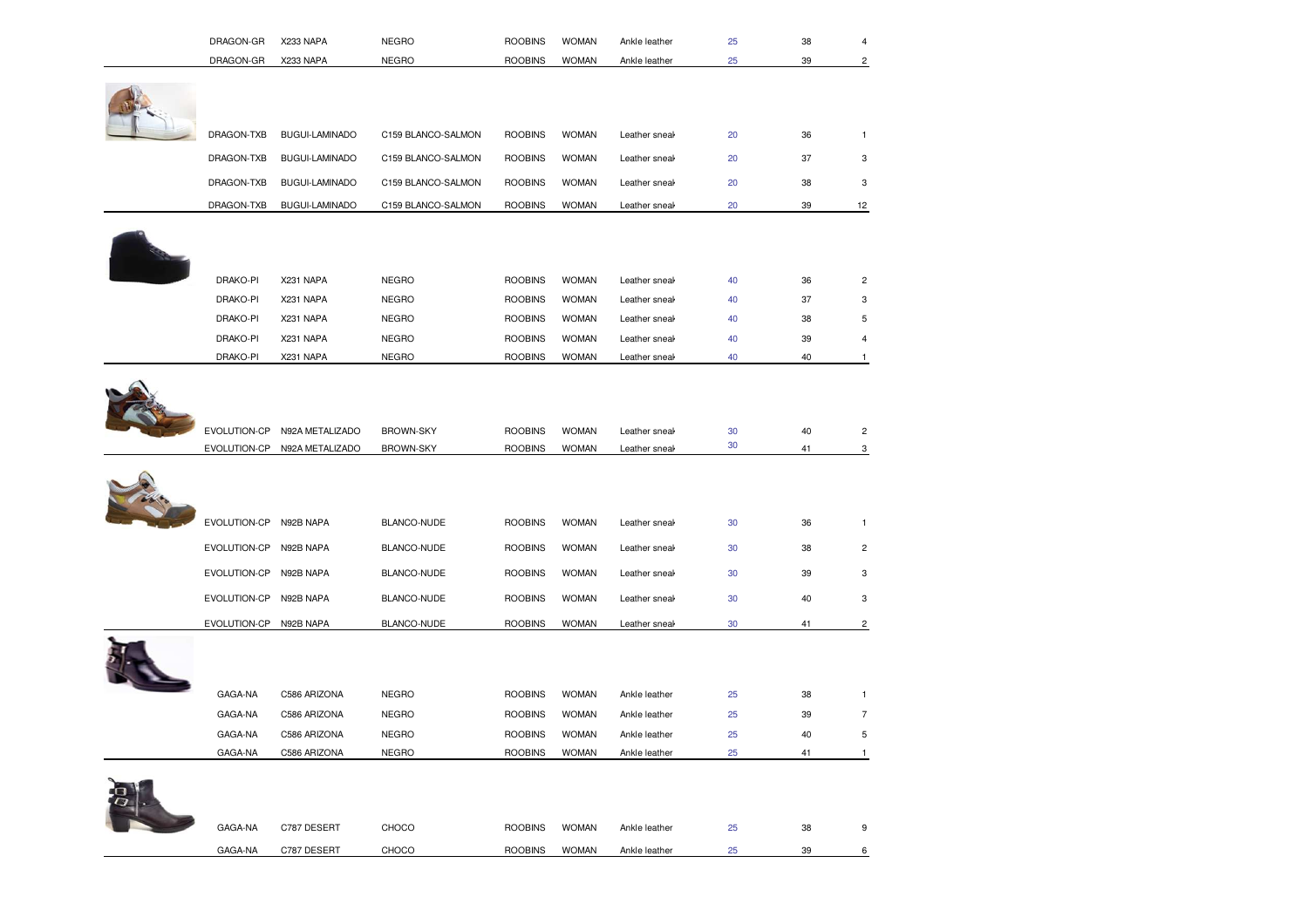| GAGA-NA | C787 DESERT | CHOCO | <b>ROOBINS</b> | <b>WOMAN</b> | Ankle leather | 25 | 38 | 9 |
|---------|-------------|-------|----------------|--------------|---------------|----|----|---|
| GAGA-NA | C787 DESERT | CHOCO | <b>ROOBINS</b> | <b>WOMAN</b> | Ankle leather | 25 | 39 | 6 |

| GAGA-NA      | C586 ARIZONA | <b>NEGRO</b>       | <b>ROOBINS</b> | <b>WOMAN</b> | Ankle leather | 25 | 38 |   |
|--------------|--------------|--------------------|----------------|--------------|---------------|----|----|---|
| EVOLUTION-CP | N92B NAPA    | BLANCO-NUDE        | <b>ROOBINS</b> | <b>WOMAN</b> | Leather sneal | 30 | 41 |   |
| EVOLUTION-CP | N92B NAPA    | BLANCO-NUDE        | <b>ROOBINS</b> | <b>WOMAN</b> | Leather sneak | 30 | 40 | 3 |
| EVOLUTION-CP | N92B NAPA    | <b>BLANCO-NUDE</b> | <b>ROOBINS</b> | <b>WOMAN</b> | Leather sneak | 30 | 39 | 3 |
| EVOLUTION-CP | N92B NAPA    | BLANCO-NUDE        | <b>ROOBINS</b> | <b>WOMAN</b> | Leather sneak | 30 | 38 | 2 |
| EVOLUTION-CP | N92B NAPA    | BLANCO-NUDE        | <b>ROOBINS</b> | <b>WOMAN</b> | Leather sneal | 30 | 36 |   |
|              |              |                    |                |              |               |    |    |   |



| EVOLUTION-CP | N92A METALIZADO | <b>BROWN-SKY</b> | <b>ROOBINS</b> | <b>WOMAN</b> | Leather sneal |  |  |
|--------------|-----------------|------------------|----------------|--------------|---------------|--|--|
| EVOLUTION-CP | N92A METALIZADO | <b>BROWN-SKY</b> | <b>ROOBINS</b> | <b>WOMAN</b> | Leather sneal |  |  |
|              |                 |                  |                |              |               |  |  |

DRAKO-PI X231 NAPA NEGRO ROOBINS WOMAN

DRAKO-PI X231 NAPA NEGRO NEGRO ROOBINS WOMAN

DRAKO-PI X231 NAPA NEGRO NEGRO ROOBINS WOMAN

DRAKO-PI X231 NAPA NEGRO ROOBINS WOMAN

DRAKO-PI X231 NAPA NEGRO ROOBINS WOMAN

GAGA-NA C586 ARIZONA NEGRO ROOBINS WOMAN

GAGA-NA C586 ARIZONA NEGRO ROOBINS WOMAN

GAGA-NA C586 ARIZONA NEGRO ROOBINS WOMAN



| DRAGON-TXB | <b>BUGUI-LAMINADO</b> | C159 BLANCO-SALMON | <b>ROOBINS</b> | <b>WOMAN</b> | Leather sneal | 20 | 36 |    |  |
|------------|-----------------------|--------------------|----------------|--------------|---------------|----|----|----|--|
| DRAGON-TXB | BUGUI-LAMINADO        | C159 BLANCO-SALMON | <b>ROOBINS</b> | <b>WOMAN</b> | Leather sneal | 20 | 37 | 3  |  |
| DRAGON-TXB | <b>BUGUI-LAMINADO</b> | C159 BLANCO-SALMON | <b>ROOBINS</b> | <b>WOMAN</b> | Leather sneal | 20 | 38 | 3  |  |
| DRAGON-TXB | <b>BUGUI-LAMINADO</b> | C159 BLANCO-SALMON | <b>ROOBINS</b> | <b>WOMAN</b> | Leather sneal | 20 | 39 | 12 |  |

Leather sneak and lace text is a set of the lace closure and lace with heal 10 cm. Sole with  $40$  and  $2$ 

Leather sneak and lace text is a structure and lace closure and lace structure and lace 37 a. Sole with heel 10 cm.

Leather sneak and lace text is a set of the step and lace text is a set of the 10 cm. Sole with her step and text is a set of the 10 cm. Sole with her step and step and step and step and step and step and step and step and

Leather sneak and least text is a seaker with text is a seaker with text is a seaker with heel 10 cm. The season is a sea seaker with her season is a sea season is a sea season is a sea season is a sea season is a season i

Leather sneak and lace text is determined and lace text is  $40$  and  $40$  1

N Ankle leather 25 39 7

N Ankle leather 25 40 5

Ankle leather and zipper. Boot with and 25 41 21 1 1 energy herein 1

| DRAGON-GR | <b>X233 NAPA</b> | NEGRO | <b>ROOBINS</b> | <b>WOMAN</b> | Ankle leather | $\circ$<br>-JC |  |
|-----------|------------------|-------|----------------|--------------|---------------|----------------|--|
| DRAGON-GR | Y233 NAPA        | NEGRC | <b>ROOBINS</b> | <b>WOMAN</b> | Ankle leather | 30<br>υc       |  |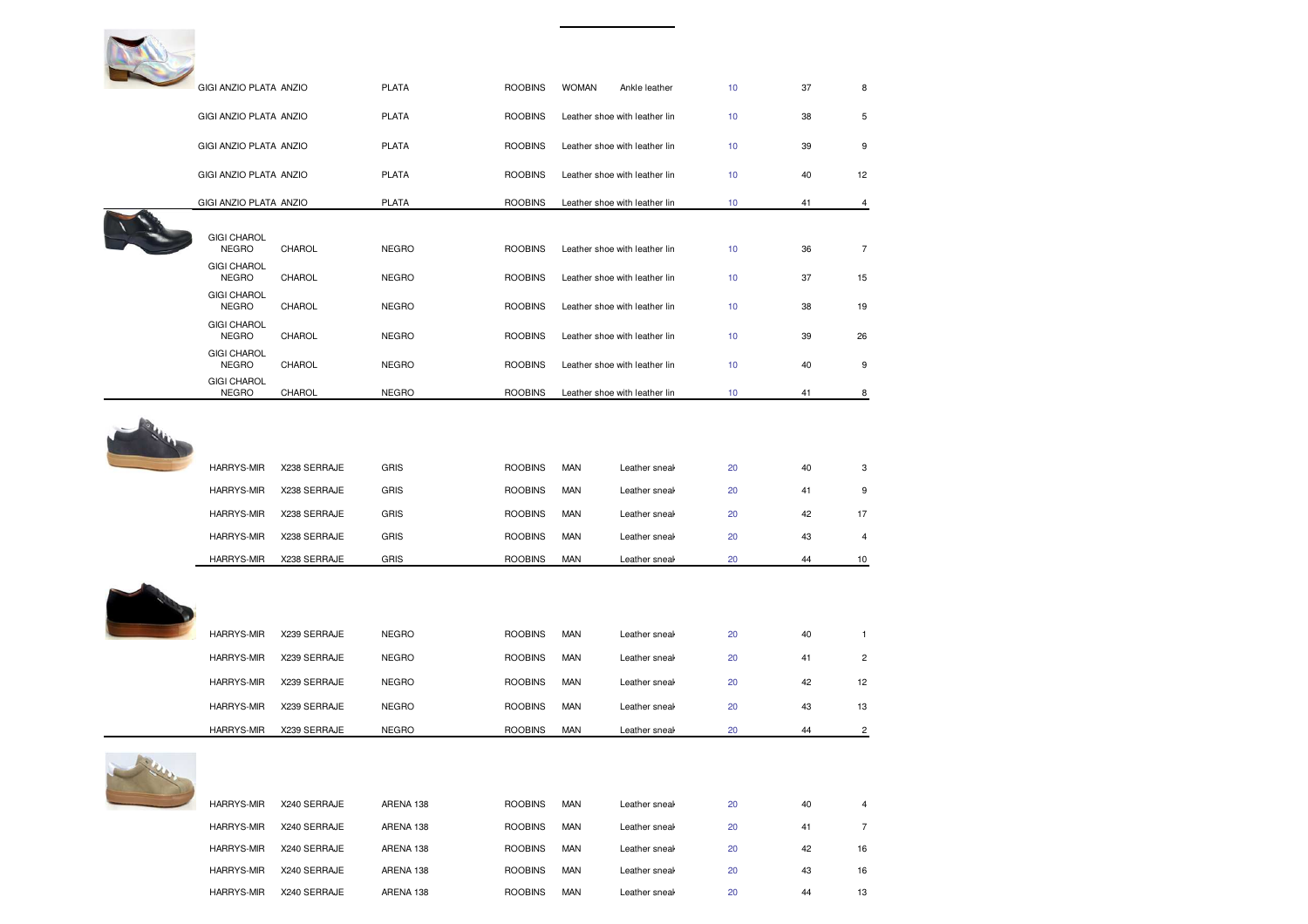| GIGI ANZIO PLATA ANZIO             |                     | <b>PLATA</b> | <b>ROOBINS</b> | <b>WOMAN</b> | Ankle leather                 | 10 <sub>1</sub> | 37 | 8              |
|------------------------------------|---------------------|--------------|----------------|--------------|-------------------------------|-----------------|----|----------------|
| GIGI ANZIO PLATA ANZIO             |                     | <b>PLATA</b> | <b>ROOBINS</b> |              | Leather shoe with leather lin | 10              | 38 | 5              |
| GIGI ANZIO PLATA ANZIO             |                     | <b>PLATA</b> | <b>ROOBINS</b> |              | Leather shoe with leather lin | 10 <sub>1</sub> | 39 | 9              |
| GIGI ANZIO PLATA ANZIO             |                     | <b>PLATA</b> | <b>ROOBINS</b> |              | Leather shoe with leather lin | 10              | 40 | 12             |
| GIGI ANZIO PLATA ANZIO             |                     | <b>PLATA</b> | <b>ROOBINS</b> |              | Leather shoe with leather lin | 10 <sub>1</sub> | 41 | 4              |
|                                    |                     |              |                |              |                               |                 |    |                |
| <b>GIGI CHAROL</b><br><b>NEGRO</b> | CHAROL              | <b>NEGRO</b> | <b>ROOBINS</b> |              | Leather shoe with leather lin | 10              | 36 | $\overline{7}$ |
| <b>GIGI CHAROL</b><br><b>NEGRO</b> | CHAROL              | <b>NEGRO</b> | <b>ROOBINS</b> |              | Leather shoe with leather lin | 10              | 37 | 15             |
| <b>GIGI CHAROL</b><br><b>NEGRO</b> | CHAROL              | <b>NEGRO</b> | <b>ROOBINS</b> |              | Leather shoe with leather lin | 10              | 38 | 19             |
| <b>GIGI CHAROL</b><br><b>NEGRO</b> | CHAROL              | <b>NEGRO</b> | <b>ROOBINS</b> |              | Leather shoe with leather lin | 10              | 39 | 26             |
| <b>GIGI CHAROL</b><br><b>NEGRO</b> | CHAROL              | <b>NEGRO</b> | <b>ROOBINS</b> |              | Leather shoe with leather lin | 10              | 40 | 9              |
| <b>GIGI CHAROL</b><br><b>NEGRO</b> | CHAROL              | <b>NEGRO</b> | <b>ROOBINS</b> |              | Leather shoe with leather lin | 10 <sub>1</sub> | 41 | 8              |
|                                    |                     |              |                |              |                               |                 |    |                |
| HARRYS-MIR                         | X238 SERRAJE        | <b>GRIS</b>  | <b>ROOBINS</b> | <b>MAN</b>   | Leather sneal                 | 20              | 40 | 3              |
| <b>HARRYS-MIR</b>                  | X238 SERRAJE        | <b>GRIS</b>  | <b>ROOBINS</b> | <b>MAN</b>   | Leather sneal                 | 20              | 41 | 9              |
| HARRYS-MIR                         | X238 SERRAJE        | GRIS         | <b>ROOBINS</b> | <b>MAN</b>   | Leather sneal                 | 20              | 42 | 17             |
| HARRYS-MIR                         | X238 SERRAJE        | GRIS         | <b>ROOBINS</b> | <b>MAN</b>   | Leather sneal                 | 20              | 43 | 4              |
| HARRYS-MIR                         | X238 SERRAJE        | GRIS         | <b>ROOBINS</b> | <b>MAN</b>   | Leather sneak                 | 20              | 44 | 10             |
|                                    |                     |              |                |              |                               |                 |    |                |
| <b>HARRYS-MIR</b>                  | X239 SERRAJE        | <b>NEGRO</b> | <b>ROOBINS</b> | MAN          | Leather sneal                 | 20              | 40 | $\mathbf{1}$   |
| HARRYS-MIR                         | X239 SERRAJE        | <b>NEGRO</b> | <b>ROOBINS</b> | <b>MAN</b>   | Leather sneal                 | 20              | 41 | $\overline{c}$ |
| HARRYS-MIR                         | X239 SERRAJE        | <b>NEGRO</b> | <b>ROOBINS</b> | <b>MAN</b>   | Leather sneak                 | 20              | 42 | 12             |
| HARRYS-MIR                         | X239 SERRAJE        | <b>NEGRO</b> | <b>ROOBINS</b> | <b>MAN</b>   | Leather sneal                 | 20              | 43 | 13             |
| HARRYS-MIR                         | X239 SERRAJE        | <b>NEGRO</b> | <b>ROOBINS</b> | <b>MAN</b>   | Leather sneak                 | 20              | 44 | 2              |
| HARRYS-MIR                         | <b>Y240 SERRAJE</b> | ARENA 138    | <b>ROOBINS</b> | <b>MAN</b>   | Leather sneak                 | 20              | 40 |                |
|                                    |                     |              |                |              |                               |                 |    |                |

| <b>HARRYS-MIR</b> | X240 SERRAJE | ARENA 138 | <b>ROOBINS</b> | <b>MAN</b> | Leather sneal | 20 | 40 | 4  |
|-------------------|--------------|-----------|----------------|------------|---------------|----|----|----|
| <b>HARRYS-MIR</b> | X240 SERRAJE | ARENA 138 | <b>ROOBINS</b> | <b>MAN</b> | Leather sneak | 20 | 41 |    |
| <b>HARRYS-MIR</b> | X240 SERRAJE | ARENA 138 | <b>ROOBINS</b> | <b>MAN</b> | Leather sneak | 20 | 42 | 16 |
| <b>HARRYS-MIR</b> | X240 SERRAJE | ARENA 138 | <b>ROOBINS</b> | <b>MAN</b> | Leather sneak | 20 | 43 | 16 |
| <b>HARRYS-MIR</b> | X240 SERRAJE | ARENA 138 | <b>ROOBINS</b> | <b>MAN</b> | Leather sneak | 20 | 44 | 13 |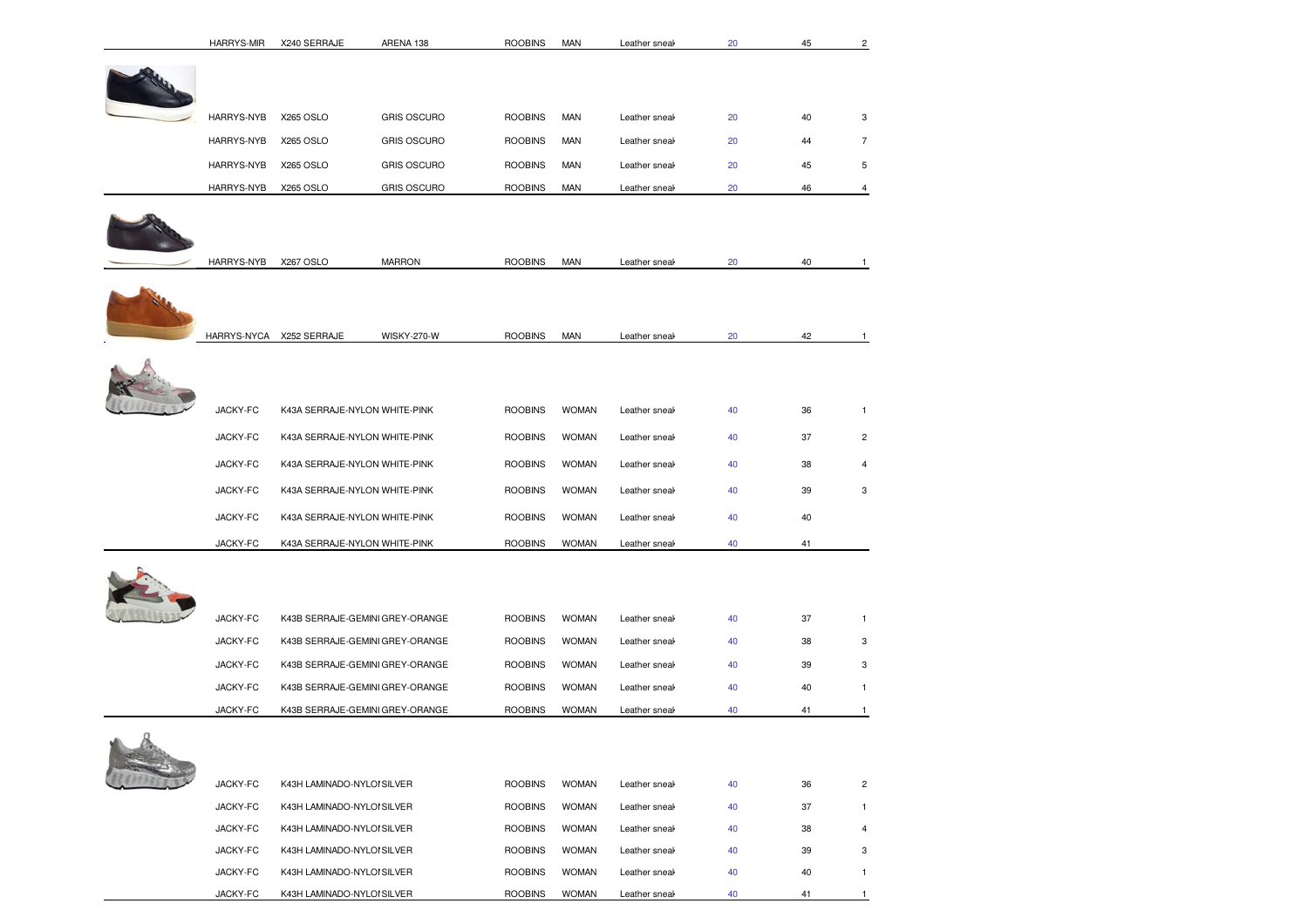|            | <b>HARRYS-MIR</b> | X240 SERRAJE                    | ARENA 138          | <b>ROOBINS</b> | <b>MAN</b>   | Leather sneal | 20 | 45 | $\overline{c}$ |
|------------|-------------------|---------------------------------|--------------------|----------------|--------------|---------------|----|----|----------------|
|            |                   |                                 |                    |                |              |               |    |    |                |
|            | HARRYS-NYB        | X265 OSLO                       | <b>GRIS OSCURO</b> | <b>ROOBINS</b> | MAN          | Leather sneak | 20 | 40 | 3              |
|            | HARRYS-NYB        | X265 OSLO                       | <b>GRIS OSCURO</b> | <b>ROOBINS</b> | <b>MAN</b>   | Leather sneak | 20 | 44 | 7              |
|            | HARRYS-NYB        | X265 OSLO                       | <b>GRIS OSCURO</b> | <b>ROOBINS</b> | <b>MAN</b>   | Leather sneal | 20 | 45 | 5              |
|            | HARRYS-NYB        | X265 OSLO                       | <b>GRIS OSCURO</b> | <b>ROOBINS</b> | MAN          | Leather sneak | 20 | 46 | 4              |
|            |                   |                                 |                    |                |              |               |    |    |                |
|            | HARRYS-NYB        | X267 OSLO                       | <b>MARRON</b>      | <b>ROOBINS</b> | <b>MAN</b>   | Leather sneal | 20 | 40 | 1              |
|            |                   |                                 |                    |                |              |               |    |    |                |
|            |                   | HARRYS-NYCA X252 SERRAJE        | WISKY-270-W        | <b>ROOBINS</b> | <b>MAN</b>   | Leather sneal | 20 | 42 | $\mathbf{1}$   |
|            |                   |                                 |                    |                |              |               |    |    |                |
|            | JACKY-FC          | K43A SERRAJE-NYLON WHITE-PINK   |                    | <b>ROOBINS</b> | <b>WOMAN</b> | Leather sneak | 40 | 36 | $\mathbf{1}$   |
|            | JACKY-FC          | K43A SERRAJE-NYLON WHITE-PINK   |                    | <b>ROOBINS</b> | <b>WOMAN</b> | Leather sneal | 40 | 37 | 2              |
|            | JACKY-FC          | K43A SERRAJE-NYLON WHITE-PINK   |                    | <b>ROOBINS</b> | <b>WOMAN</b> | Leather sneak | 40 | 38 | 4              |
|            | JACKY-FC          | K43A SERRAJE-NYLON WHITE-PINK   |                    | <b>ROOBINS</b> | <b>WOMAN</b> | Leather sneal | 40 | 39 | 3              |
|            | JACKY-FC          | K43A SERRAJE-NYLON WHITE-PINK   |                    | <b>ROOBINS</b> | <b>WOMAN</b> | Leather sneak | 40 | 40 |                |
|            | JACKY-FC          | K43A SERRAJE-NYLON WHITE-PINK   |                    | <b>ROOBINS</b> | <b>WOMAN</b> | Leather sneal | 40 | 41 |                |
|            |                   |                                 |                    |                |              |               |    |    |                |
|            | JACKY-FC          | K43B SERRAJE-GEMINI GREY-ORANGE |                    | <b>ROOBINS</b> | <b>WOMAN</b> | Leather sneak | 40 | 37 | $\mathbf{1}$   |
|            | JACKY-FC          | K43B SERRAJE-GEMINI GREY-ORANGE |                    | <b>ROOBINS</b> | <b>WOMAN</b> | Leather sneak | 40 | 38 | 3              |
|            | JACKY-FC          | K43B SERRAJE-GEMINI GREY-ORANGE |                    | <b>ROOBINS</b> | <b>WOMAN</b> | Leather sneak | 40 | 39 | 3              |
|            | JACKY-FC          | K43B SERRAJE-GEMINI GREY-ORANGE |                    | <b>ROOBINS</b> | <b>WOMAN</b> | Leather sneak | 40 | 40 | $\mathbf{1}$   |
|            | JACKY-FC          | K43B SERRAJE-GEMINI GREY-ORANGE |                    | <b>ROOBINS</b> | <b>WOMAN</b> | Leather sneal | 40 | 41 | $\mathbf{1}$   |
| $\sqrt{2}$ |                   |                                 |                    |                |              |               |    |    |                |
|            | JACKY-FC          | K43H LAMINADO-NYLOI SILVER      |                    | <b>ROOBINS</b> | <b>WOMAN</b> | Leather sneal | 40 | 36 | $\overline{c}$ |
|            | JACKY-FC          | K43H LAMINADO-NYLOI SILVER      |                    | <b>ROOBINS</b> | <b>WOMAN</b> | Leather sneak | 40 | 37 | 1              |
|            | JACKY-FC          | K43H LAMINADO-NYLOI SILVER      |                    | <b>ROOBINS</b> | <b>WOMAN</b> | Leather sneal | 40 | 38 | 4              |
|            | JACKY-FC          | K43H LAMINADO-NYLOI SILVER      |                    | <b>ROOBINS</b> | <b>WOMAN</b> | Leather sneal | 40 | 39 | 3              |
|            | JACKY-FC          | K43H LAMINADO-NYLOI SILVER      |                    | <b>ROOBINS</b> | <b>WOMAN</b> | Leather sneak | 40 | 40 | 1              |
|            | JACKY-FC          | K43H LAMINADO-NYLOI SILVER      |                    | <b>ROOBINS</b> | <b>WOMAN</b> | Leather sneal | 40 | 41 | 1              |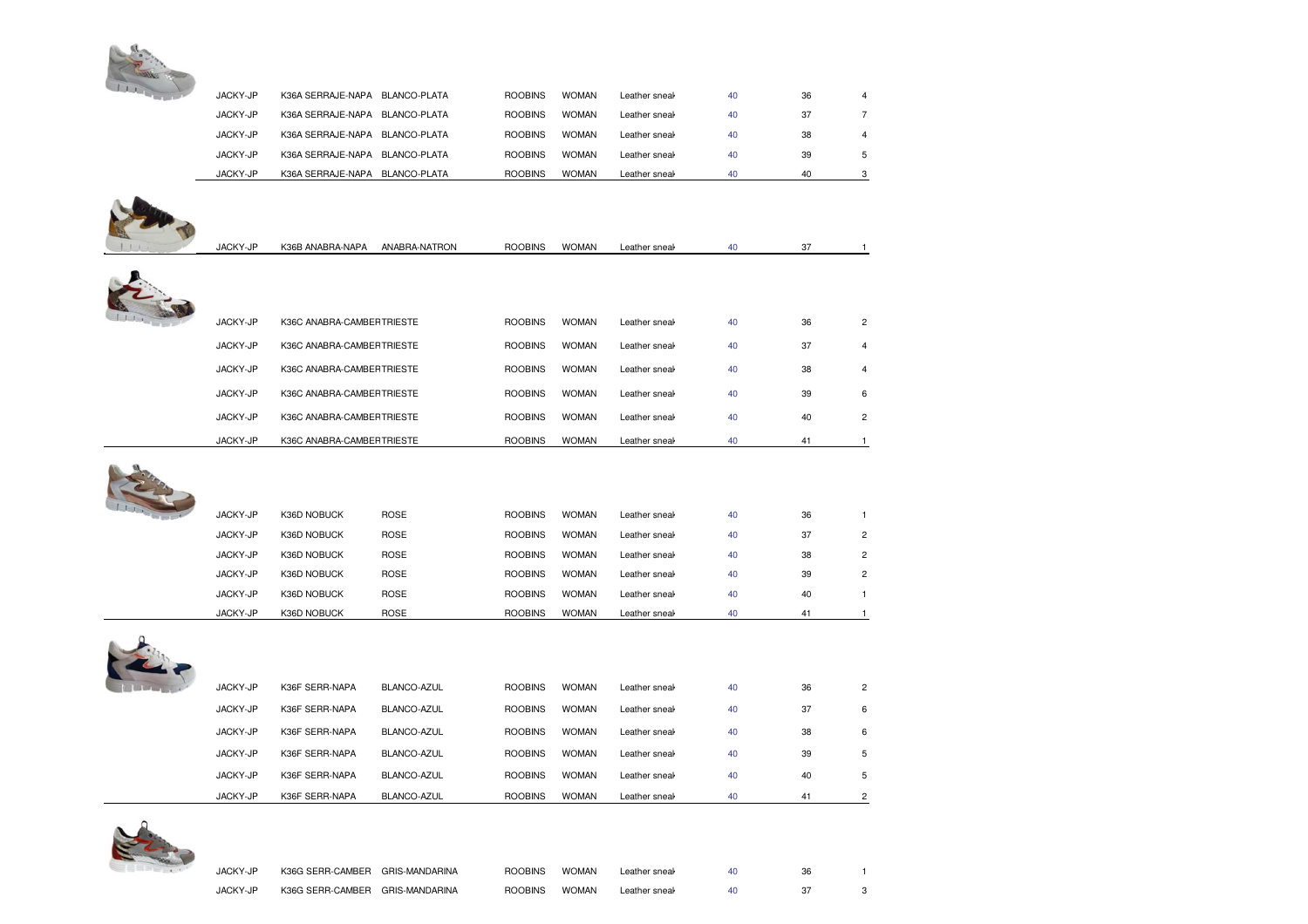

| JACKY-JP | K36A SERRAJE-NAPA BLANCO-PLATA |               | <b>ROOBINS</b> | <b>WOMAN</b> | Leather sneal | 40 | 36 | 4                       |
|----------|--------------------------------|---------------|----------------|--------------|---------------|----|----|-------------------------|
| JACKY-JP | K36A SERRAJE-NAPA BLANCO-PLATA |               | <b>ROOBINS</b> | <b>WOMAN</b> | Leather sneal | 40 | 37 | 7                       |
| JACKY-JP | K36A SERRAJE-NAPA BLANCO-PLATA |               | <b>ROOBINS</b> | <b>WOMAN</b> | Leather sneal | 40 | 38 | 4                       |
| JACKY-JP | K36A SERRAJE-NAPA BLANCO-PLATA |               | <b>ROOBINS</b> | <b>WOMAN</b> | Leather sneal | 40 | 39 | 5                       |
| JACKY-JP | K36A SERRAJE-NAPA BLANCO-PLATA |               | <b>ROOBINS</b> | <b>WOMAN</b> | Leather sneal | 40 | 40 | 3                       |
|          |                                |               |                |              |               |    |    |                         |
|          |                                |               |                |              |               |    |    |                         |
|          |                                |               |                |              |               |    |    |                         |
| JACKY-JP | K36B ANABRA-NAPA               | ANABRA-NATRON | <b>ROOBINS</b> | <b>WOMAN</b> | Leather sneak | 40 | 37 | $\mathbf{1}$            |
|          |                                |               |                |              |               |    |    |                         |
|          |                                |               |                |              |               |    |    |                         |
|          |                                |               |                |              |               |    |    |                         |
| JACKY-JP | K36C ANABRA-CAMBEF TRIESTE     |               | <b>ROOBINS</b> | <b>WOMAN</b> | Leather sneal | 40 | 36 | 2                       |
| JACKY-JP | K36C ANABRA-CAMBEF TRIESTE     |               | <b>ROOBINS</b> | <b>WOMAN</b> | Leather sneal | 40 | 37 | $\overline{4}$          |
| JACKY-JP | K36C ANABRA-CAMBEFTRIESTE      |               | <b>ROOBINS</b> | <b>WOMAN</b> | Leather sneal | 40 | 38 | 4                       |
| JACKY-JP | K36C ANABRA-CAMBEF TRIESTE     |               | <b>ROOBINS</b> | <b>WOMAN</b> | Leather sneal | 40 | 39 | 6                       |
| JACKY-JP | K36C ANABRA-CAMBEFTRIESTE      |               | <b>ROOBINS</b> | <b>WOMAN</b> | Leather sneal | 40 | 40 | $\overline{2}$          |
| JACKY-JP | K36C ANABRA-CAMBEF TRIESTE     |               | <b>ROOBINS</b> | <b>WOMAN</b> | Leather sneal | 40 | 41 | $\mathbf{1}$            |
|          |                                |               |                |              |               |    |    |                         |
|          |                                |               |                |              |               |    |    |                         |
|          |                                |               |                |              |               |    |    |                         |
| JACKY-JP | K36D NOBUCK                    | <b>ROSE</b>   | <b>ROOBINS</b> | <b>WOMAN</b> | Leather sneal | 40 | 36 | $\mathbf{1}$            |
| JACKY-JP | K36D NOBUCK                    | <b>ROSE</b>   | <b>ROOBINS</b> | <b>WOMAN</b> | Leather sneal | 40 | 37 | $\overline{\mathbf{c}}$ |
| JACKY-JP | K36D NOBUCK                    | <b>ROSE</b>   | <b>ROOBINS</b> | <b>WOMAN</b> | Leather sneal | 40 | 38 | $\overline{2}$          |
| JACKY-JP | K36D NOBUCK                    | <b>ROSE</b>   | <b>ROOBINS</b> | <b>WOMAN</b> | Leather sneal | 40 | 39 | 2                       |
| JACKY-JP | K36D NOBUCK                    | <b>ROSE</b>   | <b>ROOBINS</b> | <b>WOMAN</b> | Leather sneal | 40 | 40 | $\mathbf{1}$            |
| JACKY-JP | K36D NOBUCK                    | <b>ROSE</b>   | <b>ROOBINS</b> | <b>WOMAN</b> | Leather sneal | 40 | 41 | $\mathbf{1}$            |
|          |                                |               |                |              |               |    |    |                         |
|          |                                |               |                |              |               |    |    |                         |
|          |                                |               |                |              |               |    |    |                         |
| JACKY-JP | K36F SERR-NAPA                 | BLANCO-AZUL   | <b>ROOBINS</b> | <b>WOMAN</b> | Leather sneal | 40 | 36 | $\overline{\mathbf{c}}$ |
| JACKY-JP | K36F SERR-NAPA                 | BLANCO-AZUL   | <b>ROOBINS</b> | <b>WOMAN</b> | Leather sneal | 40 | 37 | 6                       |
| JACKY-JP | K36F SERR-NAPA                 | BLANCO-AZUL   | <b>ROOBINS</b> | <b>WOMAN</b> | Leather sneal | 40 | 38 | 6                       |
|          |                                |               |                |              |               |    |    |                         |

| JACKY-JP | K36G SERR-CAMBER                | GRIS-MANDARINA | <b>ROOBINS</b> | <b>WOMAN</b> | Leather sneak | 40 | 36 |  |
|----------|---------------------------------|----------------|----------------|--------------|---------------|----|----|--|
| JACKY-JP | K36G SERR-CAMBER GRIS-MANDARINA |                | <b>ROOBINS</b> | <b>WOMAN</b> | Leather sneal |    |    |  |

Leather sneak and lace closure 10 39 5

Leather sneak and lace text 40 40 5

Leather sneak and lace closure 40 41 2

JACKY-JP K36F SERR-NAPA BLANCO-AZUL ROOBINS WOMAN

JACKY-JP K36F SERR-NAPA BLANCO-AZUL ROOBINS WOMAN

JACKY-JP K36F SERR-NAPA BLANCO-AZUL ROOBINS WOMAN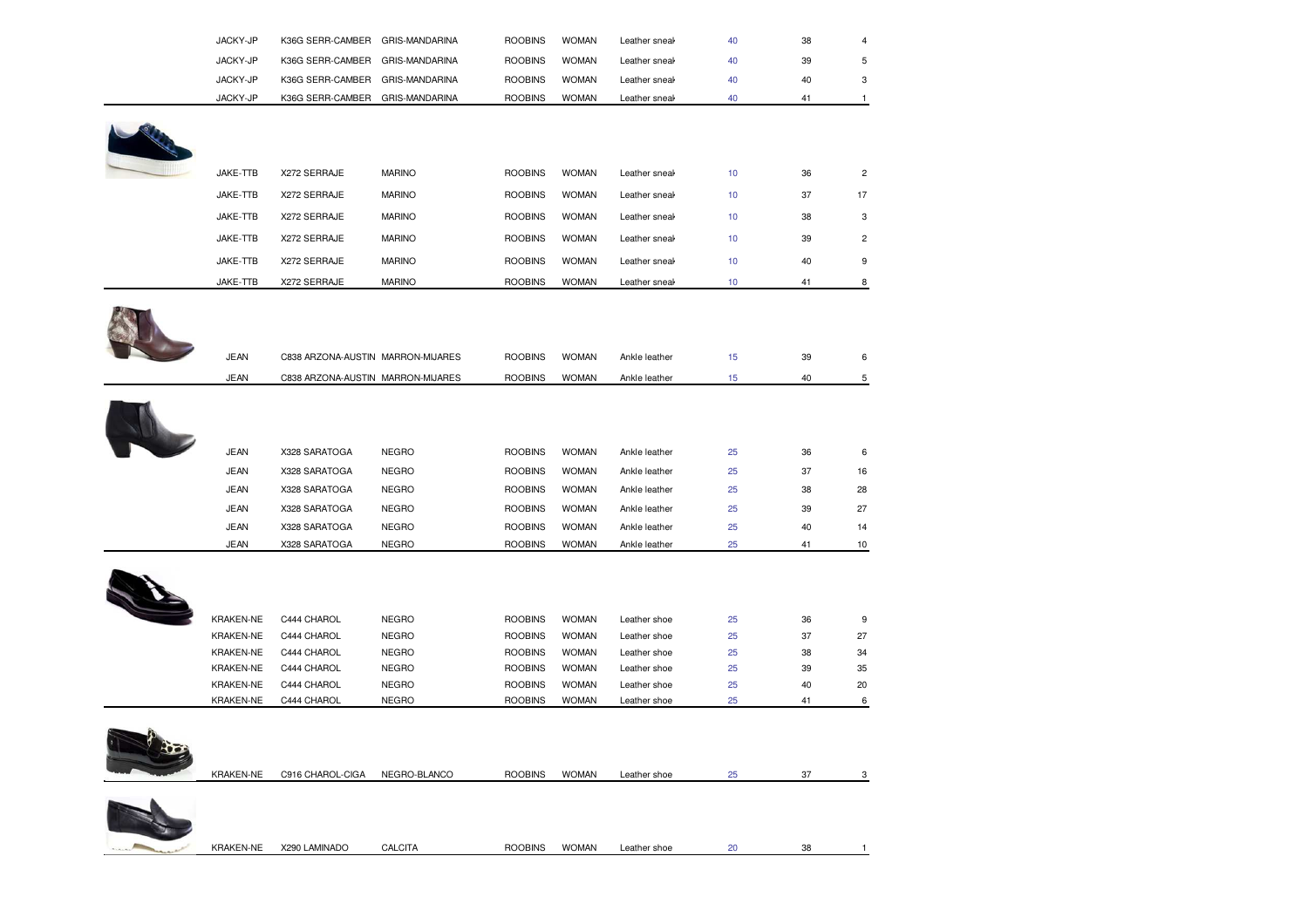| JACKY-JP<br>JACKY-JP | K36G SERR-CAMBER<br>K36G SERR-CAMBER | GRIS-MANDARINA<br>GRIS-MANDARINA | <b>ROOBINS</b><br><b>ROOBINS</b> | <b>WOMAN</b><br><b>WOMAN</b> | Leather sneal | 40<br>40 | 38<br>39 | 4 |
|----------------------|--------------------------------------|----------------------------------|----------------------------------|------------------------------|---------------|----------|----------|---|
|                      |                                      |                                  |                                  |                              | Leather sneal |          |          | 5 |
| JACKY-JP             | K36G SERR-CAMBER                     | GRIS-MANDARINA                   | <b>ROOBINS</b>                   | <b>WOMAN</b>                 | Leather sneal | 40       | 40       |   |
| JACKY-JP             | K36G SERR-CAMBER                     | GRIS-MANDARINA                   | <b>ROOBINS</b>                   | <b>WOMAN</b>                 | Leather sneal | 40       | 41       |   |

| JAKE-TTB | X272 SERRAJE | <b>MARINO</b> | <b>ROOBINS</b> | <b>WOMAN</b> | Leather sneak | 10 <sup>°</sup>  | 36 | $\overline{c}$ |
|----------|--------------|---------------|----------------|--------------|---------------|------------------|----|----------------|
| JAKE-TTB | X272 SERRAJE | <b>MARINO</b> | <b>ROOBINS</b> | <b>WOMAN</b> | Leather sneak | 10 <sup>10</sup> | 37 | 17             |
| JAKE-TTB | X272 SERRAJE | <b>MARINO</b> | <b>ROOBINS</b> | <b>WOMAN</b> | Leather sneak | 10               | 38 | 3              |
| JAKE-TTB | X272 SERRAJE | <b>MARINO</b> | <b>ROOBINS</b> | <b>WOMAN</b> | Leather sneak | 10               | 39 | $\overline{2}$ |
| JAKE-TTB | X272 SERRAJE | <b>MARINO</b> | <b>ROOBINS</b> | <b>WOMAN</b> | Leather sneak | 10 <sup>10</sup> | 40 | 9              |
| JAKE-TTB | X272 SERRAJE | <b>MARINO</b> | <b>ROOBINS</b> | <b>WOMAN</b> | Leather sneak | 10               | 41 | 8              |



| <b>JEAN</b> | C838 ARZONA-AUSTIN MARRON-MIJARES |              | <b>ROOBINS</b> | <b>WOMAN</b> | Ankle leather | 15 | 39 | 6  |
|-------------|-----------------------------------|--------------|----------------|--------------|---------------|----|----|----|
| <b>JEAN</b> | C838 ARZONA-AUSTIN MARRON-MIJARES |              | <b>ROOBINS</b> | <b>WOMAN</b> | Ankle leather | 15 | 40 | 5  |
|             |                                   |              |                |              |               |    |    |    |
|             |                                   |              |                |              |               |    |    |    |
|             |                                   |              |                |              |               |    |    |    |
| <b>JEAN</b> | X328 SARATOGA                     | <b>NEGRO</b> | <b>ROOBINS</b> | <b>WOMAN</b> | Ankle leather | 25 | 36 | 6  |
| <b>JEAN</b> | X328 SARATOGA                     | <b>NEGRO</b> | <b>ROOBINS</b> | <b>WOMAN</b> | Ankle leather | 25 | 37 | 16 |
| <b>JEAN</b> | X328 SARATOGA                     | <b>NEGRO</b> | <b>ROOBINS</b> | <b>WOMAN</b> | Ankle leather | 25 | 38 | 28 |
| <b>JEAN</b> | X328 SARATOGA                     | <b>NEGRO</b> | <b>ROOBINS</b> | <b>WOMAN</b> | Ankle leather | 25 | 39 | 27 |
| <b>JEAN</b> | X328 SARATOGA                     | <b>NEGRO</b> | <b>ROOBINS</b> | <b>WOMAN</b> | Ankle leather | 25 | 40 | 14 |
| <b>JEAN</b> | X328 SARATOGA                     | <b>NEGRO</b> | <b>ROOBINS</b> | <b>WOMAN</b> | Ankle leather | 25 | 41 | 10 |



| <b>KRAKEN-NE</b> | C444 CHAROL | <b>NEGRO</b> | <b>ROOBINS</b> | <b>WOMAN</b> | Leather shoe | 25 | 36 | 9  |
|------------------|-------------|--------------|----------------|--------------|--------------|----|----|----|
| <b>KRAKEN-NE</b> | C444 CHAROL | <b>NEGRO</b> | <b>ROOBINS</b> | <b>WOMAN</b> | Leather shoe | 25 | 37 | 27 |
| <b>KRAKEN-NE</b> | C444 CHAROL | <b>NEGRO</b> | <b>ROOBINS</b> | <b>WOMAN</b> | Leather shoe | 25 | 38 | 34 |
| <b>KRAKEN-NE</b> | C444 CHAROL | <b>NEGRO</b> | <b>ROOBINS</b> | <b>WOMAN</b> | Leather shoe | 25 | 39 | 35 |
| <b>KRAKEN-NE</b> | C444 CHAROL | <b>NEGRO</b> | <b>ROOBINS</b> | <b>WOMAN</b> | Leather shoe | 25 | 40 | 20 |
| <b>KRAKEN-NE</b> | C444 CHAROL | <b>NEGRO</b> | <b>ROOBINS</b> | <b>WOMAN</b> | Leather shoe | 25 | 41 | 6  |
|                  |             |              |                |              |              |    |    |    |



| <b>KRAKEN-NE</b> | <b>CIGA</b><br><b>CHAROL</b><br>C916 ( | NEGRO-<br>$E^{\mu}$<br><b>BLANCO</b> | <b>ROOBINS</b> | <b>WOMAN</b> | Leather shoe | $\sim$ $-$<br>. . |  |
|------------------|----------------------------------------|--------------------------------------|----------------|--------------|--------------|-------------------|--|
|                  |                                        |                                      |                |              |              |                   |  |

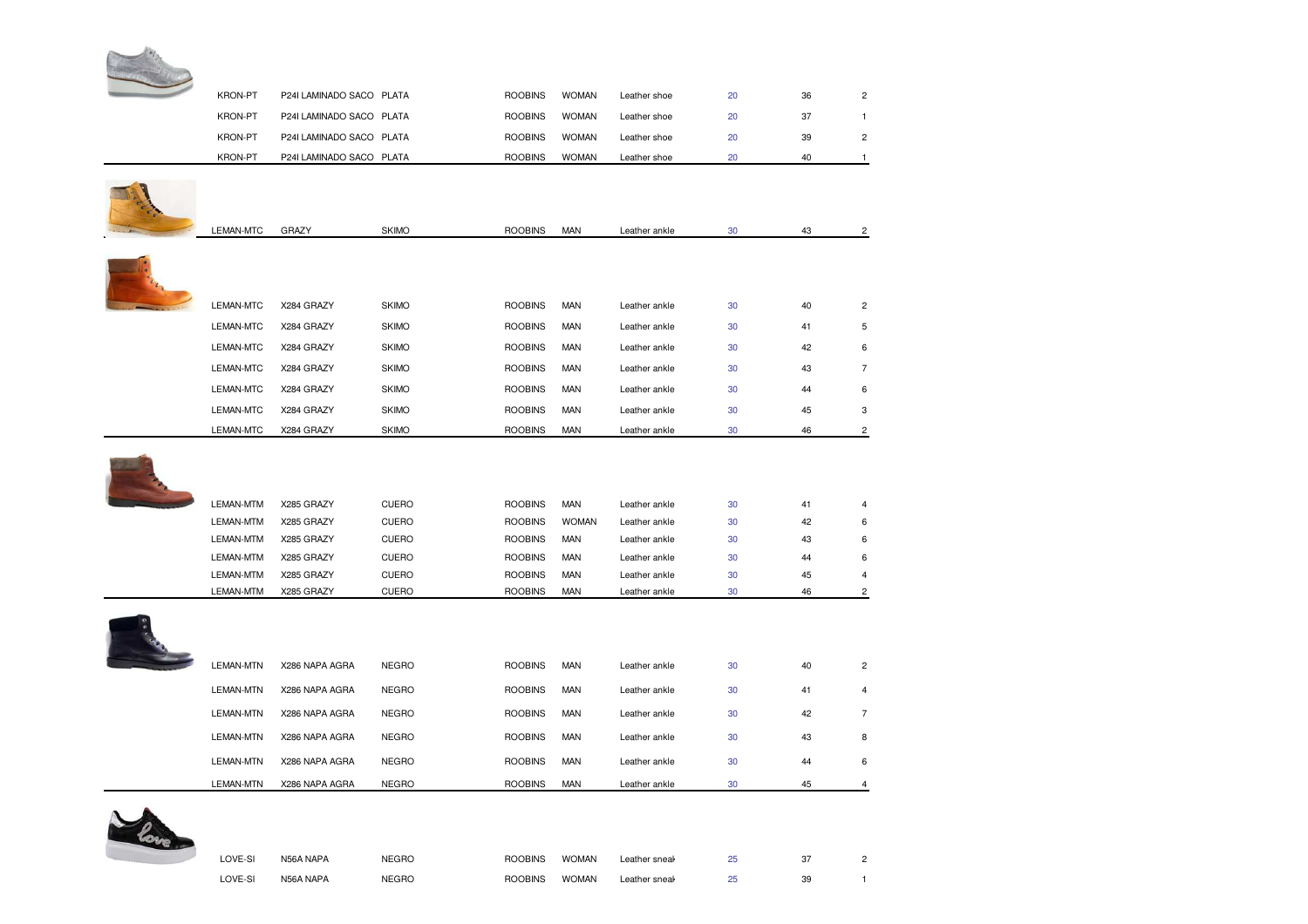| KRON-PT          | P24I LAMINADO SACO PLATA |              | <b>ROOBINS</b> | <b>WOMAN</b> | Leather shoe  | 20 | 36 | $\overline{2}$ |
|------------------|--------------------------|--------------|----------------|--------------|---------------|----|----|----------------|
| <b>KRON-PT</b>   | P24I LAMINADO SACO PLATA |              | <b>ROOBINS</b> | <b>WOMAN</b> | Leather shoe  | 20 | 37 | $\mathbf{1}$   |
| <b>KRON-PT</b>   | P24I LAMINADO SACO PLATA |              | <b>ROOBINS</b> | <b>WOMAN</b> | Leather shoe  | 20 | 39 | $\overline{c}$ |
| <b>KRON-PT</b>   | P24I LAMINADO SACO PLATA |              | <b>ROOBINS</b> | <b>WOMAN</b> | Leather shoe  | 20 | 40 | $\mathbf{1}$   |
|                  |                          |              |                |              |               |    |    |                |
|                  |                          |              |                |              |               |    |    |                |
|                  |                          |              |                |              |               |    |    |                |
| LEMAN-MTC        | <b>GRAZY</b>             | <b>SKIMO</b> | <b>ROOBINS</b> | <b>MAN</b>   | Leather ankle | 30 | 43 | 2              |
|                  |                          |              |                |              |               |    |    |                |
|                  |                          |              |                |              |               |    |    |                |
|                  |                          |              |                |              |               |    |    |                |
| LEMAN-MTC        | X284 GRAZY               | <b>SKIMO</b> | <b>ROOBINS</b> | <b>MAN</b>   | Leather ankle | 30 | 40 | $\overline{c}$ |
| LEMAN-MTC        | X284 GRAZY               | <b>SKIMO</b> | <b>ROOBINS</b> | <b>MAN</b>   | Leather ankle | 30 | 41 | 5              |
| <b>LEMAN-MTC</b> | X284 GRAZY               | <b>SKIMO</b> | <b>ROOBINS</b> | <b>MAN</b>   | Leather ankle | 30 | 42 | 6              |
| <b>LEMAN-MTC</b> | X284 GRAZY               | <b>SKIMO</b> | <b>ROOBINS</b> | <b>MAN</b>   | Leather ankle | 30 | 43 | $\overline{7}$ |
| LEMAN-MTC        | X284 GRAZY               | <b>SKIMO</b> | <b>ROOBINS</b> | <b>MAN</b>   | Leather ankle | 30 | 44 | 6              |
| <b>LEMAN-MTC</b> | X284 GRAZY               | <b>SKIMO</b> | <b>ROOBINS</b> | <b>MAN</b>   | Leather ankle | 30 | 45 | 3              |
| LEMAN-MTC        | X284 GRAZY               | <b>SKIMO</b> | <b>ROOBINS</b> | <b>MAN</b>   | Leather ankle | 30 | 46 | 2              |
| LEMAN-MTM        | X285 GRAZY               | CUERO        | <b>ROOBINS</b> | <b>MAN</b>   | Leather ankle | 30 | 41 | 4              |
| LEMAN-MTM        | X285 GRAZY               | CUERO        | <b>ROOBINS</b> | <b>WOMAN</b> | Leather ankle | 30 | 42 | 6              |
| LEMAN-MTM        | X285 GRAZY               | CUERO        | <b>ROOBINS</b> | <b>MAN</b>   | Leather ankle | 30 | 43 | 6              |
| LEMAN-MTM        | X285 GRAZY               | <b>CUERO</b> | <b>ROOBINS</b> | <b>MAN</b>   | Leather ankle | 30 | 44 | 6              |
| LEMAN-MTM        | X285 GRAZY               | CUERO        | <b>ROOBINS</b> | <b>MAN</b>   | Leather ankle | 30 | 45 | 4              |
| LEMAN-MTM        | X285 GRAZY               | <b>CUERO</b> | <b>ROOBINS</b> | <b>MAN</b>   | Leather ankle | 30 | 46 | $\overline{c}$ |
|                  |                          |              |                |              |               |    |    |                |
| LEMAN-MTN        | X286 NAPA AGRA           | <b>NEGRO</b> | <b>ROOBINS</b> | <b>MAN</b>   | Leather ankle | 30 | 40 | $\overline{c}$ |
| LEMAN-MTN        | X286 NAPA AGRA           | <b>NEGRO</b> | <b>ROOBINS</b> | <b>MAN</b>   | Leather ankle | 30 | 41 | 4              |
| <b>LEMAN-MTN</b> | X286 NAPA AGRA           | <b>NEGRO</b> | <b>ROOBINS</b> | <b>MAN</b>   | Leather ankle | 30 | 42 | $\overline{7}$ |
| <b>LEMAN-MTN</b> | X286 NAPA AGRA           | <b>NEGRO</b> | <b>ROOBINS</b> | <b>MAN</b>   | Leather ankle | 30 | 43 | 8              |
| <b>LEMAN-MTN</b> | X286 NAPA AGRA           | <b>NEGRO</b> | <b>ROOBINS</b> | <b>MAN</b>   | Leather ankle | 30 | 44 | 6              |
|                  |                          |              |                |              |               |    |    |                |



| I OVE-SI | IADA | IFAB<br>____ | <b>ROOBINS</b> | <b>WOMAN</b> | Leather sneal | $\sim$<br>__ | $\sim$<br>ىر |  |
|----------|------|--------------|----------------|--------------|---------------|--------------|--------------|--|
| I OVE-SI | ADA  | IFAB<br>____ | <b>ROOBINS</b> | <b>WOMAN</b> | eather sneal. | $\sim$<br>__ | 39<br>$ -$   |  |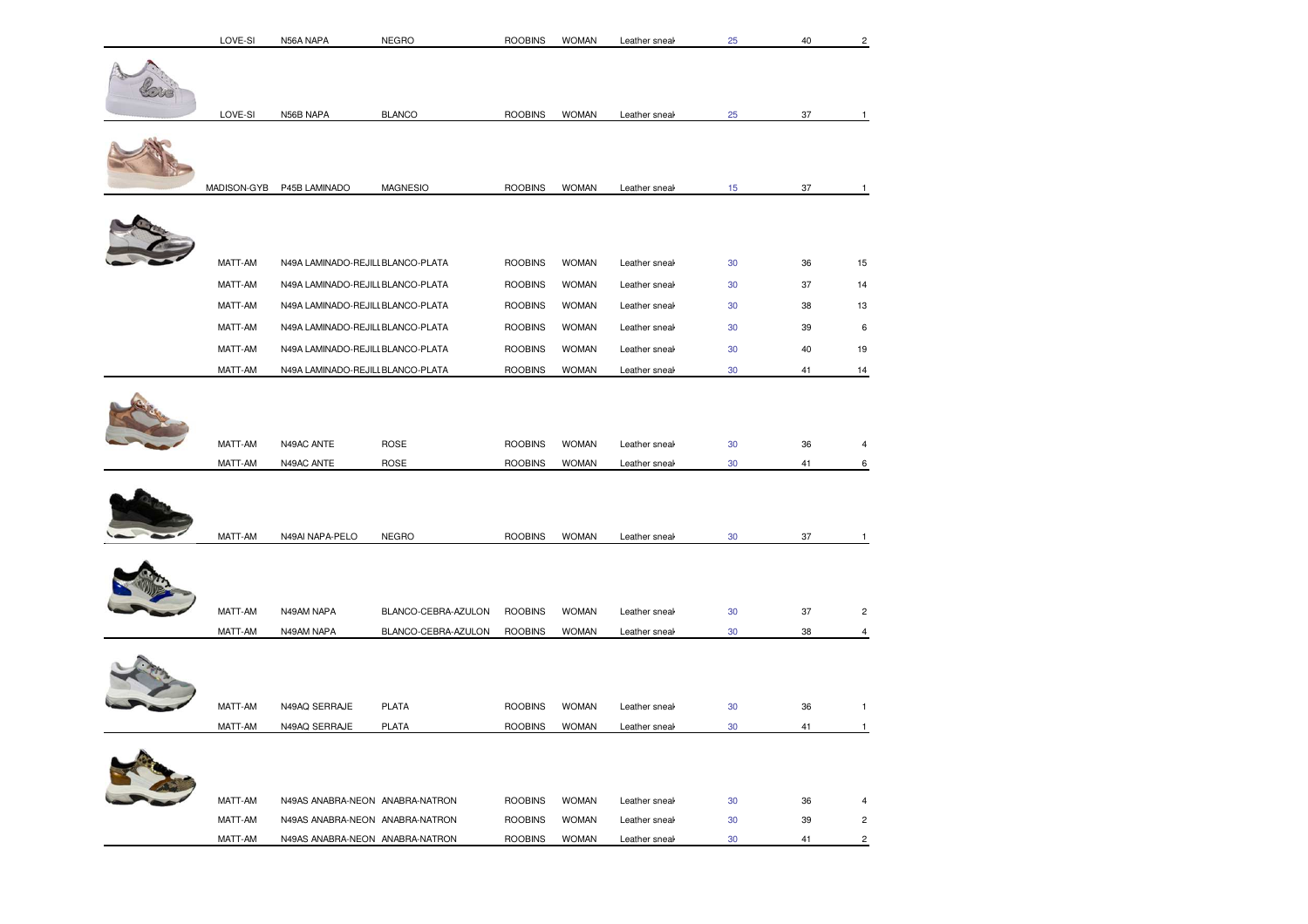| LOVE-SI            | N56A NAPA                         | <b>NEGRO</b>                               | <b>ROOBINS</b>                   | <b>WOMAN</b>                 | Leather sneak                  | 25           | 40       |                              |
|--------------------|-----------------------------------|--------------------------------------------|----------------------------------|------------------------------|--------------------------------|--------------|----------|------------------------------|
|                    |                                   |                                            |                                  |                              |                                |              |          |                              |
| LOVE-SI            | N56B NAPA                         | <b>BLANCO</b>                              | <b>ROOBINS</b>                   | <b>WOMAN</b>                 | Leather sneak                  | 25           | 37       | $\mathbf{1}$                 |
|                    |                                   |                                            |                                  |                              |                                |              |          |                              |
|                    |                                   |                                            |                                  |                              |                                |              |          |                              |
| MADISON-GYB        | P45B LAMINADO                     | MAGNESIO                                   | <b>ROOBINS</b>                   | <b>WOMAN</b>                 | Leather sneal                  | 15           | 37       | 1                            |
|                    |                                   |                                            |                                  |                              |                                |              |          |                              |
| MATT-AM            | N49A LAMINADO-REJILI BLANCO-PLATA |                                            | <b>ROOBINS</b>                   | <b>WOMAN</b>                 | Leather sneak                  | $30\,$       | 36       | 15                           |
| MATT-AM            | N49A LAMINADO-REJILI BLANCO-PLATA |                                            | <b>ROOBINS</b>                   | <b>WOMAN</b>                 | Leather sneak                  | 30           | 37       | 14                           |
| MATT-AM            | N49A LAMINADO-REJILI BLANCO-PLATA |                                            | <b>ROOBINS</b>                   | <b>WOMAN</b>                 | Leather sneak                  | 30           | 38       | 13                           |
| MATT-AM            | N49A LAMINADO-REJILI BLANCO-PLATA |                                            | <b>ROOBINS</b>                   | <b>WOMAN</b>                 | Leather sneak                  | 30           | 39       | 6                            |
| MATT-AM            | N49A LAMINADO-REJILI BLANCO-PLATA |                                            | <b>ROOBINS</b>                   | <b>WOMAN</b>                 | Leather sneak                  | 30           | 40       | 19                           |
| MATT-AM            | N49A LAMINADO-REJILI BLANCO-PLATA |                                            | <b>ROOBINS</b>                   | <b>WOMAN</b>                 | Leather sneak                  | 30           | 41       | 14                           |
| MATT-AM<br>MATT-AM | N49AC ANTE<br>N49AC ANTE          | ROSE<br>ROSE                               | <b>ROOBINS</b><br><b>ROOBINS</b> | <b>WOMAN</b><br><b>WOMAN</b> | Leather sneak<br>Leather sneak | 30<br>30     | 36<br>41 | $\overline{4}$<br>6          |
| MATT-AM            | N49AI NAPA-PELO                   | <b>NEGRO</b>                               | <b>ROOBINS</b>                   | <b>WOMAN</b>                 | Leather sneak                  | 30           | 37       | $\mathbf{1}$                 |
| MATT-AM<br>MATT-AM | N49AM NAPA<br>N49AM NAPA          | BLANCO-CEBRA-AZULON<br>BLANCO-CEBRA-AZULON | <b>ROOBINS</b><br><b>ROOBINS</b> | <b>WOMAN</b><br><b>WOMAN</b> | Leather sneak<br>Leather sneak | 30<br>30     | 37<br>38 | $\overline{c}$<br>4          |
| MATT-AM            | N49AQ SERRAJE                     | <b>PLATA</b>                               |                                  |                              |                                |              |          |                              |
| MATT-AM            | N49AQ SERRAJE                     | <b>PLATA</b>                               | <b>ROOBINS</b><br><b>ROOBINS</b> | <b>WOMAN</b><br><b>WOMAN</b> | Leather sneal<br>Leather sneak | $30\,$<br>30 | 36<br>41 | $\mathbf{1}$<br>$\mathbf{1}$ |
|                    |                                   |                                            |                                  |                              |                                |              |          |                              |
| MATT-AM            | N49AS ANABRA-NEON ANABRA-NATRON   |                                            | <b>ROOBINS</b>                   | <b>WOMAN</b>                 | Leather sneak                  | 30           | 36       | $\overline{4}$               |
| MATT-AM            | N49AS ANABRA-NEON ANABRA-NATRON   |                                            | <b>ROOBINS</b>                   | <b>WOMAN</b>                 | Leather sneak                  | 30           | 39       | $\overline{c}$               |
| MATT-AM            | N49AS ANABRA-NEON ANABRA-NATRON   |                                            | <b>ROOBINS</b>                   | <b>WOMAN</b>                 | Leather sneak                  | 30           | 41       | $\overline{c}$               |
|                    |                                   |                                            |                                  |                              |                                |              |          |                              |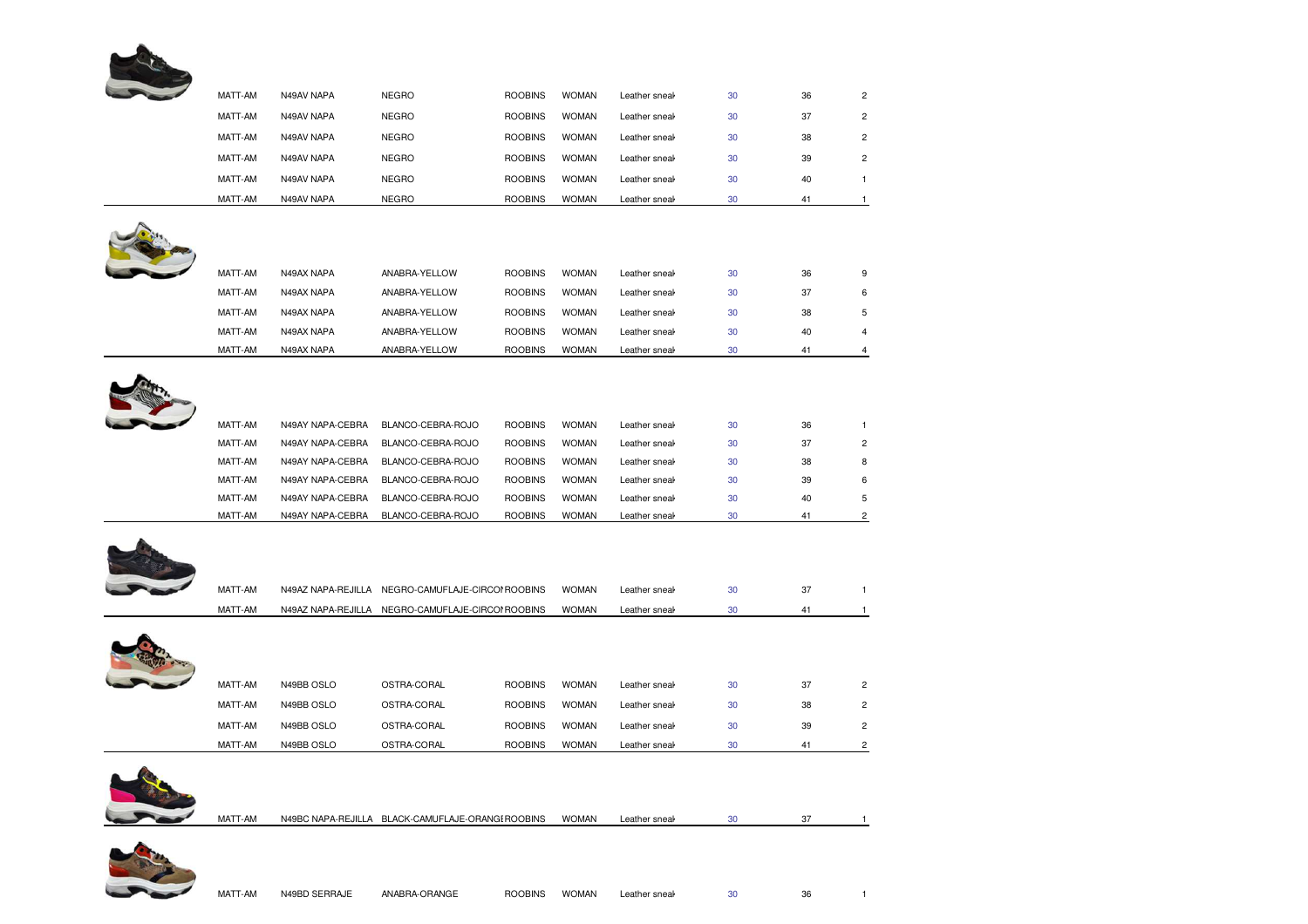

| MATT-AM | N49AV NAPA | <b>NEGRO</b> | <b>ROOBINS</b> | <b>WOMAN</b> | Leather sneal | 30 | 36             | 2 |
|---------|------------|--------------|----------------|--------------|---------------|----|----------------|---|
| MATT-AM | N49AV NAPA | <b>NEGRO</b> | <b>ROOBINS</b> | <b>WOMAN</b> | Leather sneal | 30 | 37             | 2 |
| MATT-AM | N49AV NAPA | <b>NEGRO</b> | <b>ROOBINS</b> | <b>WOMAN</b> | Leather sneal | 30 | 38             | 2 |
| MATT-AM | N49AV NAPA | <b>NEGRO</b> | <b>ROOBINS</b> | <b>WOMAN</b> | Leather sneak | 30 | 39             | 2 |
| MATT-AM | N49AV NAPA | <b>NEGRO</b> | <b>ROOBINS</b> | <b>WOMAN</b> | Leather sneal | 30 | 40             |   |
| MATT-AM | N49AV NAPA | <b>NEGRO</b> | <b>ROOBINS</b> | <b>WOMAN</b> | Leather sneal | 30 | 4 <sup>1</sup> |   |

| <b>MA</b> |
|-----------|

| MATT-AM<br><b>WOMAN</b><br>36<br>N49AX NAPA<br>ANABRA-YELLOW<br><b>ROOBINS</b><br>30<br>Leather sneal<br>9<br>37<br><b>WOMAN</b><br>MATT-AM<br>30<br>N49AX NAPA<br>ANABRA-YELLOW<br><b>ROOBINS</b><br>Leather sneal<br><b>WOMAN</b><br>MATT-AM<br>N49AX NAPA<br>ANABRA-YELLOW<br><b>ROOBINS</b><br>38<br>30<br>Leather sneal<br><b>WOMAN</b><br>MATT-AM<br>N49AX NAPA<br>ANABRA-YELLOW<br><b>ROOBINS</b><br>30<br>40<br>Leather sneal<br>4<br><b>WOMAN</b><br>MATT-AM<br>30<br>41<br>N49AX NAPA<br>ANABRA-YELLOW<br><b>ROOBINS</b><br>Leather sneal |  |  |  |  |  |
|-----------------------------------------------------------------------------------------------------------------------------------------------------------------------------------------------------------------------------------------------------------------------------------------------------------------------------------------------------------------------------------------------------------------------------------------------------------------------------------------------------------------------------------------------------|--|--|--|--|--|
|                                                                                                                                                                                                                                                                                                                                                                                                                                                                                                                                                     |  |  |  |  |  |
|                                                                                                                                                                                                                                                                                                                                                                                                                                                                                                                                                     |  |  |  |  |  |
|                                                                                                                                                                                                                                                                                                                                                                                                                                                                                                                                                     |  |  |  |  |  |
|                                                                                                                                                                                                                                                                                                                                                                                                                                                                                                                                                     |  |  |  |  |  |
|                                                                                                                                                                                                                                                                                                                                                                                                                                                                                                                                                     |  |  |  |  |  |



| MATT-AM | N49AY NAPA-CEBRA | BLANCO-CEBRA-ROJO | <b>ROOBINS</b> | <b>WOMAN</b> | Leather sneal | 30 | 36 |   |
|---------|------------------|-------------------|----------------|--------------|---------------|----|----|---|
| MATT-AM | N49AY NAPA-CEBRA | BLANCO-CEBRA-ROJO | <b>ROOBINS</b> | <b>WOMAN</b> | Leather sneak | 30 | 37 | 2 |
| MATT-AM | N49AY NAPA-CEBRA | BLANCO-CEBRA-ROJO | <b>ROOBINS</b> | <b>WOMAN</b> | Leather sneak | 30 | 38 | 8 |
| MATT-AM | N49AY NAPA-CEBRA | BLANCO-CEBRA-ROJO | <b>ROOBINS</b> | <b>WOMAN</b> | Leather sneal | 30 | 39 | 6 |
| MATT-AM | N49AY NAPA-CEBRA | BLANCO-CEBRA-ROJO | <b>ROOBINS</b> | <b>WOMAN</b> | Leather sneak | 30 | 40 | 5 |
| MATT-AM | N49AY NAPA-CEBRA | BLANCO-CEBRA-ROJO | <b>ROOBINS</b> | <b>WOMAN</b> | Leather sneal | 30 | 41 |   |



| MATT-AM | N49AZ NAPA-REJILLA | NEGRO-CAMUFLAJE-CIRCOI ROOBINS |                | <b>WOMAN</b> | Leather sneak | 30 | 37 |                |
|---------|--------------------|--------------------------------|----------------|--------------|---------------|----|----|----------------|
| MATT-AM | N49AZ NAPA-REJILLA | NEGRO-CAMUFLAJE-CIRCOI ROOBINS |                | <b>WOMAN</b> | Leather sneal | 30 | 41 |                |
| MATT-AM | N49BB OSLO         | OSTRA-CORAL                    | <b>ROOBINS</b> | <b>WOMAN</b> | Leather sneak | 30 | 37 | $\overline{2}$ |
| MATT-AM | N49BB OSLO         | OSTRA-CORAL                    | <b>ROOBINS</b> | <b>WOMAN</b> | Leather sneak | 30 | 38 | 2              |
| MATT-AM | N49BB OSLO         | OSTRA-CORAL                    | <b>ROOBINS</b> | <b>WOMAN</b> | Leather sneak | 30 | 39 | $\overline{c}$ |
| MATT-AM | N49BB OSLO         | OSTRA-CORAL                    | <b>ROOBINS</b> | <b>WOMAN</b> | Leather sneal | 30 | 41 | 2              |



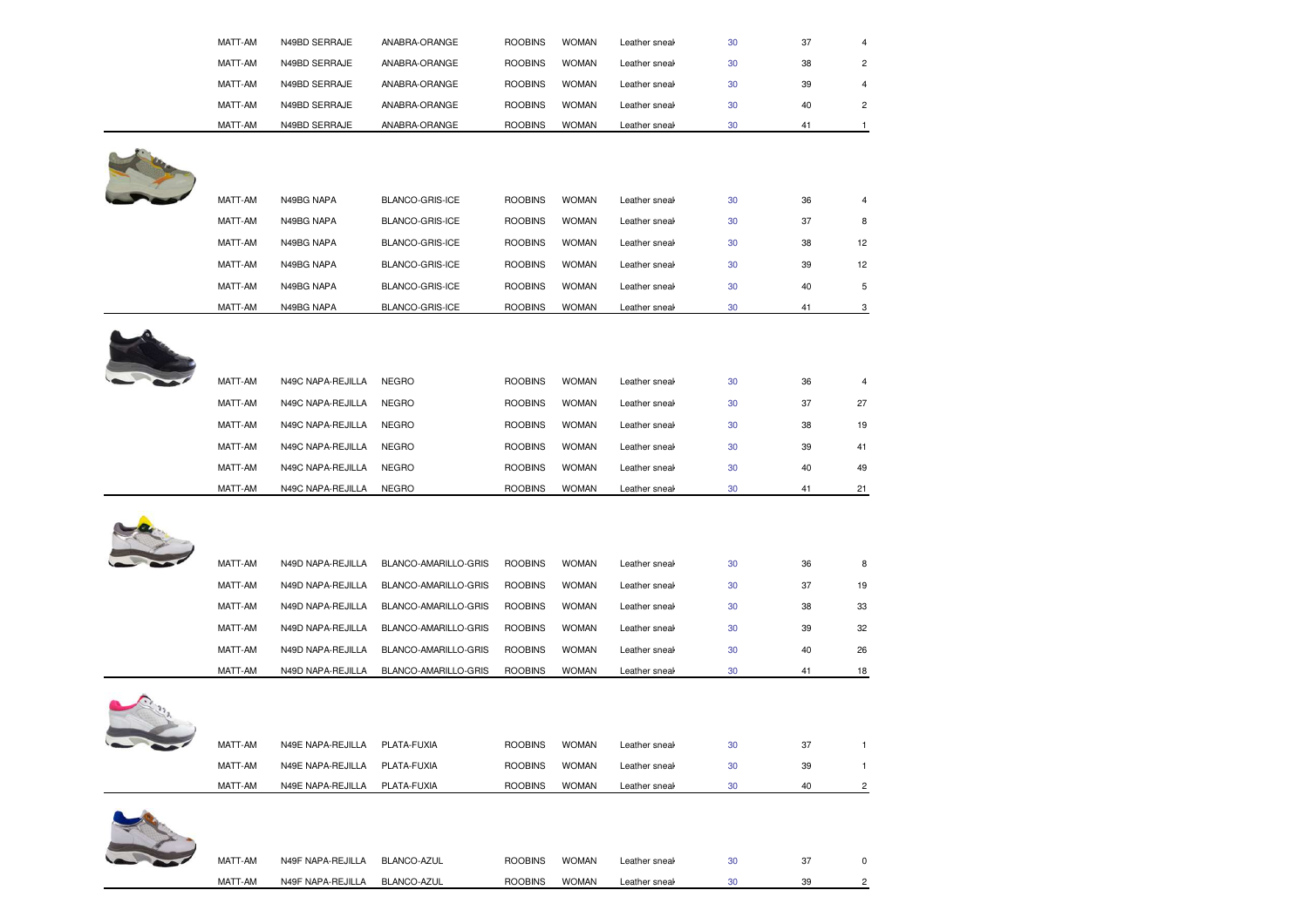| MATT-AM            | N49BD SERRAJE                          | ANABRA-ORANGE              | <b>ROOBINS</b>                   | <b>WOMAN</b>                 | Leather sneal                  | 30           | 37       | 4                       |
|--------------------|----------------------------------------|----------------------------|----------------------------------|------------------------------|--------------------------------|--------------|----------|-------------------------|
| MATT-AM            | N49BD SERRAJE                          | ANABRA-ORANGE              | <b>ROOBINS</b>                   | <b>WOMAN</b>                 | Leather sneak                  | 30           | 38       | $\mathbf 2$             |
| MATT-AM            | N49BD SERRAJE                          | ANABRA-ORANGE              | <b>ROOBINS</b>                   | <b>WOMAN</b>                 | Leather sneal                  | 30           | 39       | $\overline{4}$          |
| MATT-AM            | N49BD SERRAJE                          | ANABRA-ORANGE              | <b>ROOBINS</b>                   | <b>WOMAN</b>                 | Leather sneak                  | 30           | 40       | $\overline{\mathbf{c}}$ |
| MATT-AM            | N49BD SERRAJE                          | ANABRA-ORANGE              | <b>ROOBINS</b>                   | <b>WOMAN</b>                 | Leather sneal                  | 30           | 41       | 1                       |
|                    |                                        |                            |                                  |                              |                                |              |          |                         |
| MATT-AM            | N49BG NAPA                             | BLANCO-GRIS-ICE            | <b>ROOBINS</b>                   | <b>WOMAN</b>                 | Leather sneal                  | 30           | 36       | 4                       |
| MATT-AM            | N49BG NAPA                             | BLANCO-GRIS-ICE            | <b>ROOBINS</b>                   | <b>WOMAN</b>                 | Leather sneal                  | 30           | 37       | 8                       |
| MATT-AM            | N49BG NAPA                             | BLANCO-GRIS-ICE            | <b>ROOBINS</b>                   | <b>WOMAN</b>                 | Leather sneak                  | 30           | 38       | 12                      |
| MATT-AM            | N49BG NAPA                             | BLANCO-GRIS-ICE            | <b>ROOBINS</b>                   | <b>WOMAN</b>                 | Leather sneal                  | 30           | 39       | 12                      |
| MATT-AM            | N49BG NAPA                             | BLANCO-GRIS-ICE            | <b>ROOBINS</b>                   | <b>WOMAN</b>                 | Leather sneal                  | 30           | 40       | 5                       |
| MATT-AM            | N49BG NAPA                             | BLANCO-GRIS-ICE            | <b>ROOBINS</b>                   | <b>WOMAN</b>                 | Leather sneal                  | 30           | 41       | 3                       |
| MATT-AM            | N49C NAPA-REJILLA                      | <b>NEGRO</b>               | <b>ROOBINS</b>                   | <b>WOMAN</b>                 | Leather sneal                  | 30           | 36       | 4                       |
| MATT-AM            | N49C NAPA-REJILLA                      | <b>NEGRO</b>               | <b>ROOBINS</b>                   | <b>WOMAN</b>                 | Leather sneal                  | 30           | 37       | 27                      |
| MATT-AM            | N49C NAPA-REJILLA                      | <b>NEGRO</b>               | <b>ROOBINS</b>                   | <b>WOMAN</b>                 | Leather sneak                  | 30           | 38       | 19                      |
| MATT-AM            | N49C NAPA-REJILLA                      | <b>NEGRO</b>               | <b>ROOBINS</b>                   | <b>WOMAN</b>                 | Leather sneal                  | 30           | 39       | 41                      |
| MATT-AM            | N49C NAPA-REJILLA                      | <b>NEGRO</b>               | <b>ROOBINS</b>                   | <b>WOMAN</b>                 | Leather sneal                  | 30           | 40       | 49                      |
| MATT-AM            | N49C NAPA-REJILLA                      | <b>NEGRO</b>               | <b>ROOBINS</b>                   | <b>WOMAN</b>                 | Leather sneal                  | 30           | 41       | 21                      |
| MATT-AM            | N49D NAPA-REJILLA                      | BLANCO-AMARILLO-GRIS       | <b>ROOBINS</b>                   | <b>WOMAN</b>                 | Leather sneal                  | 30           | 36       | 8                       |
| MATT-AM            | N49D NAPA-REJILLA                      | BLANCO-AMARILLO-GRIS       | <b>ROOBINS</b>                   | <b>WOMAN</b>                 | Leather sneal                  | 30           | 37       | 19                      |
| MATT-AM            | N49D NAPA-REJILLA                      | BLANCO-AMARILLO-GRIS       | <b>ROOBINS</b>                   | <b>WOMAN</b>                 | Leather sneak                  | 30           | 38       | 33                      |
| MATT-AM            | N49D NAPA-REJILLA                      | BLANCO-AMARILLO-GRIS       | <b>ROOBINS</b>                   | <b>WOMAN</b>                 | Leather sneal                  | 30           | 39       | 32                      |
| MATT-AM            | N49D NAPA-REJILLA                      | BLANCO-AMARILLO-GRIS       | <b>ROOBINS</b>                   | <b>WOMAN</b>                 | Leather sneal                  | 30           | 40       | 26                      |
| MATT-AM            | N49D NAPA-REJILLA                      | BLANCO-AMARILLO-GRIS       | <b>ROOBINS</b>                   | <b>WOMAN</b>                 | Leather sneal                  | 30           | 41       | 18                      |
|                    |                                        |                            |                                  |                              |                                |              |          |                         |
| MATT-AM            | N49E NAPA-REJILLA                      | PLATA-FUXIA                | <b>ROOBINS</b>                   | <b>WOMAN</b>                 | Leather sneal                  | 30           | 37       | 1                       |
| MATT-AM            | N49E NAPA-REJILLA                      | PLATA-FUXIA                | <b>ROOBINS</b>                   | <b>WOMAN</b>                 | Leather sneak                  | 30           | 39       | $\mathbf{1}$            |
| MATT-AM            | N49E NAPA-REJILLA                      | PLATA-FUXIA                | <b>ROOBINS</b>                   | <b>WOMAN</b>                 | Leather sneak                  | 30           | 40       | 2                       |
|                    |                                        |                            |                                  |                              |                                |              |          |                         |
|                    |                                        |                            |                                  |                              |                                |              |          |                         |
| MATT-AM<br>MATT-AM | N49F NAPA-REJILLA<br>N49F NAPA-REJILLA | BLANCO-AZUL<br>BLANCO-AZUL | <b>ROOBINS</b><br><b>ROOBINS</b> | <b>WOMAN</b><br><b>WOMAN</b> | Leather sneak<br>Leather sneak | $30\,$<br>30 | 37<br>39 | 0<br>$\overline{2}$     |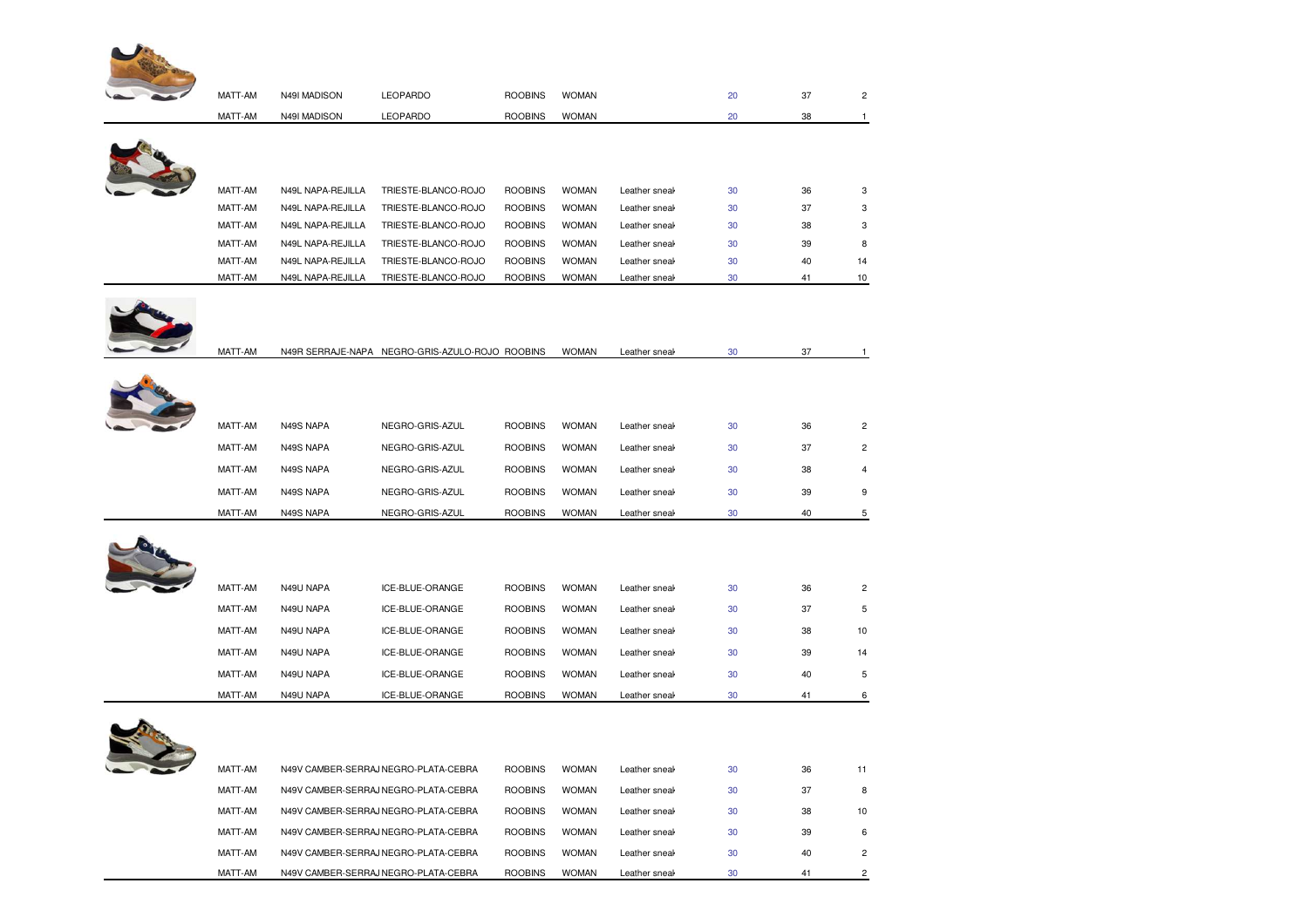

MATT-AM

MATT-AM

| MATT-AM | N49I MADISON      | LEOPARDO                                        | <b>ROOBINS</b> | <b>WOMAN</b> |               | 20 | 37 | $\overline{c}$ |
|---------|-------------------|-------------------------------------------------|----------------|--------------|---------------|----|----|----------------|
| MATT-AM | N49I MADISON      | LEOPARDO                                        | <b>ROOBINS</b> | <b>WOMAN</b> |               | 20 | 38 | 1              |
|         |                   |                                                 |                |              |               |    |    |                |
|         |                   |                                                 |                |              |               |    |    |                |
|         |                   |                                                 |                |              |               |    |    |                |
| MATT-AM | N49L NAPA-REJILLA | TRIESTE-BLANCO-ROJO                             | <b>ROOBINS</b> | <b>WOMAN</b> | Leather sneal | 30 | 36 | 3              |
| MATT-AM | N49L NAPA-REJILLA | TRIESTE-BLANCO-ROJO                             | <b>ROOBINS</b> | <b>WOMAN</b> | Leather sneak | 30 | 37 | 3              |
| MATT-AM | N49L NAPA-REJILLA | TRIESTE-BLANCO-ROJO                             | <b>ROOBINS</b> | <b>WOMAN</b> | Leather sneal | 30 | 38 | 3              |
| MATT-AM | N49L NAPA-REJILLA | TRIESTE-BLANCO-ROJO                             | <b>ROOBINS</b> | <b>WOMAN</b> | Leather sneal | 30 | 39 | 8              |
| MATT-AM | N49L NAPA-REJILLA | TRIESTE-BLANCO-ROJO                             | <b>ROOBINS</b> | <b>WOMAN</b> | Leather sneal | 30 | 40 | 14             |
| MATT-AM | N49L NAPA-REJILLA | TRIESTE-BLANCO-ROJO                             | <b>ROOBINS</b> | <b>WOMAN</b> | Leather sneal | 30 | 41 | 10             |
|         |                   |                                                 |                |              |               |    |    |                |
|         |                   |                                                 |                |              |               |    |    |                |
|         |                   |                                                 |                |              |               |    |    |                |
| MATT-AM |                   | N49R SERRAJE-NAPA NEGRO-GRIS-AZULO-ROJO ROOBINS |                | <b>WOMAN</b> | Leather sneak | 30 | 37 | $\mathbf{1}$   |
|         |                   |                                                 |                |              |               |    |    |                |
|         |                   |                                                 |                |              |               |    |    |                |
|         |                   |                                                 |                |              |               |    |    |                |
| MATT-AM | N49S NAPA         | NEGRO-GRIS-AZUL                                 | <b>ROOBINS</b> | <b>WOMAN</b> | Leather sneak | 30 | 36 | $\overline{c}$ |
| MATT-AM | N49S NAPA         | NEGRO-GRIS-AZUL                                 | <b>ROOBINS</b> | <b>WOMAN</b> | Leather sneal | 30 | 37 | $\overline{c}$ |
| MATT-AM | N49S NAPA         | NEGRO-GRIS-AZUL                                 | <b>ROOBINS</b> | <b>WOMAN</b> | Leather sneal | 30 | 38 | $\overline{4}$ |
| MATT-AM | N49S NAPA         | NEGRO-GRIS-AZUL                                 | <b>ROOBINS</b> | <b>WOMAN</b> | Leather sneal | 30 | 39 | 9              |
| MATT-AM | N49S NAPA         | NEGRO-GRIS-AZUL                                 | <b>ROOBINS</b> | <b>WOMAN</b> | Leather sneal | 30 | 40 | 5              |
|         |                   |                                                 |                |              |               |    |    |                |
|         |                   |                                                 |                |              |               |    |    |                |
|         |                   |                                                 |                |              |               |    |    |                |
| MATT-AM | N49U NAPA         | ICE-BLUE-ORANGE                                 | <b>ROOBINS</b> | <b>WOMAN</b> | Leather sneak | 30 | 36 | $\overline{c}$ |
| MATT-AM | N49U NAPA         | ICE-BLUE-ORANGE                                 | <b>ROOBINS</b> | <b>WOMAN</b> | Leather sneal | 30 | 37 | $\,$ 5 $\,$    |
| MATT-AM | N49U NAPA         | ICE-BLUE-ORANGE                                 | <b>ROOBINS</b> | <b>WOMAN</b> | Leather sneal | 30 | 38 | 10             |
| MATT-AM | N49U NAPA         | ICE-BLUE-ORANGE                                 | <b>ROOBINS</b> | <b>WOMAN</b> | Leather sneal | 30 | 39 | 14             |
| MATT-AM | N49U NAPA         | ICE-BLUE-ORANGE                                 | <b>ROOBINS</b> | <b>WOMAN</b> | Leather sneak | 30 | 40 | 5              |
| MATT-AM | N49U NAPA         | ICE-BLUE-ORANGE                                 | <b>ROOBINS</b> | <b>WOMAN</b> | Leather sneal | 30 | 41 | 6              |
|         |                   |                                                 |                |              |               |    |    |                |
|         |                   |                                                 |                |              |               |    |    |                |
|         |                   |                                                 |                |              |               |    |    |                |
| MATT-AM |                   | N49V CAMBER-SERRAJ NEGRO-PLATA-CEBRA            | <b>ROOBINS</b> | <b>WOMAN</b> | Leather sneak | 30 | 36 | 11             |
| MATT-AM |                   | N49V CAMBER-SERRAJ NEGRO-PLATA-CEBRA            | <b>ROOBINS</b> | <b>WOMAN</b> | Leather sneak | 30 | 37 | 8              |
|         |                   |                                                 |                |              |               |    |    |                |
| MATT-AM |                   | N49V CAMBER-SERRAJ NEGRO-PLATA-CEBRA            | <b>ROOBINS</b> | <b>WOMAN</b> | Leather sneak | 30 | 38 | 10             |
| MATT-AM |                   | N49V CAMBER-SERRAJ NEGRO-PLATA-CEBRA            | <b>ROOBINS</b> | <b>WOMAN</b> | Leather sneal | 30 | 39 | 6              |

N49V CAMBER-SERRAJ NEGRO-PLATA-CEBRA ROOBINS WOMAN Leather sneak 30 40 2

N49V CAMBER-SERRAJ NEGRO-PLATA-CEBRA ROOBINS WOMAN Leather sneak 30 41 2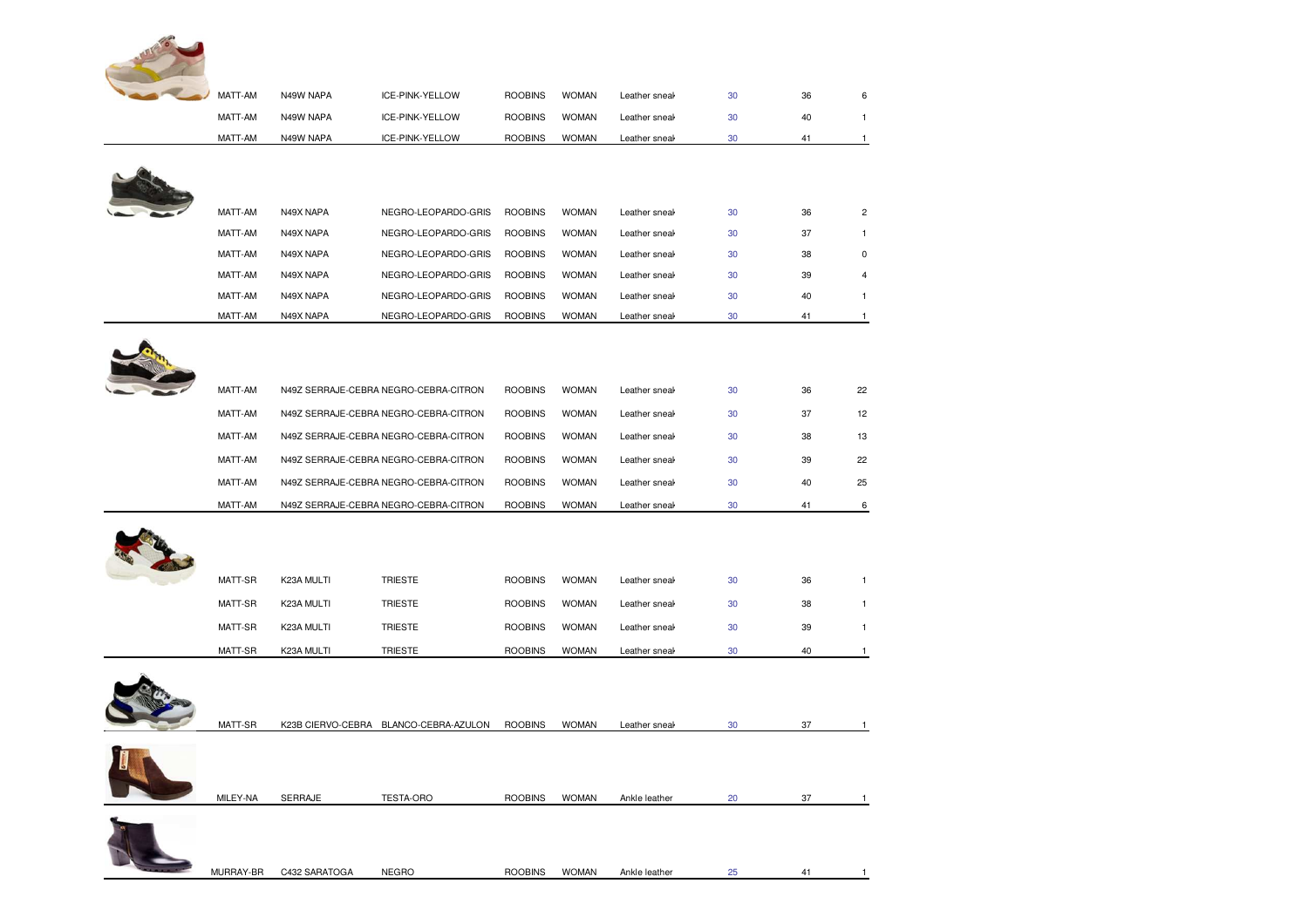| MATT-AM  | N49W NAPA      | ICE-PINK-YELLOW                       | <b>ROOBINS</b> | <b>WOMAN</b> | Leather sneak | 30 | 36 | 6              |
|----------|----------------|---------------------------------------|----------------|--------------|---------------|----|----|----------------|
| MATT-AM  | N49W NAPA      | ICE-PINK-YELLOW                       | <b>ROOBINS</b> | <b>WOMAN</b> | Leather sneal | 30 | 40 | $\mathbf{1}$   |
| MATT-AM  | N49W NAPA      | ICE-PINK-YELLOW                       | <b>ROOBINS</b> | <b>WOMAN</b> | Leather sneal | 30 | 41 | $\mathbf{1}$   |
|          |                |                                       |                |              |               |    |    |                |
|          |                |                                       |                |              |               |    |    |                |
|          |                |                                       |                |              |               |    |    |                |
| MATT-AM  | N49X NAPA      | NEGRO-LEOPARDO-GRIS                   | <b>ROOBINS</b> | <b>WOMAN</b> | Leather sneal | 30 | 36 | $\overline{c}$ |
| MATT-AM  | N49X NAPA      | NEGRO-LEOPARDO-GRIS                   | <b>ROOBINS</b> | <b>WOMAN</b> | Leather sneak | 30 | 37 | $\mathbf{1}$   |
| MATT-AM  | N49X NAPA      | NEGRO-LEOPARDO-GRIS                   | <b>ROOBINS</b> | <b>WOMAN</b> | Leather sneak | 30 | 38 | $\mathbf 0$    |
| MATT-AM  | N49X NAPA      | NEGRO-LEOPARDO-GRIS                   | <b>ROOBINS</b> | <b>WOMAN</b> | Leather sneal | 30 | 39 | 4              |
| MATT-AM  | N49X NAPA      | NEGRO-LEOPARDO-GRIS                   | <b>ROOBINS</b> | <b>WOMAN</b> | Leather sneal | 30 | 40 | $\mathbf{1}$   |
| MATT-AM  | N49X NAPA      | NEGRO-LEOPARDO-GRIS                   | <b>ROOBINS</b> | <b>WOMAN</b> | Leather sneal | 30 | 41 | $\overline{1}$ |
|          |                |                                       |                |              |               |    |    |                |
|          |                |                                       |                |              |               |    |    |                |
|          |                |                                       |                |              |               |    |    |                |
| MATT-AM  |                | N49Z SERRAJE-CEBRA NEGRO-CEBRA-CITRON | <b>ROOBINS</b> | <b>WOMAN</b> | Leather sneal | 30 | 36 | 22             |
| MATT-AM  |                | N49Z SERRAJE-CEBRA NEGRO-CEBRA-CITRON | <b>ROOBINS</b> | <b>WOMAN</b> | Leather sneal | 30 | 37 | 12             |
| MATT-AM  |                | N49Z SERRAJE-CEBRA NEGRO-CEBRA-CITRON | <b>ROOBINS</b> | <b>WOMAN</b> | Leather sneal | 30 | 38 | 13             |
| MATT-AM  |                | N49Z SERRAJE-CEBRA NEGRO-CEBRA-CITRON | <b>ROOBINS</b> | <b>WOMAN</b> | Leather sneal | 30 | 39 | 22             |
| MATT-AM  |                | N49Z SERRAJE-CEBRA NEGRO-CEBRA-CITRON | <b>ROOBINS</b> | <b>WOMAN</b> | Leather sneal | 30 | 40 | 25             |
| MATT-AM  |                | N49Z SERRAJE-CEBRA NEGRO-CEBRA-CITRON | <b>ROOBINS</b> | <b>WOMAN</b> | Leather sneak | 30 | 41 | 6              |
|          |                |                                       |                |              |               |    |    |                |
|          |                |                                       |                |              |               |    |    |                |
|          |                |                                       |                |              |               |    |    |                |
| MATT-SR  | K23A MULTI     | <b>TRIESTE</b>                        | <b>ROOBINS</b> | <b>WOMAN</b> | Leather sneal | 30 | 36 | $\mathbf{1}$   |
| MATT-SR  | K23A MULTI     | <b>TRIESTE</b>                        | <b>ROOBINS</b> | <b>WOMAN</b> | Leather sneal | 30 | 38 | $\mathbf{1}$   |
| MATT-SR  | K23A MULTI     | <b>TRIESTE</b>                        | <b>ROOBINS</b> | <b>WOMAN</b> | Leather sneal | 30 | 39 | 1              |
| MATT-SR  | K23A MULTI     | <b>TRIESTE</b>                        | <b>ROOBINS</b> | <b>WOMAN</b> | Leather sneal | 30 | 40 | $\mathbf{1}$   |
|          |                |                                       |                |              |               |    |    |                |
|          |                |                                       |                |              |               |    |    |                |
|          |                |                                       |                |              |               |    |    |                |
| MATT-SR  |                | K23B CIERVO-CEBRA BLANCO-CEBRA-AZULON | <b>ROOBINS</b> | <b>WOMAN</b> | Leather sneal | 30 | 37 | $\mathbf{1}$   |
|          |                |                                       |                |              |               |    |    |                |
|          |                |                                       |                |              |               |    |    |                |
| MILEV NA | <b>CEDDAIE</b> | TECTA ODO                             | <b>DOODING</b> | MOMAN        | Ankle Loother |    |    |                |
|          |                |                                       |                |              |               |    |    |                |

MILEY-NA SERRAJE TESTA-ORO ROOBINS WOMAN Ankle leather Ankle leather boot with leather lining and large el <sup>20</sup> <sup>37</sup> <sup>1</sup> astics . Sole with 7.2 cmts heel and platform 2 cmts.

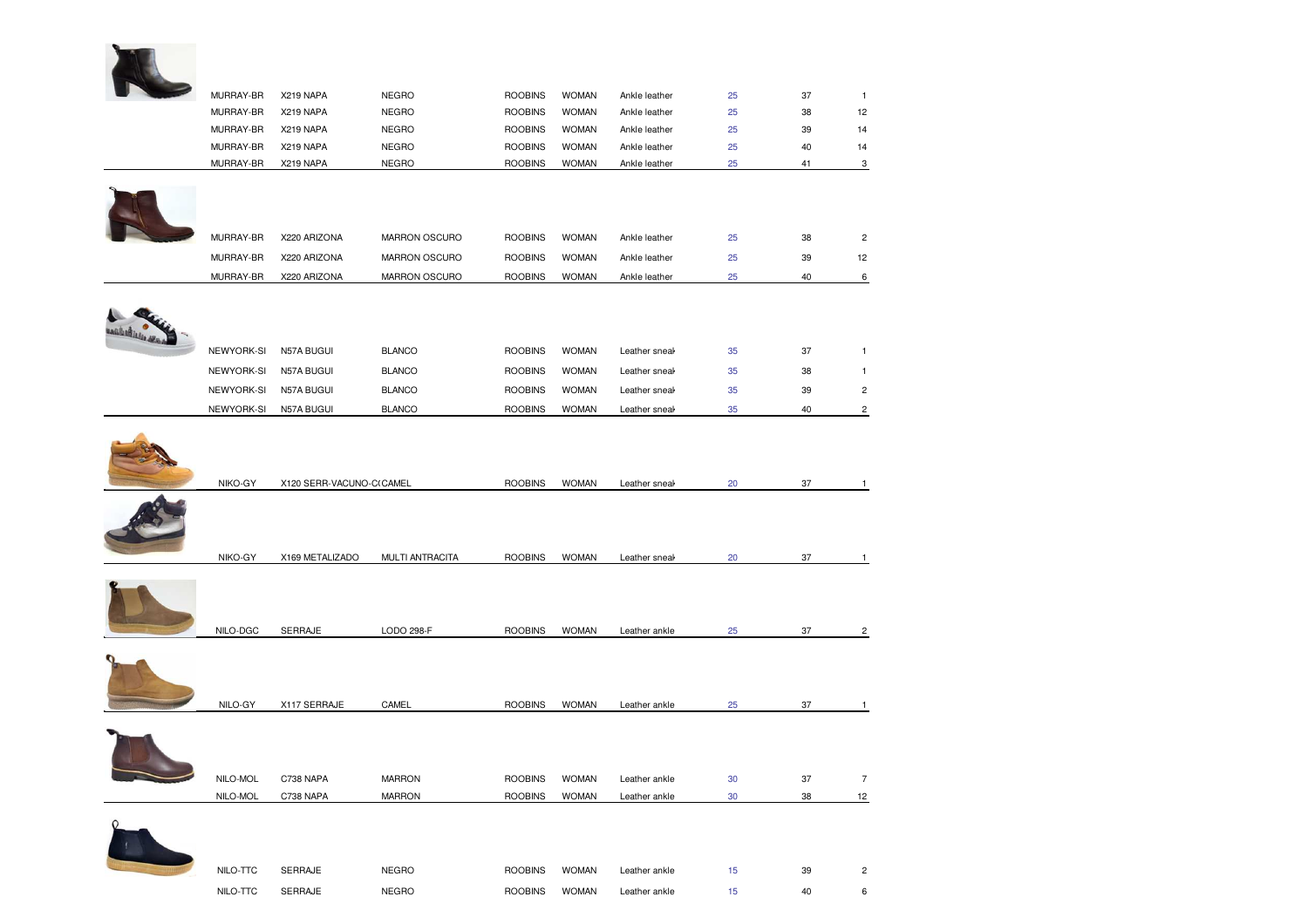| MURRAY-BR  | X219 NAPA                | <b>NEGRO</b>                 | <b>ROOBINS</b> | <b>WOMAN</b> | Ankle leather | 25       | 37       | $\mathbf{1}$            |
|------------|--------------------------|------------------------------|----------------|--------------|---------------|----------|----------|-------------------------|
| MURRAY-BR  | X219 NAPA                | <b>NEGRO</b>                 | <b>ROOBINS</b> | <b>WOMAN</b> | Ankle leather | 25       | 38       | 12                      |
| MURRAY-BR  | X219 NAPA                | <b>NEGRO</b>                 | <b>ROOBINS</b> | <b>WOMAN</b> | Ankle leather | 25       | 39       | 14                      |
| MURRAY-BR  | X219 NAPA                | <b>NEGRO</b><br><b>NEGRO</b> | <b>ROOBINS</b> | <b>WOMAN</b> | Ankle leather | 25<br>25 | 40<br>41 | 14                      |
| MURRAY-BR  | X219 NAPA                |                              | <b>ROOBINS</b> | <b>WOMAN</b> | Ankle leather |          |          | 3                       |
|            |                          |                              |                |              |               |          |          |                         |
| MURRAY-BR  | X220 ARIZONA             | MARRON OSCURO                | <b>ROOBINS</b> | <b>WOMAN</b> | Ankle leather | 25       | 38       | $\overline{c}$          |
| MURRAY-BR  | X220 ARIZONA             | MARRON OSCURO                | <b>ROOBINS</b> | <b>WOMAN</b> | Ankle leather | 25       | 39       | 12                      |
| MURRAY-BR  | X220 ARIZONA             | MARRON OSCURO                | <b>ROOBINS</b> | <b>WOMAN</b> | Ankle leather | 25       | 40       | $6\phantom{.0}$         |
|            |                          |                              |                |              |               |          |          |                         |
|            |                          |                              |                |              |               |          |          |                         |
| NEWYORK-SI | N57A BUGUI               | <b>BLANCO</b>                | <b>ROOBINS</b> | <b>WOMAN</b> | Leather sneal | 35       | 37       | $\mathbf{1}$            |
| NEWYORK-SI | N57A BUGUI               | <b>BLANCO</b>                | <b>ROOBINS</b> | <b>WOMAN</b> | Leather sneal | 35       | 38       | 1                       |
| NEWYORK-SI | N57A BUGUI               | <b>BLANCO</b>                | <b>ROOBINS</b> | <b>WOMAN</b> | Leather sneal | 35       | 39       | $\overline{\mathbf{c}}$ |
| NEWYORK-SI | N57A BUGUI               | <b>BLANCO</b>                | <b>ROOBINS</b> | <b>WOMAN</b> | Leather sneal | 35       | 40       | $\overline{c}$          |
|            |                          |                              |                |              |               |          |          |                         |
| NIKO-GY    | X120 SERR-VACUNO-C(CAMEL |                              | <b>ROOBINS</b> | <b>WOMAN</b> | Leather sneal | 20       | 37       | 1                       |
|            |                          |                              |                |              |               |          |          |                         |
| NIKO-GY    | X169 METALIZADO          | MULTI ANTRACITA              | <b>ROOBINS</b> | <b>WOMAN</b> | Leather sneak | 20       | 37       | $\mathbf{1}$            |
|            |                          |                              |                |              |               |          |          |                         |
| NILO-DGC   | SERRAJE                  | LODO 298-F                   | <b>ROOBINS</b> | <b>WOMAN</b> | Leather ankle | 25       | 37       | $\overline{\mathbf{c}}$ |
|            |                          |                              |                |              |               |          |          |                         |
| NILO-GY    | X117 SERRAJE             | CAMEL                        | <b>ROOBINS</b> | <b>WOMAN</b> | Leather ankle | 25       | 37       | $\mathbf{1}$            |
|            |                          |                              |                |              |               |          |          |                         |
|            |                          |                              |                |              |               |          |          |                         |

NILO-MOL C738 NAPA MARRON ROOBINS WOMANROOBINS WOMAN Leather ankle 30 37 7<br>ROOBINS WOMAN Leather ankle 30 38 12  $\sim$ NILO-MOL C738 NAPA MARRON Leather ankle



| NILO-TTC | SERRAJE        | <b>NEGRO</b> | <b>ROOBINS</b> | <b>WOMAN</b> | Leather ankle | 39 |  |
|----------|----------------|--------------|----------------|--------------|---------------|----|--|
| NILO-TTC | <b>SERRAJE</b> | <b>NEGRO</b> | <b>ROOBINS</b> | <b>WOMAN</b> | Leather ankle | 40 |  |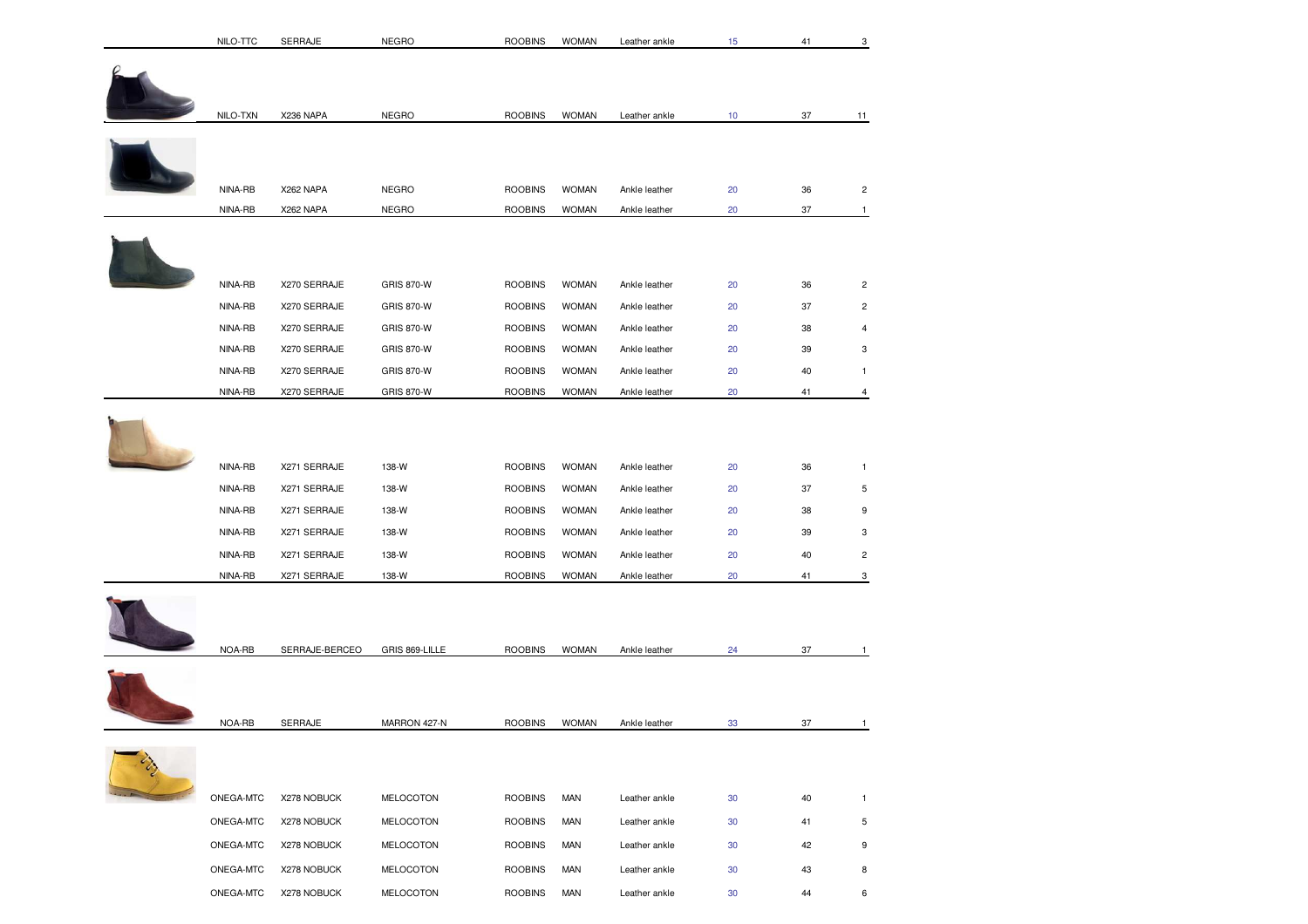| NILO-TTC  | SERRAJE        | <b>NEGRO</b>      | <b>ROOBINS</b> | <b>WOMAN</b> | Leather ankle | 15 | 41 | 3              |
|-----------|----------------|-------------------|----------------|--------------|---------------|----|----|----------------|
|           |                |                   |                |              |               |    |    |                |
| NILO-TXN  | X236 NAPA      | <b>NEGRO</b>      | <b>ROOBINS</b> | <b>WOMAN</b> | Leather ankle | 10 | 37 | 11             |
| NINA-RB   | X262 NAPA      | <b>NEGRO</b>      | <b>ROOBINS</b> | <b>WOMAN</b> | Ankle leather | 20 | 36 | $\overline{c}$ |
|           |                |                   |                |              |               |    |    |                |
| NINA-RB   | X262 NAPA      | <b>NEGRO</b>      | <b>ROOBINS</b> | <b>WOMAN</b> | Ankle leather | 20 | 37 | $\mathbf{1}$   |
|           |                |                   |                |              |               |    |    |                |
| NINA-RB   | X270 SERRAJE   | <b>GRIS 870-W</b> | <b>ROOBINS</b> | <b>WOMAN</b> | Ankle leather | 20 | 36 | $\overline{c}$ |
| NINA-RB   | X270 SERRAJE   | <b>GRIS 870-W</b> | <b>ROOBINS</b> | <b>WOMAN</b> | Ankle leather | 20 | 37 | $\overline{c}$ |
| NINA-RB   | X270 SERRAJE   | <b>GRIS 870-W</b> | <b>ROOBINS</b> | <b>WOMAN</b> | Ankle leather | 20 | 38 | $\overline{4}$ |
| NINA-RB   | X270 SERRAJE   | <b>GRIS 870-W</b> | <b>ROOBINS</b> | <b>WOMAN</b> | Ankle leather | 20 | 39 | 3              |
| NINA-RB   | X270 SERRAJE   | <b>GRIS 870-W</b> | <b>ROOBINS</b> | <b>WOMAN</b> | Ankle leather | 20 | 40 | $\mathbf{1}$   |
| NINA-RB   | X270 SERRAJE   | <b>GRIS 870-W</b> | <b>ROOBINS</b> | <b>WOMAN</b> | Ankle leather | 20 | 41 | 4              |
| NINA-RB   | X271 SERRAJE   | 138-W             | <b>ROOBINS</b> | <b>WOMAN</b> | Ankle leather | 20 | 36 | $\mathbf{1}$   |
| NINA-RB   | X271 SERRAJE   | 138-W             | <b>ROOBINS</b> | <b>WOMAN</b> | Ankle leather | 20 | 37 | $\sqrt{5}$     |
| NINA-RB   | X271 SERRAJE   | 138-W             | <b>ROOBINS</b> | <b>WOMAN</b> | Ankle leather | 20 | 38 | 9              |
| NINA-RB   | X271 SERRAJE   | 138-W             | <b>ROOBINS</b> | <b>WOMAN</b> | Ankle leather | 20 | 39 | 3              |
| NINA-RB   | X271 SERRAJE   | 138-W             | <b>ROOBINS</b> | <b>WOMAN</b> | Ankle leather | 20 | 40 | $\overline{c}$ |
| NINA-RB   | X271 SERRAJE   | 138-W             | <b>ROOBINS</b> | <b>WOMAN</b> | Ankle leather | 20 | 41 | 3              |
| NOA-RB    | SERRAJE-BERCEO | GRIS 869-LILLE    | <b>ROOBINS</b> | <b>WOMAN</b> | Ankle leather | 24 | 37 | $\mathbf{1}$   |
| NOA-RB    | SERRAJE        | MARRON 427-N      | <b>ROOBINS</b> | <b>WOMAN</b> | Ankle leather | 33 | 37 | $\mathbf{1}$   |
| ONEGA-MTC | X278 NOBUCK    | MELOCOTON         | <b>ROOBINS</b> | MAN          | Leather ankle | 30 | 40 | $\mathbf{1}$   |
| ONEGA-MTC | X278 NOBUCK    | MELOCOTON         | <b>ROOBINS</b> | MAN          | Leather ankle | 30 | 41 | 5              |
| ONEGA-MTC | X278 NOBUCK    | MELOCOTON         | <b>ROOBINS</b> | <b>MAN</b>   | Leather ankle | 30 | 42 | 9              |
| ONEGA-MTC | X278 NOBUCK    | <b>MELOCOTON</b>  | <b>ROOBINS</b> | <b>MAN</b>   | Leather ankle | 30 | 43 | 8              |
| ONEGA-MTC |                | MELOCOTON         | <b>ROOBINS</b> | <b>MAN</b>   |               |    |    | 6              |
|           | X278 NOBUCK    |                   |                |              | Leather ankle | 30 | 44 |                |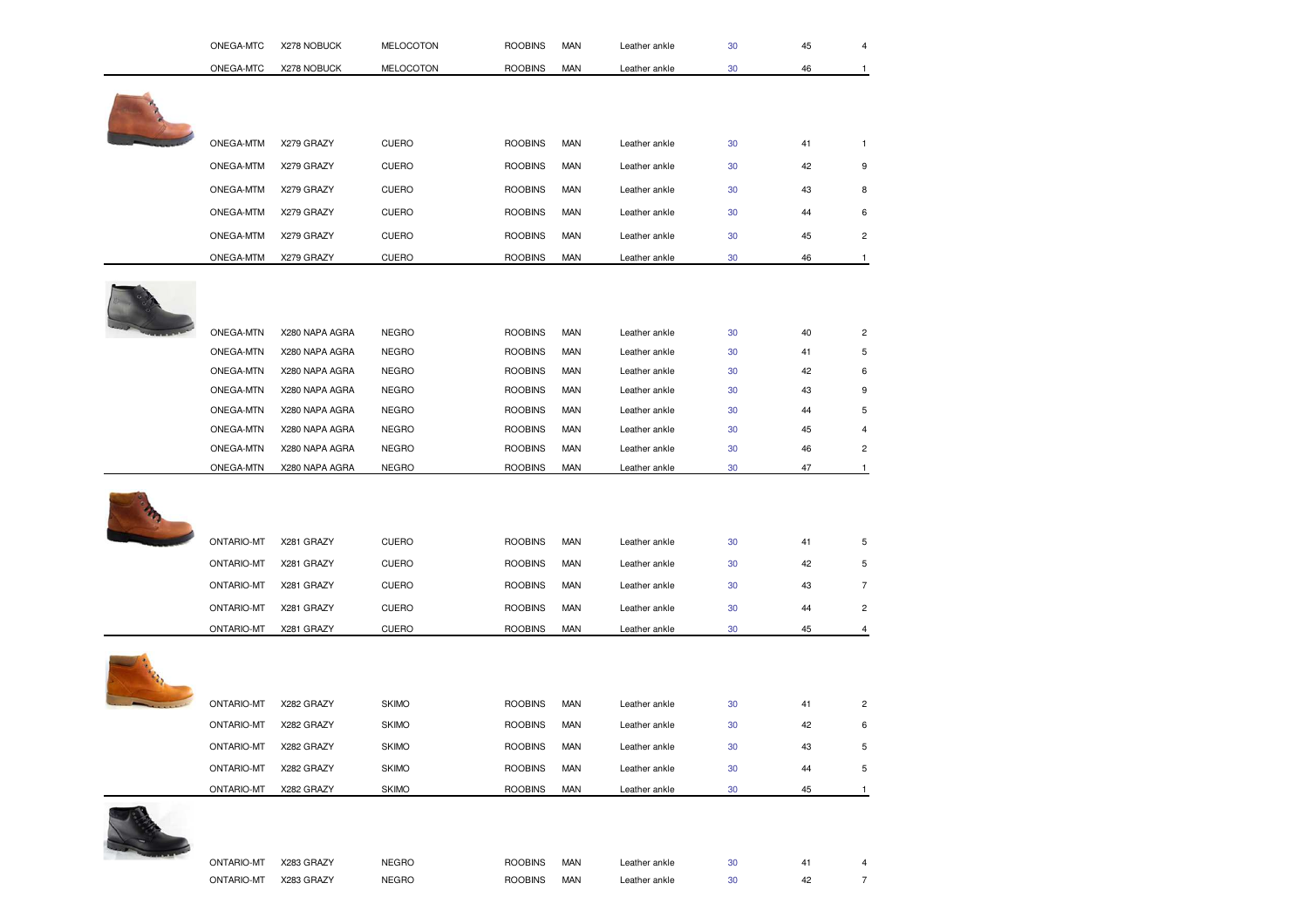| ONEGA-MTC         | X278 NOBUCK    | MELOCOTON        | <b>ROOBINS</b> | MAN        | Leather ankle | 30 | 45 |                         |
|-------------------|----------------|------------------|----------------|------------|---------------|----|----|-------------------------|
| ONEGA-MTC         | X278 NOBUCK    | <b>MELOCOTON</b> | <b>ROOBINS</b> | <b>MAN</b> | Leather ankle | 30 | 46 | 1                       |
|                   |                |                  |                |            |               |    |    |                         |
|                   |                |                  |                |            |               |    |    |                         |
|                   |                |                  |                |            |               |    |    |                         |
| ONEGA-MTM         | X279 GRAZY     | <b>CUERO</b>     | <b>ROOBINS</b> | <b>MAN</b> | Leather ankle | 30 | 41 | $\mathbf{1}$            |
| ONEGA-MTM         | X279 GRAZY     | <b>CUERO</b>     | <b>ROOBINS</b> | <b>MAN</b> | Leather ankle | 30 | 42 | 9                       |
| ONEGA-MTM         | X279 GRAZY     | <b>CUERO</b>     | <b>ROOBINS</b> | <b>MAN</b> | Leather ankle | 30 | 43 | 8                       |
| ONEGA-MTM         | X279 GRAZY     | <b>CUERO</b>     | <b>ROOBINS</b> | <b>MAN</b> | Leather ankle | 30 | 44 | 6                       |
| ONEGA-MTM         | X279 GRAZY     | <b>CUERO</b>     | <b>ROOBINS</b> | <b>MAN</b> | Leather ankle | 30 | 45 | $\overline{c}$          |
| ONEGA-MTM         | X279 GRAZY     | <b>CUERO</b>     | <b>ROOBINS</b> | <b>MAN</b> | Leather ankle | 30 | 46 | $\mathbf{1}$            |
|                   |                |                  |                |            |               |    |    |                         |
|                   |                |                  |                |            |               |    |    |                         |
|                   |                |                  |                |            |               |    |    |                         |
| ONEGA-MTN         | X280 NAPA AGRA | <b>NEGRO</b>     | <b>ROOBINS</b> | <b>MAN</b> | Leather ankle | 30 | 40 | 2                       |
| ONEGA-MTN         | X280 NAPA AGRA | <b>NEGRO</b>     | <b>ROOBINS</b> | <b>MAN</b> | Leather ankle | 30 | 41 | 5                       |
| ONEGA-MTN         | X280 NAPA AGRA | <b>NEGRO</b>     | <b>ROOBINS</b> | <b>MAN</b> | Leather ankle | 30 | 42 | 6                       |
| ONEGA-MTN         | X280 NAPA AGRA | <b>NEGRO</b>     | <b>ROOBINS</b> | <b>MAN</b> | Leather ankle | 30 | 43 | 9                       |
| ONEGA-MTN         | X280 NAPA AGRA | <b>NEGRO</b>     | <b>ROOBINS</b> | <b>MAN</b> | Leather ankle | 30 | 44 | 5                       |
| ONEGA-MTN         | X280 NAPA AGRA | <b>NEGRO</b>     | <b>ROOBINS</b> | <b>MAN</b> | Leather ankle | 30 | 45 | 4                       |
| ONEGA-MTN         | X280 NAPA AGRA | <b>NEGRO</b>     | <b>ROOBINS</b> | <b>MAN</b> | Leather ankle | 30 | 46 | 2                       |
| ONEGA-MTN         | X280 NAPA AGRA | <b>NEGRO</b>     | <b>ROOBINS</b> | <b>MAN</b> | Leather ankle | 30 | 47 | $\mathbf{1}$            |
|                   |                |                  |                |            |               |    |    |                         |
|                   |                |                  |                |            |               |    |    |                         |
| <b>ONTARIO-MT</b> | X281 GRAZY     | <b>CUERO</b>     | <b>ROOBINS</b> | <b>MAN</b> | Leather ankle | 30 | 41 | 5                       |
|                   | X281 GRAZY     | <b>CUERO</b>     | <b>ROOBINS</b> | <b>MAN</b> | Leather ankle | 30 | 42 | 5                       |
| <b>ONTARIO-MT</b> |                |                  |                |            |               |    |    |                         |
| <b>ONTARIO-MT</b> | X281 GRAZY     | <b>CUERO</b>     | <b>ROOBINS</b> | <b>MAN</b> | Leather ankle | 30 | 43 | $\overline{7}$          |
| <b>ONTARIO-MT</b> | X281 GRAZY     | <b>CUERO</b>     | <b>ROOBINS</b> | <b>MAN</b> | Leather ankle | 30 | 44 | $\overline{c}$          |
| <b>ONTARIO-MT</b> | X281 GRAZY     | <b>CUERO</b>     | <b>ROOBINS</b> | <b>MAN</b> | Leather ankle | 30 | 45 | 4                       |
|                   |                |                  |                |            |               |    |    |                         |
|                   |                |                  |                |            |               |    |    |                         |
| <b>ONTARIO-MT</b> | X282 GRAZY     | <b>SKIMO</b>     | <b>ROOBINS</b> | <b>MAN</b> | Leather ankle | 30 | 41 | $\overline{\mathbf{c}}$ |
| <b>ONTARIO-MT</b> | X282 GRAZY     | <b>SKIMO</b>     | <b>ROOBINS</b> | <b>MAN</b> | Leather ankle | 30 | 42 | 6                       |
|                   |                |                  |                |            |               |    |    |                         |
| <b>ONTARIO-MT</b> | X282 GRAZY     | <b>SKIMO</b>     | <b>ROOBINS</b> | <b>MAN</b> | Leather ankle | 30 | 43 | 5                       |
| <b>ONTARIO-MT</b> | X282 GRAZY     | <b>SKIMO</b>     | <b>ROOBINS</b> | <b>MAN</b> | Leather ankle | 30 | 44 | 5                       |
| <b>ONTARIO-MT</b> | X282 GRAZY     | <b>SKIMO</b>     | <b>ROOBINS</b> | <b>MAN</b> | Leather ankle | 30 | 45 | 1                       |
|                   |                |                  |                |            |               |    |    |                         |
|                   |                |                  |                |            |               |    |    |                         |
| <b>ONTARIO-MT</b> | X283 GRAZY     | <b>NEGRO</b>     | <b>ROOBINS</b> | MAN        | Leather ankle | 30 | 41 | 4                       |
| <b>ONTARIO-MT</b> | X283 GRAZY     | <b>NEGRO</b>     | <b>ROOBINS</b> | <b>MAN</b> | Leather ankle | 30 | 42 | $\overline{7}$          |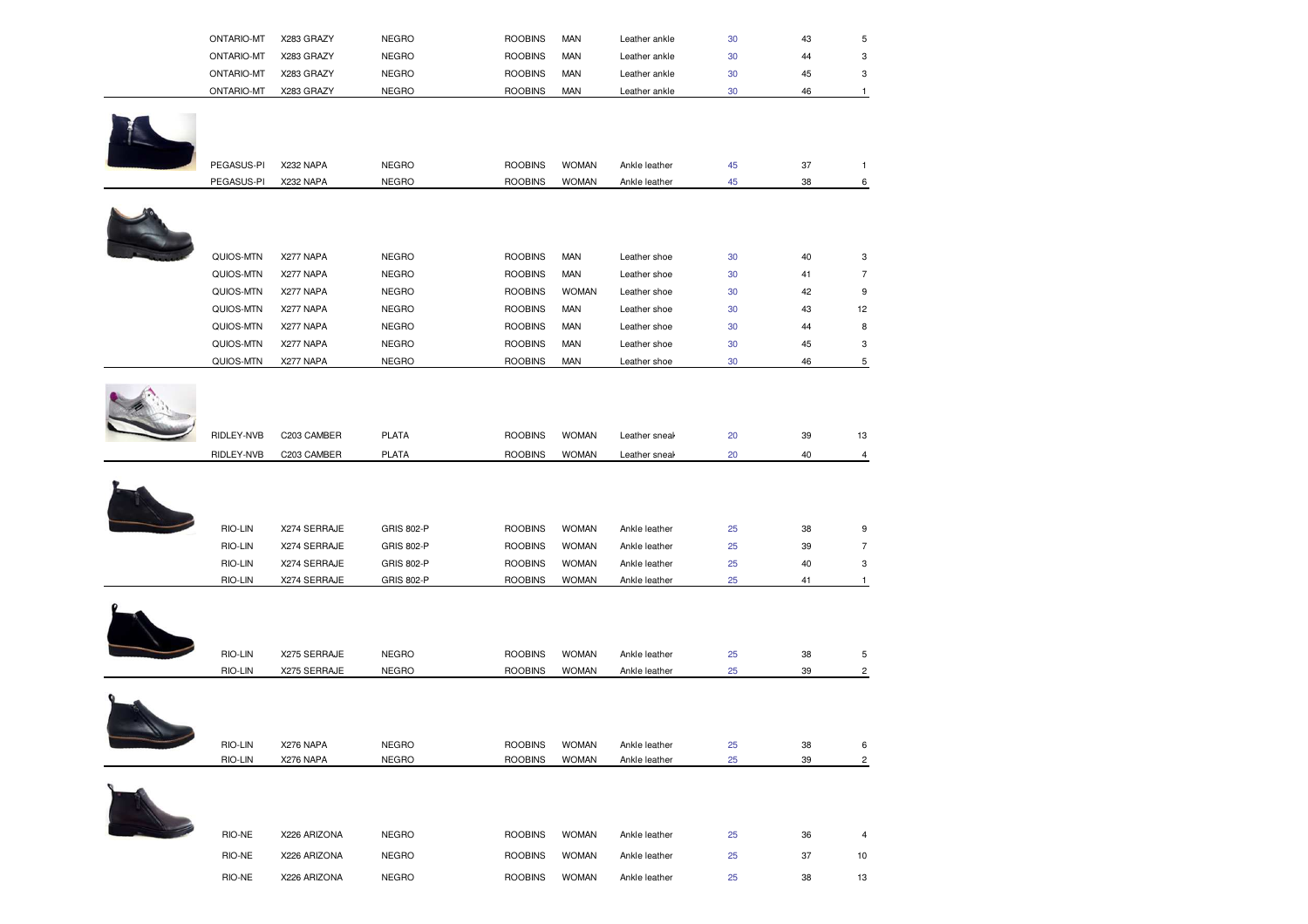| <b>NEGRO</b><br><b>MAN</b><br><b>ONTARIO-MT</b><br><b>ROOBINS</b><br>X283 GRAZY<br>30<br>Leather ankle<br>44<br><b>NEGRO</b><br><b>MAN</b><br><b>ROOBINS</b><br><b>ONTARIO-MT</b><br>X283 GRAZY<br>30<br>Leather ankle<br>45 | <b>ONTARIO-MT</b> | X283 GRAZY | <b>NEGRO</b> | <b>ROOBINS</b> | <b>MAN</b> | Leather ankle | 30 | 43 |  |
|------------------------------------------------------------------------------------------------------------------------------------------------------------------------------------------------------------------------------|-------------------|------------|--------------|----------------|------------|---------------|----|----|--|
|                                                                                                                                                                                                                              |                   |            |              |                |            |               |    |    |  |
|                                                                                                                                                                                                                              |                   |            |              |                |            |               |    |    |  |
|                                                                                                                                                                                                                              | <b>ONTARIO-MT</b> | X283 GRAZY | <b>NEGRO</b> | <b>ROOBINS</b> | <b>MAN</b> | Leather ankle | 30 | 46 |  |



| PEGASUS-PI | X232 NAPA | NEGRO | <b>ROOBINS</b> | <b>WOMAN</b> | Ankle leather |    |  |
|------------|-----------|-------|----------------|--------------|---------------|----|--|
| PEGASUS-PI | X232 NAPA | NEGRO | <b>ROOBINS</b> | <b>WOMAN</b> | Ankle leather | 38 |  |



| QUIOS-MTN | X277 NAPA | <b>NEGRO</b> | <b>ROOBINS</b> | <b>MAN</b>   | Leather shoe | 30 | 40 | 3  |
|-----------|-----------|--------------|----------------|--------------|--------------|----|----|----|
| QUIOS-MTN | X277 NAPA | <b>NEGRO</b> | <b>ROOBINS</b> | <b>MAN</b>   | Leather shoe | 30 | 41 |    |
| QUIOS-MTN | X277 NAPA | <b>NEGRO</b> | <b>ROOBINS</b> | <b>WOMAN</b> | Leather shoe | 30 | 42 | 9  |
| QUIOS-MTN | X277 NAPA | <b>NEGRO</b> | <b>ROOBINS</b> | <b>MAN</b>   | Leather shoe | 30 | 43 | 12 |
| QUIOS-MTN | X277 NAPA | <b>NEGRO</b> | <b>ROOBINS</b> | <b>MAN</b>   | Leather shoe | 30 | 44 | 8  |
| QUIOS-MTN | X277 NAPA | <b>NEGRO</b> | <b>ROOBINS</b> | <b>MAN</b>   | Leather shoe | 30 | 45 | 3  |
| QUIOS-MTN | X277 NAPA | <b>NEGRO</b> | <b>ROOBINS</b> | <b>MAN</b>   | Leather shoe | 30 | 46 | b  |
|           |           |              |                |              |              |    |    |    |

| RIDLEY-NVB | C203 CAMBER  | <b>PLATA</b>      | <b>ROOBINS</b> | <b>WOMAN</b> | Leather sneak | 20 | 39 | 13             |
|------------|--------------|-------------------|----------------|--------------|---------------|----|----|----------------|
| RIDLEY-NVB | C203 CAMBER  | <b>PLATA</b>      | <b>ROOBINS</b> | <b>WOMAN</b> | Leather sneal | 20 | 40 | $\overline{4}$ |
|            |              |                   |                |              |               |    |    |                |
|            |              |                   |                |              |               |    |    |                |
| RIO-LIN    | X274 SERRAJE | <b>GRIS 802-P</b> | <b>ROOBINS</b> | <b>WOMAN</b> | Ankle leather | 25 | 38 | 9              |
| RIO-LIN    | X274 SERRAJE | GRIS 802-P        | <b>ROOBINS</b> | <b>WOMAN</b> | Ankle leather | 25 | 39 | $\overline{7}$ |
| RIO-LIN    | X274 SERRAJE | GRIS 802-P        | <b>ROOBINS</b> | <b>WOMAN</b> | Ankle leather | 25 | 40 | 3              |
| RIO-LIN    | X274 SERRAJE | GRIS 802-P        | <b>ROOBINS</b> | <b>WOMAN</b> | Ankle leather | 25 | 41 |                |
|            |              |                   |                |              |               |    |    |                |
|            |              |                   |                |              |               |    |    |                |
|            |              |                   |                |              |               |    |    |                |
| RIO-LIN    | X275 SERRAJE | <b>NEGRO</b>      | <b>ROOBINS</b> | <b>WOMAN</b> | Ankle leather | 25 | 38 | $\sqrt{5}$     |
| RIO-LIN    | X275 SERRAJE | <b>NEGRO</b>      | <b>ROOBINS</b> | <b>WOMAN</b> | Ankle leather | 25 | 39 | $\overline{c}$ |
|            |              |                   |                |              |               |    |    |                |
|            |              |                   |                |              |               |    |    |                |
| RIO-LIN    | X276 NAPA    | <b>NEGRO</b>      | <b>ROOBINS</b> | <b>WOMAN</b> | Ankle leather | 25 | 38 | 6              |
| RIO-LIN    | X276 NAPA    | <b>NEGRO</b>      | <b>ROOBINS</b> | <b>WOMAN</b> | Ankle leather | 25 | 39 | $\overline{c}$ |



| RIO-NE | X226 ARIZONA | <b>NEGRO</b> | <b>ROOBINS</b> | <b>WOMAN</b> | Ankle leather | 25 | 36 |    |  |
|--------|--------------|--------------|----------------|--------------|---------------|----|----|----|--|
| RIO-NE | X226 ARIZONA | <b>NEGRO</b> | <b>ROOBINS</b> | <b>WOMAN</b> | Ankle leather | 25 | 37 | 10 |  |
| RIO-NE | X226 ARIZONA | <b>NEGRO</b> | <b>ROOBINS</b> | <b>WOMAN</b> | Ankle leather | 25 | 38 | 13 |  |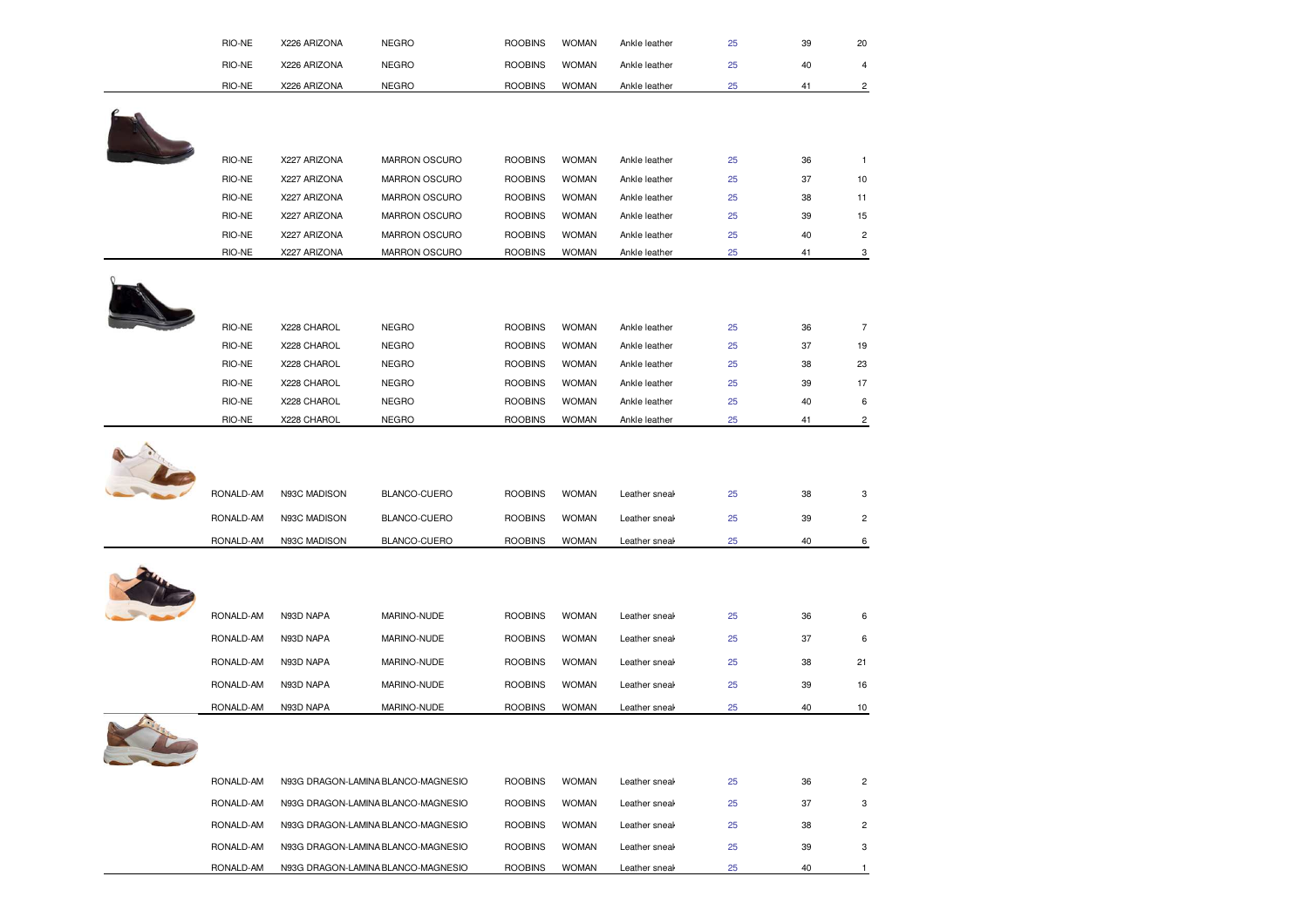|   | RIO-NE           | X226 ARIZONA               | <b>NEGRO</b>                       | <b>ROOBINS</b>                   | <b>WOMAN</b>                 | Ankle leather                  | 25       | 39       | 20                      |
|---|------------------|----------------------------|------------------------------------|----------------------------------|------------------------------|--------------------------------|----------|----------|-------------------------|
|   | RIO-NE           | X226 ARIZONA               | <b>NEGRO</b>                       | <b>ROOBINS</b>                   | <b>WOMAN</b>                 | Ankle leather                  | 25       | 40       | 4                       |
|   | RIO-NE           | X226 ARIZONA               | <b>NEGRO</b>                       | <b>ROOBINS</b>                   | <b>WOMAN</b>                 | Ankle leather                  | 25       | 41       | $\overline{\mathbf{c}}$ |
|   |                  |                            |                                    |                                  |                              |                                |          |          |                         |
|   |                  |                            |                                    |                                  |                              |                                |          |          |                         |
|   |                  |                            |                                    |                                  |                              |                                |          |          |                         |
|   | RIO-NE           | X227 ARIZONA               | MARRON OSCURO                      | <b>ROOBINS</b>                   | <b>WOMAN</b>                 | Ankle leather                  | 25       | 36       | $\mathbf{1}$            |
|   | RIO-NE           | X227 ARIZONA               | MARRON OSCURO                      | <b>ROOBINS</b>                   | <b>WOMAN</b>                 | Ankle leather                  | 25       | 37       | 10                      |
|   | RIO-NE           | X227 ARIZONA               | MARRON OSCURO                      | <b>ROOBINS</b>                   | <b>WOMAN</b>                 | Ankle leather                  | 25       | 38       | 11                      |
|   | RIO-NE           | X227 ARIZONA               | MARRON OSCURO                      | <b>ROOBINS</b>                   | <b>WOMAN</b>                 | Ankle leather                  | 25       | 39       | 15                      |
|   | RIO-NE           | X227 ARIZONA               | MARRON OSCURO                      | <b>ROOBINS</b>                   | <b>WOMAN</b>                 | Ankle leather                  | 25       | 40       | $\overline{\mathbf{c}}$ |
|   | RIO-NE           | X227 ARIZONA               | MARRON OSCURO                      | <b>ROOBINS</b>                   | <b>WOMAN</b>                 | Ankle leather                  | 25       | 41       | $\mathbf{3}$            |
|   |                  |                            |                                    |                                  |                              |                                |          |          |                         |
|   |                  |                            |                                    |                                  |                              |                                |          |          |                         |
|   |                  |                            |                                    |                                  |                              |                                |          |          |                         |
|   | RIO-NE<br>RIO-NE | X228 CHAROL<br>X228 CHAROL | <b>NEGRO</b><br><b>NEGRO</b>       | <b>ROOBINS</b><br><b>ROOBINS</b> | <b>WOMAN</b><br><b>WOMAN</b> | Ankle leather<br>Ankle leather | 25<br>25 | 36<br>37 | $\overline{7}$<br>19    |
|   | RIO-NE           | X228 CHAROL                | <b>NEGRO</b>                       | <b>ROOBINS</b>                   | <b>WOMAN</b>                 | Ankle leather                  | 25       | 38       | 23                      |
|   | RIO-NE           | X228 CHAROL                | <b>NEGRO</b>                       | <b>ROOBINS</b>                   | <b>WOMAN</b>                 | Ankle leather                  | 25       | 39       | 17                      |
|   | RIO-NE           | X228 CHAROL                | <b>NEGRO</b>                       | <b>ROOBINS</b>                   | <b>WOMAN</b>                 | Ankle leather                  | 25       | 40       | 6                       |
|   | RIO-NE           | X228 CHAROL                | <b>NEGRO</b>                       | <b>ROOBINS</b>                   | <b>WOMAN</b>                 | Ankle leather                  | 25       | 41       | $\overline{\mathbf{c}}$ |
|   |                  |                            |                                    |                                  |                              |                                |          |          |                         |
|   |                  |                            |                                    |                                  |                              |                                |          |          |                         |
|   | RONALD-AM        | N93C MADISON               | BLANCO-CUERO                       | <b>ROOBINS</b>                   | <b>WOMAN</b>                 | Leather sneak                  | 25       | 38       | 3                       |
|   |                  |                            |                                    |                                  |                              |                                |          |          |                         |
|   |                  |                            |                                    |                                  |                              |                                |          |          |                         |
|   | RONALD-AM        | N93C MADISON               | BLANCO-CUERO                       | <b>ROOBINS</b>                   | <b>WOMAN</b>                 | Leather sneal                  | 25       | 39       | $\overline{\mathbf{c}}$ |
|   | RONALD-AM        | N93C MADISON               | BLANCO-CUERO                       | <b>ROOBINS</b>                   | <b>WOMAN</b>                 | Leather sneal                  | 25       | 40       | 6                       |
|   |                  |                            |                                    |                                  |                              |                                |          |          |                         |
|   |                  |                            |                                    |                                  |                              |                                |          |          |                         |
|   | RONALD-AM        | N93D NAPA                  | MARINO-NUDE                        | <b>ROOBINS</b>                   | <b>WOMAN</b>                 | Leather sneak                  | 25       | 36       | 6                       |
|   | RONALD-AM        |                            |                                    |                                  |                              |                                |          |          |                         |
|   |                  | N93D NAPA                  | MARINO-NUDE                        | <b>ROOBINS</b>                   | <b>WOMAN</b>                 | Leather sneak                  | 25       | 37       | 6                       |
|   | RONALD-AM        | N93D NAPA                  | MARINO-NUDE                        | <b>ROOBINS</b>                   | <b>WOMAN</b>                 | Leather sneak                  | 25       | 38       | 21                      |
|   | RONALD-AM        | N93D NAPA                  | MARINO-NUDE                        | <b>ROOBINS</b>                   | <b>WOMAN</b>                 | Leather sneal                  | 25       | 39       | 16                      |
|   | RONALD-AM        | N93D NAPA                  | MARINO-NUDE                        | <b>ROOBINS</b>                   | <b>WOMAN</b>                 | Leather sneak                  | 25       | 40       | $10$                    |
| 2 |                  |                            |                                    |                                  |                              |                                |          |          |                         |
|   | RONALD-AM        |                            | N93G DRAGON-LAMINA BLANCO-MAGNESIO | <b>ROOBINS</b>                   | <b>WOMAN</b>                 | Leather sneal                  | 25       | 36       | $\overline{\mathbf{c}}$ |
|   | RONALD-AM        |                            | N93G DRAGON-LAMINA BLANCO-MAGNESIO | <b>ROOBINS</b>                   | <b>WOMAN</b>                 | Leather sneal                  | 25       | 37       | 3                       |
|   | RONALD-AM        |                            | N93G DRAGON-LAMINA BLANCO-MAGNESIO | <b>ROOBINS</b>                   | <b>WOMAN</b>                 | Leather sneak                  | 25       | 38       |                         |
|   | RONALD-AM        |                            | N93G DRAGON-LAMINA BLANCO-MAGNESIO | <b>ROOBINS</b>                   | <b>WOMAN</b>                 | Leather sneal                  | 25       | 39       | $\overline{c}$<br>3     |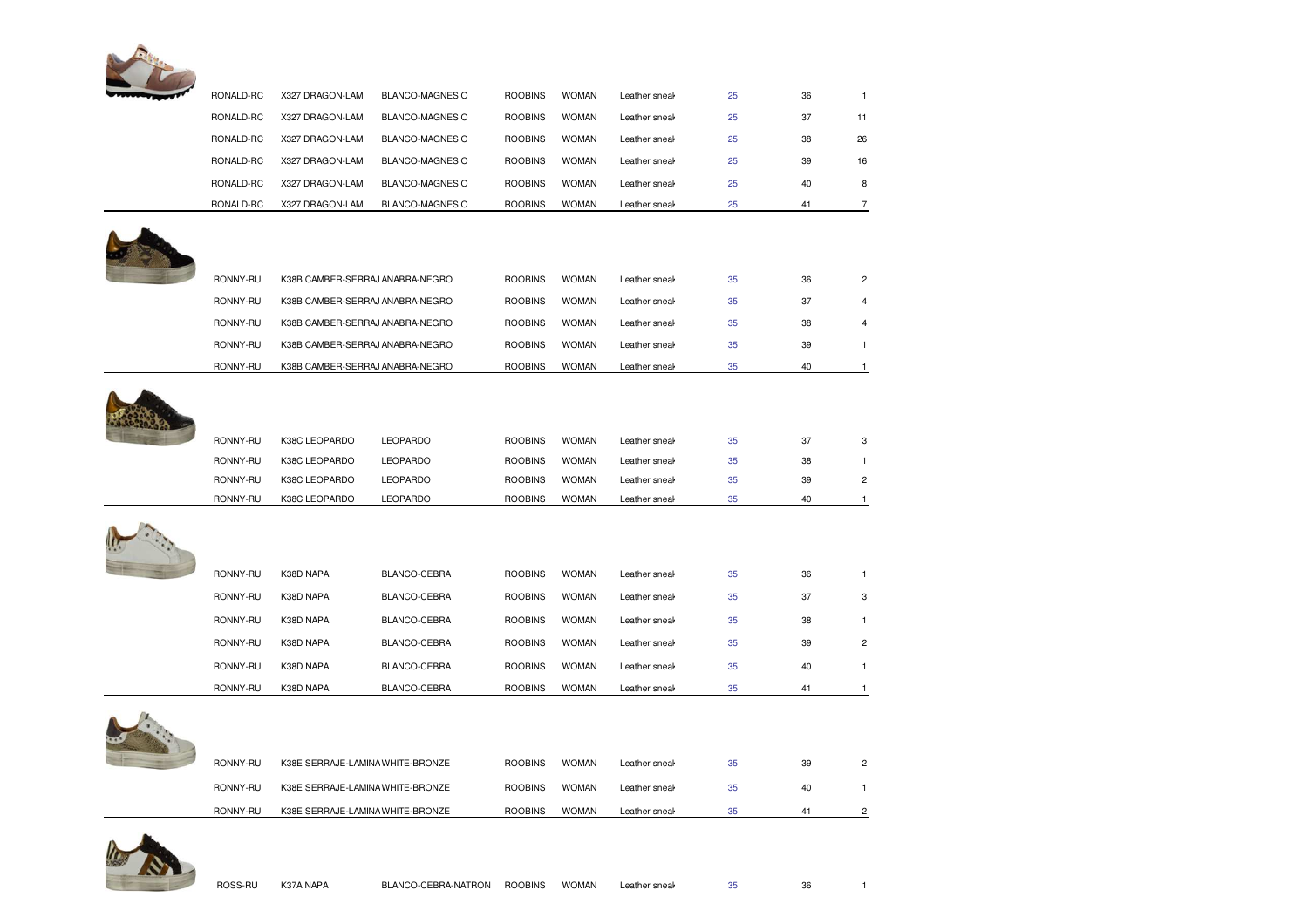

| RONALD-RC | X327 DRAGON-LAMI                 | BLANCO-MAGNESIO | <b>ROOBINS</b> | <b>WOMAN</b> | Leather sneak | 25 | 36 | $\mathbf{1}$   |
|-----------|----------------------------------|-----------------|----------------|--------------|---------------|----|----|----------------|
| RONALD-RC | X327 DRAGON-LAMI                 | BLANCO-MAGNESIO | <b>ROOBINS</b> | <b>WOMAN</b> | Leather sneak | 25 | 37 | 11             |
| RONALD-RC | X327 DRAGON-LAMI                 | BLANCO-MAGNESIO | <b>ROOBINS</b> | <b>WOMAN</b> | Leather sneak | 25 | 38 | 26             |
| RONALD-RC | X327 DRAGON-LAMI                 | BLANCO-MAGNESIO | <b>ROOBINS</b> | <b>WOMAN</b> | Leather sneak | 25 | 39 | 16             |
| RONALD-RC | X327 DRAGON-LAMI                 | BLANCO-MAGNESIO | <b>ROOBINS</b> | <b>WOMAN</b> | Leather sneak | 25 | 40 | 8              |
| RONALD-RC | X327 DRAGON-LAMI                 | BLANCO-MAGNESIO | <b>ROOBINS</b> | <b>WOMAN</b> | Leather sneal | 25 | 41 | 7              |
|           |                                  |                 |                |              |               |    |    |                |
|           |                                  |                 |                |              |               |    |    |                |
| RONNY-RU  | K38B CAMBER-SERRAJ ANABRA-NEGRO  |                 | <b>ROOBINS</b> | <b>WOMAN</b> | Leather sneak | 35 | 36 | 2              |
| RONNY-RU  | K38B CAMBER-SERRAJ ANABRA-NEGRO  |                 | <b>ROOBINS</b> | <b>WOMAN</b> | Leather sneal | 35 | 37 |                |
| RONNY-RU  | K38B CAMBER-SERRAJ ANABRA-NEGRO  |                 | <b>ROOBINS</b> | <b>WOMAN</b> | Leather sneal | 35 | 38 |                |
| RONNY-RU  | K38B CAMBER-SERRAJ ANABRA-NEGRO  |                 | <b>ROOBINS</b> | <b>WOMAN</b> | Leather sneak | 35 | 39 | $\mathbf{1}$   |
| RONNY-RU  | K38B CAMBER-SERRAJ ANABRA-NEGRO  |                 | <b>ROOBINS</b> | <b>WOMAN</b> | Leather sneal | 35 | 40 | $\mathbf{1}$   |
|           |                                  |                 |                |              |               |    |    |                |
|           |                                  |                 |                |              |               |    |    |                |
| RONNY-RU  | K38C LEOPARDO                    | <b>LEOPARDO</b> | <b>ROOBINS</b> | <b>WOMAN</b> | Leather sneak | 35 | 37 | 3              |
| RONNY-RU  | K38C LEOPARDO                    | <b>LEOPARDO</b> | <b>ROOBINS</b> | <b>WOMAN</b> | Leather sneak | 35 | 38 |                |
| RONNY-RU  | K38C LEOPARDO                    | <b>LEOPARDO</b> | <b>ROOBINS</b> | <b>WOMAN</b> | Leather sneak | 35 | 39 | 2              |
| RONNY-RU  | K38C LEOPARDO                    | LEOPARDO        | <b>ROOBINS</b> | <b>WOMAN</b> | Leather sneal | 35 | 40 |                |
|           |                                  |                 |                |              |               |    |    |                |
| RONNY-RU  | K38D NAPA                        | BLANCO-CEBRA    | <b>ROOBINS</b> | <b>WOMAN</b> | Leather sneak | 35 | 36 | $\mathbf{1}$   |
| RONNY-RU  | K38D NAPA                        | BLANCO-CEBRA    | <b>ROOBINS</b> | <b>WOMAN</b> | Leather sneal | 35 | 37 | 3              |
| RONNY-RU  | K38D NAPA                        | BLANCO-CEBRA    | <b>ROOBINS</b> | <b>WOMAN</b> | Leather sneal | 35 | 38 | $\mathbf{1}$   |
| RONNY-RU  | K38D NAPA                        | BLANCO-CEBRA    | <b>ROOBINS</b> | <b>WOMAN</b> | Leather sneal | 35 | 39 | $\overline{c}$ |
| RONNY-RU  | K38D NAPA                        | BLANCO-CEBRA    | <b>ROOBINS</b> | <b>WOMAN</b> | Leather sneak | 35 | 40 | $\mathbf{1}$   |
| RONNY-RU  | K38D NAPA                        | BLANCO-CEBRA    | <b>ROOBINS</b> | <b>WOMAN</b> | Leather sneak | 35 | 41 | 1              |
|           |                                  |                 |                |              |               |    |    |                |
|           |                                  |                 |                |              |               |    |    |                |
| RONNY-RU  | K38E SERRAJE-LAMINA WHITE-BRONZE |                 | <b>ROOBINS</b> | <b>WOMAN</b> | Leather sneal | 35 | 39 | 2              |
| RONNY-RU  | K38E SERRAJE-LAMINA WHITE-BRONZE |                 | <b>ROOBINS</b> | <b>WOMAN</b> | Leather sneal | 35 | 40 | 1              |
| RONNY-RU  | K38E SERRAJE-LAMINA WHITE-BRONZE |                 | <b>ROOBINS</b> | <b>WOMAN</b> | Leather sneal | 35 | 41 | 2              |
|           |                                  |                 |                |              |               |    |    |                |

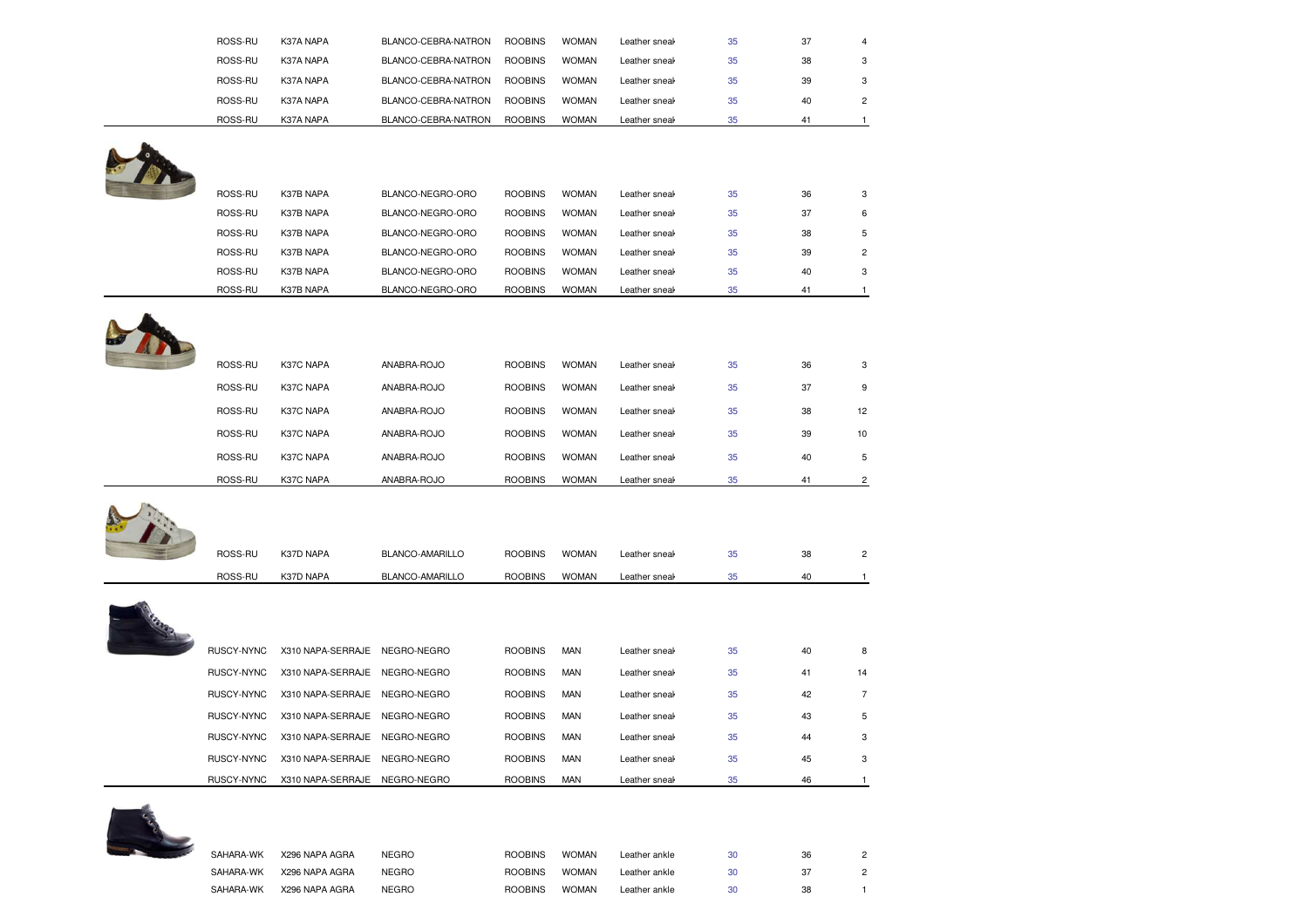| ROSS-RU    | K37A NAPA                     | BLANCO-CEBRA-NATRON | <b>ROOBINS</b> | <b>WOMAN</b> | Leather sneak | 35 | 37 | 4                       |
|------------|-------------------------------|---------------------|----------------|--------------|---------------|----|----|-------------------------|
| ROSS-RU    | K37A NAPA                     | BLANCO-CEBRA-NATRON | <b>ROOBINS</b> | <b>WOMAN</b> | Leather sneak | 35 | 38 | 3                       |
| ROSS-RU    | K37A NAPA                     | BLANCO-CEBRA-NATRON | <b>ROOBINS</b> | <b>WOMAN</b> | Leather sneak | 35 | 39 | 3                       |
| ROSS-RU    | K37A NAPA                     | BLANCO-CEBRA-NATRON | <b>ROOBINS</b> | <b>WOMAN</b> | Leather sneak | 35 | 40 | $\mathbf 2$             |
| ROSS-RU    | K37A NAPA                     | BLANCO-CEBRA-NATRON | <b>ROOBINS</b> | <b>WOMAN</b> | Leather sneak | 35 | 41 | $\mathbf{1}$            |
|            |                               |                     |                |              |               |    |    |                         |
|            |                               |                     |                |              |               |    |    |                         |
|            |                               |                     |                |              |               |    |    |                         |
| ROSS-RU    | K37B NAPA                     | BLANCO-NEGRO-ORO    | <b>ROOBINS</b> | <b>WOMAN</b> | Leather sneak | 35 | 36 | 3                       |
| ROSS-RU    | K37B NAPA                     | BLANCO-NEGRO-ORO    | <b>ROOBINS</b> | <b>WOMAN</b> | Leather sneak | 35 | 37 | 6                       |
| ROSS-RU    | K37B NAPA                     | BLANCO-NEGRO-ORO    | <b>ROOBINS</b> | <b>WOMAN</b> | Leather sneal | 35 | 38 | 5                       |
| ROSS-RU    | K37B NAPA                     | BLANCO-NEGRO-ORO    | <b>ROOBINS</b> | <b>WOMAN</b> | Leather sneak | 35 | 39 | $\overline{c}$          |
| ROSS-RU    | K37B NAPA                     | BLANCO-NEGRO-ORO    | <b>ROOBINS</b> | <b>WOMAN</b> | Leather sneak | 35 | 40 | 3                       |
| ROSS-RU    | K37B NAPA                     | BLANCO-NEGRO-ORO    | <b>ROOBINS</b> | <b>WOMAN</b> | Leather sneak | 35 | 41 | 1                       |
|            |                               |                     |                |              |               |    |    |                         |
|            |                               |                     |                |              |               |    |    |                         |
| ROSS-RU    | K37C NAPA                     | ANABRA-ROJO         | <b>ROOBINS</b> | <b>WOMAN</b> | Leather sneak | 35 | 36 | 3                       |
|            |                               |                     |                |              |               |    |    |                         |
| ROSS-RU    | K37C NAPA                     | ANABRA-ROJO         | <b>ROOBINS</b> | <b>WOMAN</b> | Leather sneak | 35 | 37 | 9                       |
| ROSS-RU    | K37C NAPA                     | ANABRA-ROJO         | <b>ROOBINS</b> | <b>WOMAN</b> | Leather sneal | 35 | 38 | 12                      |
| ROSS-RU    | K37C NAPA                     | ANABRA-ROJO         | <b>ROOBINS</b> | <b>WOMAN</b> | Leather sneak | 35 | 39 | 10                      |
| ROSS-RU    | K37C NAPA                     | ANABRA-ROJO         | <b>ROOBINS</b> | <b>WOMAN</b> | Leather sneak | 35 | 40 | 5                       |
| ROSS-RU    | K37C NAPA                     | ANABRA-ROJO         | <b>ROOBINS</b> | <b>WOMAN</b> | Leather sneak | 35 | 41 | $\overline{\mathbf{c}}$ |
|            |                               |                     |                |              |               |    |    |                         |
|            |                               |                     |                |              |               |    |    |                         |
|            |                               |                     |                |              |               |    |    |                         |
|            |                               |                     |                |              |               |    |    |                         |
| ROSS-RU    | K37D NAPA                     | BLANCO-AMARILLO     | <b>ROOBINS</b> | <b>WOMAN</b> | Leather sneak | 35 | 38 | $\overline{c}$          |
| ROSS-RU    | K37D NAPA                     | BLANCO-AMARILLO     | <b>ROOBINS</b> | <b>WOMAN</b> | Leather sneal | 35 | 40 | $\mathbf{1}$            |
|            |                               |                     |                |              |               |    |    |                         |
|            |                               |                     |                |              |               |    |    |                         |
|            |                               |                     |                |              |               |    |    |                         |
| RUSCY-NYNC | X310 NAPA-SERRAJE NEGRO-NEGRO |                     | <b>ROOBINS</b> | <b>MAN</b>   | Leather sneak | 35 | 40 | 8                       |
| RUSCY-NYNC | X310 NAPA-SERRAJE NEGRO-NEGRO |                     | <b>ROOBINS</b> | MAN          | Leather sneak | 35 | 41 | 14                      |
| RUSCY-NYNC | X310 NAPA-SERRAJE NEGRO-NEGRO |                     | <b>ROOBINS</b> | <b>MAN</b>   | Leather sneak | 35 | 42 | $\overline{7}$          |
| RUSCY-NYNC | X310 NAPA-SERRAJE NEGRO-NEGRO |                     | <b>ROOBINS</b> | <b>MAN</b>   | Leather sneal | 35 | 43 | 5                       |
| RUSCY-NYNC | X310 NAPA-SERRAJE NEGRO-NEGRO |                     | <b>ROOBINS</b> | <b>MAN</b>   | Leather sneal | 35 | 44 | 3                       |
| RUSCY-NYNC | X310 NAPA-SERRAJE NEGRO-NEGRO |                     | <b>ROOBINS</b> | MAN          | Leather sneak | 35 | 45 | 3                       |



| SAHARA-WK | X296 NAPA AGRA | <b>NEGRO</b> | <b>ROOBINS</b> | <b>WOMAN</b> | Leather ankle | 30 | 36 |  |
|-----------|----------------|--------------|----------------|--------------|---------------|----|----|--|
| SAHARA-WK | X296 NAPA AGRA | <b>NEGRO</b> | <b>ROOBINS</b> | <b>WOMAN</b> | Leather ankle | 30 |    |  |
| SAHARA-WK | X296 NAPA AGRA | <b>NEGRO</b> | <b>ROOBINS</b> | <b>WOMAN</b> | Leather ankle | 30 | 38 |  |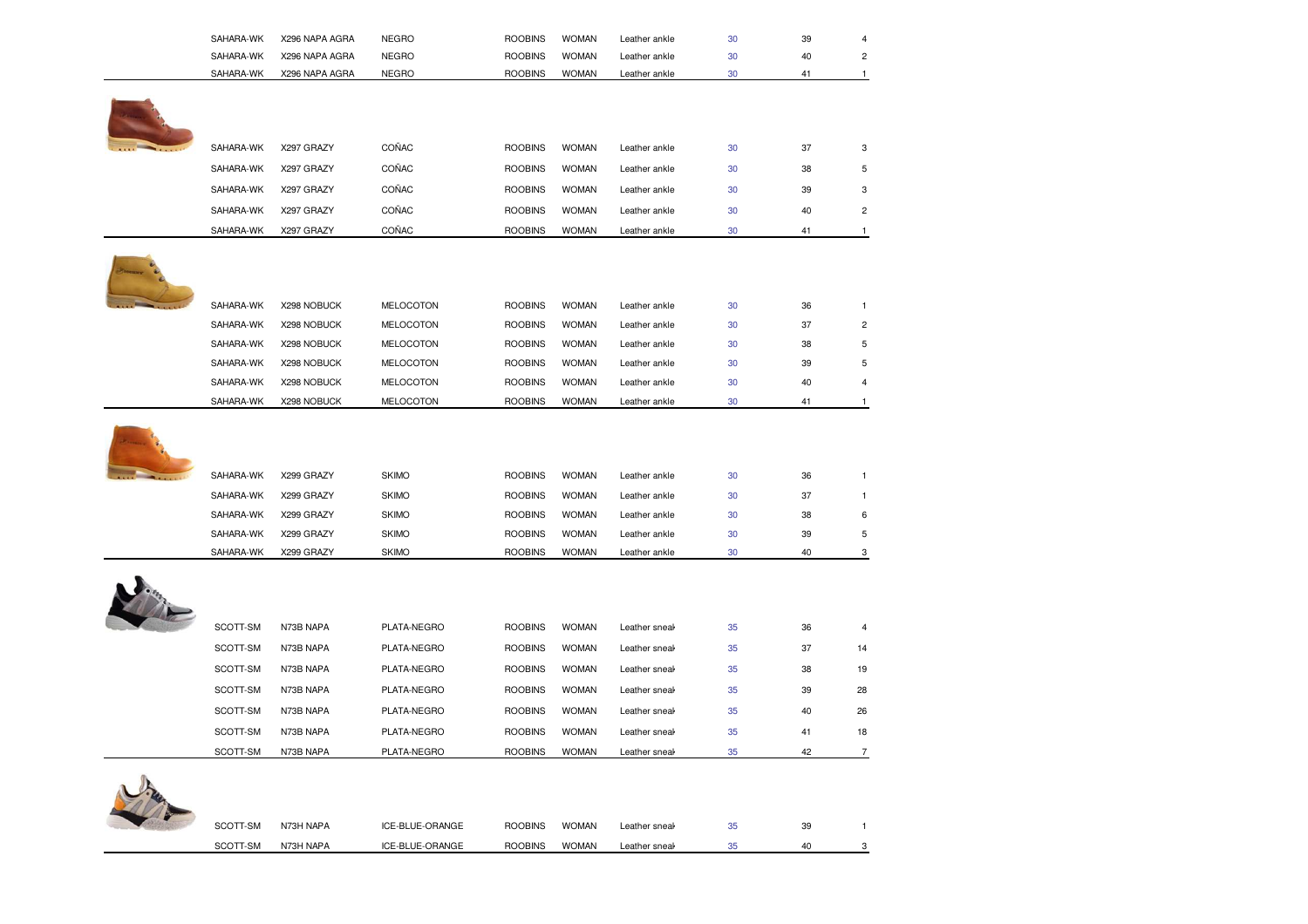| SAHARA-WK | X296 NAPA AGRA | <b>NEGRO</b>     | <b>ROOBINS</b> | <b>WOMAN</b> | Leather ankle | 30 | 39 | 4              |
|-----------|----------------|------------------|----------------|--------------|---------------|----|----|----------------|
| SAHARA-WK | X296 NAPA AGRA | <b>NEGRO</b>     | <b>ROOBINS</b> | <b>WOMAN</b> | Leather ankle | 30 | 40 | $\overline{c}$ |
| SAHARA-WK | X296 NAPA AGRA | <b>NEGRO</b>     | <b>ROOBINS</b> | <b>WOMAN</b> | Leather ankle | 30 | 41 | $\mathbf{1}$   |
|           |                |                  |                |              |               |    |    |                |
| SAHARA-WK | X297 GRAZY     | COÑAC            | <b>ROOBINS</b> | <b>WOMAN</b> | Leather ankle | 30 | 37 | 3              |
| SAHARA-WK | X297 GRAZY     | COÑAC            | <b>ROOBINS</b> | <b>WOMAN</b> | Leather ankle | 30 | 38 | 5              |
| SAHARA-WK | X297 GRAZY     | COÑAC            | <b>ROOBINS</b> | <b>WOMAN</b> | Leather ankle | 30 | 39 | 3              |
| SAHARA-WK | X297 GRAZY     | COÑAC            | <b>ROOBINS</b> | <b>WOMAN</b> | Leather ankle | 30 | 40 | $\overline{c}$ |
| SAHARA-WK | X297 GRAZY     | COÑAC            | <b>ROOBINS</b> | <b>WOMAN</b> | Leather ankle | 30 | 41 | $\mathbf{1}$   |
|           |                |                  |                |              |               |    |    |                |
| SAHARA-WK | X298 NOBUCK    | <b>MELOCOTON</b> | <b>ROOBINS</b> | <b>WOMAN</b> | Leather ankle | 30 | 36 | $\mathbf{1}$   |
| SAHARA-WK | X298 NOBUCK    | <b>MELOCOTON</b> | <b>ROOBINS</b> | <b>WOMAN</b> | Leather ankle | 30 | 37 | $\overline{c}$ |
| SAHARA-WK | X298 NOBUCK    | MELOCOTON        | <b>ROOBINS</b> | <b>WOMAN</b> | Leather ankle | 30 | 38 | $\sqrt{5}$     |
| SAHARA-WK | X298 NOBUCK    | MELOCOTON        | <b>ROOBINS</b> | <b>WOMAN</b> | Leather ankle | 30 | 39 | 5              |
| SAHARA-WK | X298 NOBUCK    | <b>MELOCOTON</b> | <b>ROOBINS</b> | <b>WOMAN</b> | Leather ankle | 30 | 40 | 4              |
| SAHARA-WK | X298 NOBUCK    | MELOCOTON        | <b>ROOBINS</b> | <b>WOMAN</b> | Leather ankle | 30 | 41 | -1             |
| SAHARA-WK | X299 GRAZY     | <b>SKIMO</b>     | <b>ROOBINS</b> | <b>WOMAN</b> | Leather ankle | 30 | 36 | $\mathbf{1}$   |
| SAHARA-WK | X299 GRAZY     | <b>SKIMO</b>     | <b>ROOBINS</b> | <b>WOMAN</b> | Leather ankle | 30 | 37 | $\mathbf{1}$   |
| SAHARA-WK | X299 GRAZY     | <b>SKIMO</b>     | <b>ROOBINS</b> | <b>WOMAN</b> | Leather ankle | 30 | 38 | 6              |
| SAHARA-WK | X299 GRAZY     | <b>SKIMO</b>     | <b>ROOBINS</b> | <b>WOMAN</b> | Leather ankle | 30 | 39 | 5              |
| SAHARA-WK | X299 GRAZY     | <b>SKIMO</b>     | <b>ROOBINS</b> | <b>WOMAN</b> | Leather ankle | 30 | 40 | 3              |
|           |                |                  |                |              |               |    |    |                |
| SCOTT-SM  | N73B NAPA      | PLATA-NEGRO      | <b>ROOBINS</b> | <b>WOMAN</b> | Leather sneal | 35 | 36 | 4              |
| SCOTT-SM  | N73B NAPA      | PLATA-NEGRO      | <b>ROOBINS</b> | <b>WOMAN</b> | Leather sneal | 35 | 37 | 14             |
| SCOTT-SM  | N73B NAPA      | PLATA-NEGRO      | <b>ROOBINS</b> | <b>WOMAN</b> | Leather sneak | 35 | 38 | 19             |
| SCOTT-SM  | N73B NAPA      | PLATA-NEGRO      | <b>ROOBINS</b> | <b>WOMAN</b> | Leather sneal | 35 | 39 | 28             |
| SCOTT-SM  | N73B NAPA      | PLATA-NEGRO      | <b>ROOBINS</b> | <b>WOMAN</b> | Leather sneal | 35 | 40 | 26             |
| SCOTT-SM  | N73B NAPA      | PLATA-NEGRO      | <b>ROOBINS</b> | <b>WOMAN</b> | Leather sneal | 35 | 41 | 18             |
| SCOTT-SM  | N73B NAPA      | PLATA-NEGRO      | <b>ROOBINS</b> | <b>WOMAN</b> | Leather sneal | 35 | 42 | $\overline{7}$ |
|           |                |                  |                |              |               |    |    |                |
| SCOTT-SM  | N73H NAPA      | ICE-BLUE-ORANGE  | <b>ROOBINS</b> | <b>WOMAN</b> | Leather sneal | 35 | 39 | $\mathbf{1}$   |
| SCOTT-SM  | N73H NAPA      | ICE-BLUE-ORANGE  | <b>ROOBINS</b> | <b>WOMAN</b> | Leather sneal | 35 | 40 | 3              |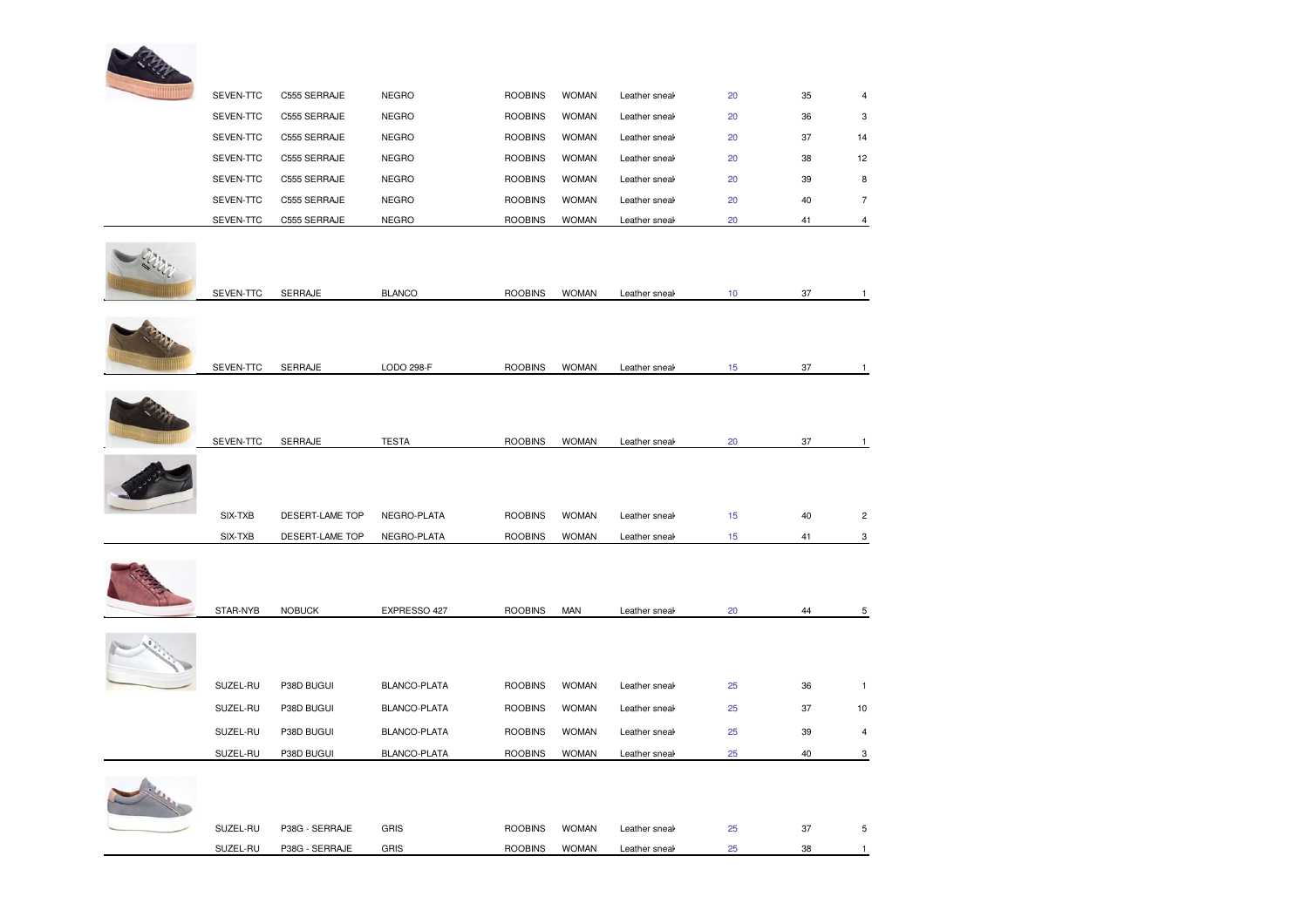

| SEVEN-TTC            | C555 SERRAJE                 | <b>NEGRO</b>                | <b>ROOBINS</b>                   | <b>WOMAN</b>                 | Leather sneal                  | 20       | 35       | $\overline{4}$ |
|----------------------|------------------------------|-----------------------------|----------------------------------|------------------------------|--------------------------------|----------|----------|----------------|
| SEVEN-TTC            | C555 SERRAJE                 | <b>NEGRO</b>                | <b>ROOBINS</b>                   | <b>WOMAN</b>                 | Leather sneal                  | 20       | 36       | 3              |
| SEVEN-TTC            | C555 SERRAJE                 | <b>NEGRO</b>                | <b>ROOBINS</b>                   | <b>WOMAN</b>                 | Leather sneak                  | 20       | 37       | 14             |
| SEVEN-TTC            | C555 SERRAJE                 | <b>NEGRO</b>                | <b>ROOBINS</b>                   | <b>WOMAN</b>                 | Leather sneak                  | 20       | 38       | 12             |
| SEVEN-TTC            | C555 SERRAJE                 | <b>NEGRO</b>                | <b>ROOBINS</b>                   | <b>WOMAN</b>                 | Leather sneak                  | 20       | 39       | 8              |
| SEVEN-TTC            | C555 SERRAJE                 | <b>NEGRO</b>                | <b>ROOBINS</b>                   | <b>WOMAN</b>                 | Leather sneak                  | 20       | 40       | $\overline{7}$ |
| SEVEN-TTC            | C555 SERRAJE                 | <b>NEGRO</b>                | <b>ROOBINS</b>                   | <b>WOMAN</b>                 | Leather sneak                  | 20       | 41       | $\overline{4}$ |
| SEVEN-TTC            | SERRAJE                      | <b>BLANCO</b>               | <b>ROOBINS</b>                   | <b>WOMAN</b>                 | Leather sneak                  | 10       | 37       | $\mathbf{1}$   |
| SEVEN-TTC            | SERRAJE                      | LODO 298-F                  | <b>ROOBINS</b>                   | <b>WOMAN</b>                 | Leather sneak                  | 15       | 37       | $\mathbf{1}$   |
| SEVEN-TTC            | SERRAJE                      | <b>TESTA</b>                | <b>ROOBINS</b>                   | <b>WOMAN</b>                 | Leather sneal                  | 20       | 37       | $\mathbf{1}$   |
| SIX-TXB              | DESERT-LAME TOP              | NEGRO-PLATA                 | <b>ROOBINS</b>                   | <b>WOMAN</b>                 | Leather sneal                  | 15       | 40       | $\overline{c}$ |
| SIX-TXB              | DESERT-LAME TOP              | NEGRO-PLATA                 | <b>ROOBINS</b>                   | <b>WOMAN</b>                 | Leather sneal                  | 15       | 41       | 3              |
| STAR-NYB             | <b>NOBUCK</b>                | EXPRESSO 427                | <b>ROOBINS</b>                   | <b>MAN</b>                   | Leather sneak                  | 20       | 44       | $\,$ 5 $\,$    |
| SUZEL-RU             | P38D BUGUI                   | BLANCO-PLATA                | <b>ROOBINS</b>                   | <b>WOMAN</b>                 | Leather sneal                  | 25       | 36       | $\mathbf{1}$   |
| SUZEL-RU             | P38D BUGUI                   | BLANCO-PLATA                | <b>ROOBINS</b>                   | <b>WOMAN</b>                 | Leather sneal                  | 25       | 37       | 10             |
| SUZEL-RU             | P38D BUGUI                   | <b>BLANCO-PLATA</b>         | <b>ROOBINS</b>                   | <b>WOMAN</b>                 | Leather sneal                  | 25       | 39       | 4              |
|                      |                              |                             |                                  |                              |                                |          |          | 3              |
| SUZEL-RU<br>SUZEL-RU | P38D BUGUI<br>P38G - SERRAJE | BLANCO-PLATA<br><b>GRIS</b> | <b>ROOBINS</b><br><b>ROOBINS</b> | <b>WOMAN</b><br><b>WOMAN</b> | Leather sneal<br>Leather sneak | 25<br>25 | 40<br>37 |                |
|                      |                              |                             |                                  |                              |                                |          |          | 5              |
| SUZEL-RU             | P38G - SERRAJE               | GRIS                        | <b>ROOBINS</b>                   | <b>WOMAN</b>                 | Leather sneal                  | 25       | 38       |                |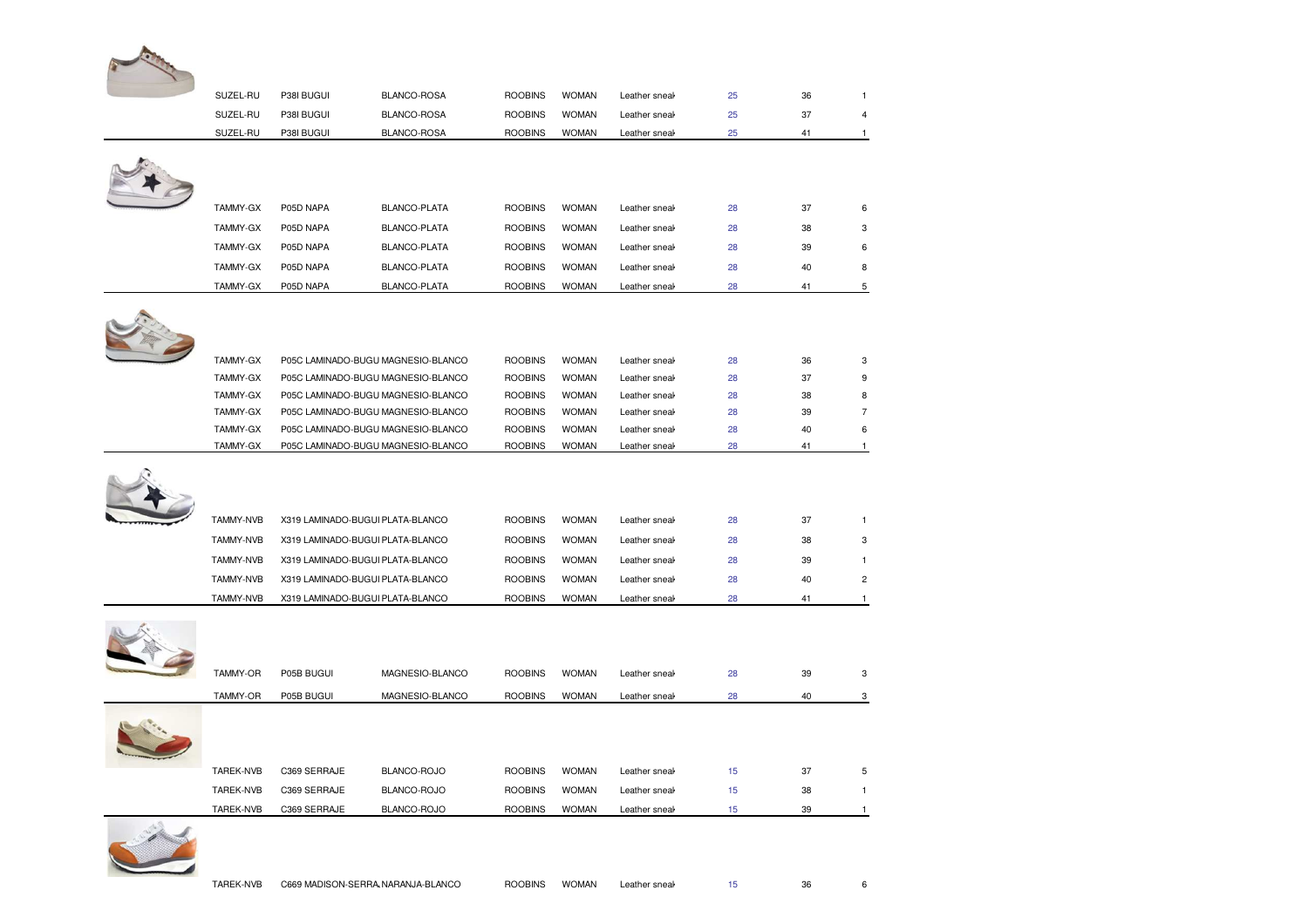| SUZEL-RU             | P38I BUGUI   | BLANCO-ROSA                                                              | <b>ROOBINS</b>                   | <b>WOMAN</b>                 | Leather sneal                  | 25       | 36       | $\mathbf{1}$                  |
|----------------------|--------------|--------------------------------------------------------------------------|----------------------------------|------------------------------|--------------------------------|----------|----------|-------------------------------|
| SUZEL-RU             | P38I BUGUI   | BLANCO-ROSA                                                              | <b>ROOBINS</b>                   | <b>WOMAN</b>                 | Leather sneak                  | 25       | 37       | 4                             |
| SUZEL-RU             | P38I BUGUI   | BLANCO-ROSA                                                              | <b>ROOBINS</b>                   | <b>WOMAN</b>                 | Leather sneak                  | 25       | 41       | $\mathbf{1}$                  |
|                      |              |                                                                          |                                  |                              |                                |          |          |                               |
|                      |              |                                                                          |                                  |                              |                                |          |          |                               |
|                      |              |                                                                          |                                  |                              |                                |          |          |                               |
| TAMMY-GX             | P05D NAPA    | BLANCO-PLATA                                                             | <b>ROOBINS</b>                   | <b>WOMAN</b>                 | Leather sneak                  | 28       | 37       | 6                             |
| TAMMY-GX             | P05D NAPA    | BLANCO-PLATA                                                             | <b>ROOBINS</b>                   | <b>WOMAN</b>                 | Leather sneal                  | 28       | 38       | 3                             |
| TAMMY-GX             | P05D NAPA    | BLANCO-PLATA                                                             | <b>ROOBINS</b>                   | <b>WOMAN</b>                 | Leather sneak                  | 28       | 39       | 6                             |
| TAMMY-GX             | P05D NAPA    | BLANCO-PLATA                                                             | <b>ROOBINS</b>                   | <b>WOMAN</b>                 | Leather sneak                  | 28       | 40       | 8                             |
| TAMMY-GX             | P05D NAPA    | BLANCO-PLATA                                                             | <b>ROOBINS</b>                   | <b>WOMAN</b>                 | Leather sneal                  | 28       | 41       | 5                             |
|                      |              |                                                                          |                                  |                              |                                |          |          |                               |
|                      |              |                                                                          |                                  |                              |                                |          |          |                               |
|                      |              |                                                                          |                                  |                              |                                |          |          |                               |
| TAMMY-GX             |              | P05C LAMINADO-BUGU MAGNESIO-BLANCO                                       | <b>ROOBINS</b>                   | <b>WOMAN</b>                 | Leather sneak                  | 28       | 36       | 3                             |
| TAMMY-GX<br>TAMMY-GX |              | P05C LAMINADO-BUGU MAGNESIO-BLANCO<br>P05C LAMINADO-BUGU MAGNESIO-BLANCO | <b>ROOBINS</b>                   | <b>WOMAN</b><br><b>WOMAN</b> | Leather sneal                  | 28<br>28 | 37<br>38 | 9<br>8                        |
| TAMMY-GX             |              | P05C LAMINADO-BUGU MAGNESIO-BLANCO                                       | <b>ROOBINS</b><br><b>ROOBINS</b> | <b>WOMAN</b>                 | Leather sneal<br>Leather sneak | 28       | 39       | $\overline{7}$                |
| TAMMY-GX             |              | P05C LAMINADO-BUGU MAGNESIO-BLANCO                                       | <b>ROOBINS</b>                   | <b>WOMAN</b>                 | Leather sneak                  | 28       | 40       | 6                             |
| TAMMY-GX             |              | P05C LAMINADO-BUGU MAGNESIO-BLANCO                                       | <b>ROOBINS</b>                   | <b>WOMAN</b>                 | Leather sneal                  | 28       | 41       | $\mathbf{1}$                  |
|                      |              |                                                                          |                                  |                              |                                |          |          |                               |
|                      |              |                                                                          |                                  |                              |                                |          |          |                               |
|                      |              |                                                                          |                                  |                              |                                |          |          |                               |
|                      |              |                                                                          |                                  |                              |                                |          |          |                               |
| TAMMY-NVB            |              | X319 LAMINADO-BUGUI PLATA-BLANCO                                         | <b>ROOBINS</b>                   | <b>WOMAN</b>                 | Leather sneal                  | 28       | 37       | 1                             |
| TAMMY-NVB            |              | X319 LAMINADO-BUGUI PLATA-BLANCO                                         | <b>ROOBINS</b>                   | <b>WOMAN</b>                 | Leather sneal                  | 28       | 38       |                               |
| <b>TAMMY-NVB</b>     |              | X319 LAMINADO-BUGUI PLATA-BLANCO                                         | <b>ROOBINS</b>                   | <b>WOMAN</b>                 | Leather sneal                  | 28       | 39       | $\mathbf{1}$                  |
| <b>TAMMY-NVB</b>     |              | X319 LAMINADO-BUGUI PLATA-BLANCO                                         | <b>ROOBINS</b>                   | <b>WOMAN</b>                 | Leather sneal                  | 28       | 40       |                               |
| TAMMY-NVB            |              | X319 LAMINADO-BUGUI PLATA-BLANCO                                         | <b>ROOBINS</b>                   | <b>WOMAN</b>                 | Leather sneak                  | 28       | 41       | $\mathbf{1}$                  |
|                      |              |                                                                          |                                  |                              |                                |          |          |                               |
|                      |              |                                                                          |                                  |                              |                                |          |          |                               |
|                      |              |                                                                          |                                  |                              |                                |          |          |                               |
| <b>TAMMY-OR</b>      | P05B BUGUI   | MAGNESIO-BLANCO                                                          | <b>ROOBINS</b>                   | <b>WOMAN</b>                 | Leather sneal                  | 28       | 39       |                               |
|                      |              |                                                                          |                                  |                              |                                |          |          |                               |
| TAMMY-OR             | P05B BUGUI   | MAGNESIO-BLANCO                                                          | <b>ROOBINS</b>                   | <b>WOMAN</b>                 | Leather sneak                  | 28       | 40       | 3<br>$\overline{c}$<br>3<br>3 |
|                      |              |                                                                          |                                  |                              |                                |          |          |                               |
|                      |              |                                                                          |                                  |                              |                                |          |          |                               |
| TAREK-NVB            | C369 SERRAJE | BLANCO-ROJO                                                              | <b>ROOBINS</b>                   | <b>WOMAN</b>                 | Leather sneal                  | 15       | 37       |                               |
| <b>TAREK-NVB</b>     | C369 SERRAJE | BLANCO-ROJO                                                              | <b>ROOBINS</b>                   | <b>WOMAN</b>                 | Leather sneal                  | 15       | 38       | 5<br>$\mathbf{1}$             |

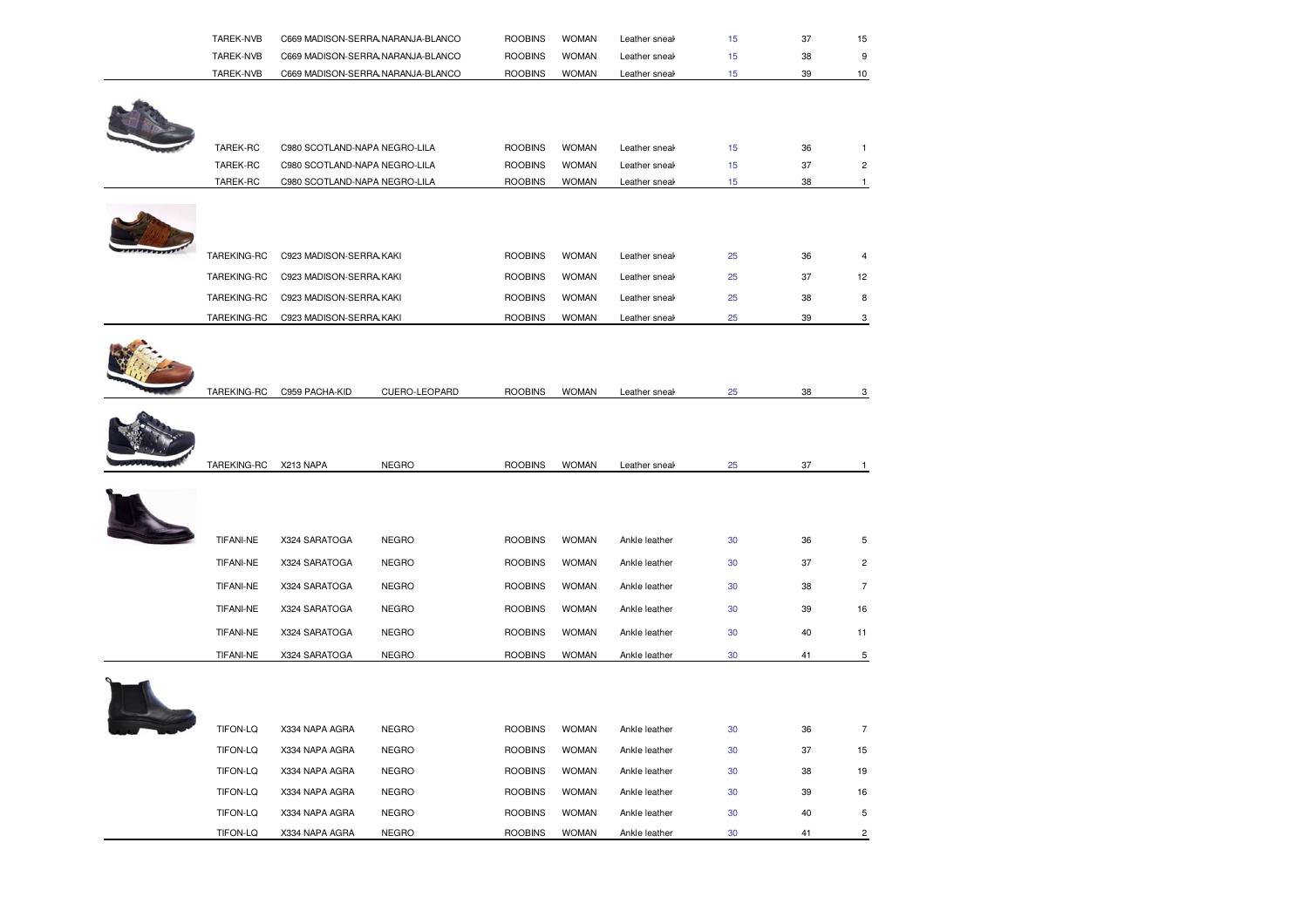| TAREK-NVB | C669 MADISON-SERRA NARANJA-BLANCO | <b>ROOBINS</b> | <b>WOMAN</b> | Leather sneak |    |  |
|-----------|-----------------------------------|----------------|--------------|---------------|----|--|
| TAREK-NVB | C669 MADISON-SERRA NARANJA-BLANCO | <b>ROOBINS</b> | <b>WOMAN</b> | Leather sneak | 38 |  |
| TAREK-NVB | C669 MADISON-SERRA NARANJA-BLANCO | <b>ROOBINS</b> | <b>WOMAN</b> | Leather sneak | 39 |  |



| TAREK-RC         | C980 SCOTLAND-NAPA NEGRO-LILA |               | <b>ROOBINS</b> | <b>WOMAN</b> | Leather sneak | 15 | 36 | $\mathbf{1}$   |
|------------------|-------------------------------|---------------|----------------|--------------|---------------|----|----|----------------|
| TAREK-RC         | C980 SCOTLAND-NAPA NEGRO-LILA |               | <b>ROOBINS</b> | <b>WOMAN</b> | Leather sneak | 15 | 37 | $\overline{c}$ |
| TAREK-RC         | C980 SCOTLAND-NAPA NEGRO-LILA |               | <b>ROOBINS</b> | <b>WOMAN</b> | Leather sneak | 15 | 38 | $\mathbf{1}$   |
|                  |                               |               |                |              |               |    |    |                |
| TAREKING-RC      | C923 MADISON-SERRA KAKI       |               | <b>ROOBINS</b> | <b>WOMAN</b> | Leather sneak | 25 | 36 | $\overline{4}$ |
| TAREKING-RC      | C923 MADISON-SERRA KAKI       |               | <b>ROOBINS</b> | <b>WOMAN</b> | Leather sneak | 25 | 37 | 12             |
| TAREKING-RC      | C923 MADISON-SERRA KAKI       |               | <b>ROOBINS</b> | <b>WOMAN</b> | Leather sneak | 25 | 38 | 8              |
| TAREKING-RC      | C923 MADISON-SERRA KAKI       |               | <b>ROOBINS</b> | <b>WOMAN</b> | Leather sneak | 25 | 39 | 3              |
| TAREKING-RC      | C959 PACHA-KID                | CUERO-LEOPARD | <b>ROOBINS</b> | <b>WOMAN</b> | Leather sneal | 25 | 38 | 3              |
|                  |                               |               |                |              |               |    | 37 |                |
| TAREKING-RC      | X213 NAPA                     | <b>NEGRO</b>  | <b>ROOBINS</b> | <b>WOMAN</b> | Leather sneal | 25 |    | $\mathbf{1}$   |
| <b>TIFANI-NE</b> | X324 SARATOGA                 | <b>NEGRO</b>  | <b>ROOBINS</b> | <b>WOMAN</b> | Ankle leather | 30 | 36 | 5              |
| <b>TIFANI-NE</b> | X324 SARATOGA                 | <b>NEGRO</b>  | <b>ROOBINS</b> | <b>WOMAN</b> | Ankle leather | 30 | 37 | $\overline{c}$ |
| TIFANI-NE        | X324 SARATOGA                 | <b>NEGRO</b>  | <b>ROOBINS</b> | <b>WOMAN</b> | Ankle leather | 30 | 38 | $\overline{7}$ |
|                  |                               |               |                |              |               |    |    |                |
| TIFANI-NE        | X324 SARATOGA                 | <b>NEGRO</b>  | <b>ROOBINS</b> | <b>WOMAN</b> | Ankle leather | 30 | 39 | 16             |
| TIFANI-NE        | X324 SARATOGA                 | <b>NEGRO</b>  | <b>ROOBINS</b> | <b>WOMAN</b> | Ankle leather | 30 | 40 | 11             |
| <b>TIFANI-NE</b> | X324 SARATOGA                 | <b>NEGRO</b>  | <b>ROOBINS</b> | <b>WOMAN</b> | Ankle leather | 30 | 41 | $\overline{5}$ |
|                  |                               |               |                |              |               |    |    |                |
| TIFON-LQ         | X334 NAPA AGRA                | <b>NEGRO</b>  | <b>ROOBINS</b> | <b>WOMAN</b> | Ankle leather | 30 | 36 | $\overline{7}$ |
| TIFON-LQ         | X334 NAPA AGRA                | <b>NEGRO</b>  | <b>ROOBINS</b> | <b>WOMAN</b> | Ankle leather | 30 | 37 | 15             |
| TIFON-LQ         | X334 NAPA AGRA                | <b>NEGRO</b>  | <b>ROOBINS</b> | <b>WOMAN</b> | Ankle leather | 30 | 38 | 19             |
| TIFON-LQ         | X334 NAPA AGRA                | <b>NEGRO</b>  | <b>ROOBINS</b> | <b>WOMAN</b> | Ankle leather | 30 | 39 | 16             |
| TIFON-LQ         | X334 NAPA AGRA                | <b>NEGRO</b>  | <b>ROOBINS</b> | <b>WOMAN</b> | Ankle leather | 30 | 40 | 5              |
| TIFON-LQ         | X334 NAPA AGRA                | <b>NEGRO</b>  | <b>ROOBINS</b> | <b>WOMAN</b> | Ankle leather | 30 | 41 | $\overline{2}$ |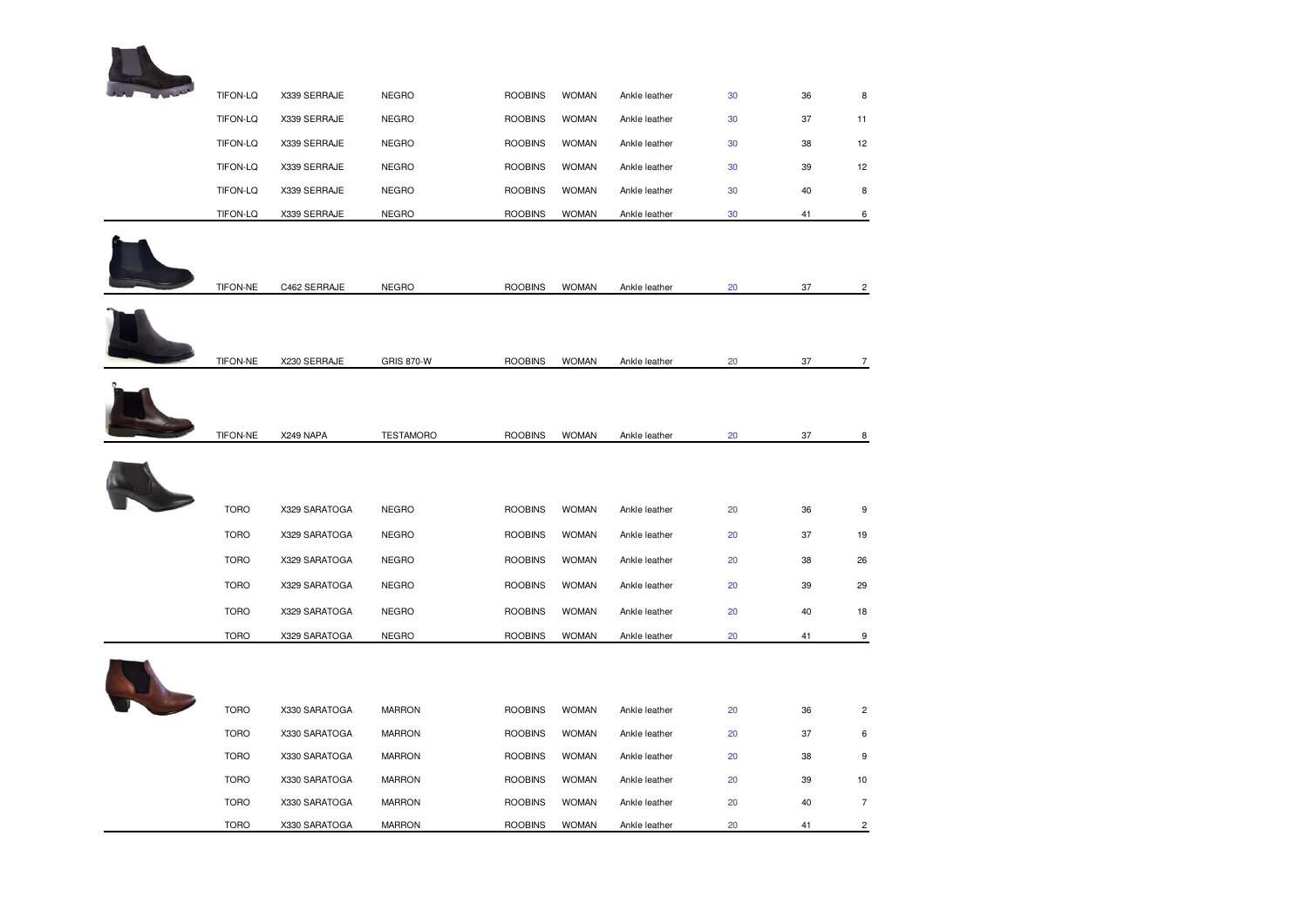

| TIFON-LQ        | X339 SERRAJE  | <b>NEGRO</b>      | <b>ROOBINS</b> | <b>WOMAN</b> | Ankle leather | 30 | 36 | 8              |
|-----------------|---------------|-------------------|----------------|--------------|---------------|----|----|----------------|
| TIFON-LQ        | X339 SERRAJE  | <b>NEGRO</b>      | <b>ROOBINS</b> | <b>WOMAN</b> | Ankle leather | 30 | 37 | 11             |
| TIFON-LQ        | X339 SERRAJE  | <b>NEGRO</b>      | <b>ROOBINS</b> | <b>WOMAN</b> | Ankle leather | 30 | 38 | 12             |
| TIFON-LQ        | X339 SERRAJE  | <b>NEGRO</b>      | <b>ROOBINS</b> | <b>WOMAN</b> | Ankle leather | 30 | 39 | 12             |
| <b>TIFON-LQ</b> | X339 SERRAJE  | <b>NEGRO</b>      | <b>ROOBINS</b> | <b>WOMAN</b> | Ankle leather | 30 | 40 | 8              |
| TIFON-LQ        | X339 SERRAJE  | <b>NEGRO</b>      | <b>ROOBINS</b> | <b>WOMAN</b> | Ankle leather | 30 | 41 | 6              |
|                 |               |                   |                |              |               |    |    |                |
|                 |               |                   |                |              |               |    |    |                |
| TIFON-NE        | C462 SERRAJE  | <b>NEGRO</b>      | <b>ROOBINS</b> | <b>WOMAN</b> | Ankle leather | 20 | 37 | $\overline{c}$ |
|                 |               |                   |                |              |               |    |    |                |
|                 |               |                   |                |              |               |    |    |                |
| TIFON-NE        | X230 SERRAJE  | <b>GRIS 870-W</b> | <b>ROOBINS</b> | <b>WOMAN</b> | Ankle leather | 20 | 37 | 7              |
|                 |               |                   |                |              |               |    |    |                |
|                 |               |                   |                |              |               |    |    |                |
| <b>TIFON-NE</b> | X249 NAPA     | <b>TESTAMORO</b>  | <b>ROOBINS</b> | <b>WOMAN</b> | Ankle leather | 20 | 37 | 8              |
|                 |               |                   |                |              |               |    |    |                |
|                 |               |                   |                |              |               |    |    |                |
|                 |               |                   |                |              |               |    |    |                |
| <b>TORO</b>     | X329 SARATOGA | <b>NEGRO</b>      | <b>ROOBINS</b> | <b>WOMAN</b> | Ankle leather | 20 | 36 | 9              |
| <b>TORO</b>     | X329 SARATOGA | <b>NEGRO</b>      | <b>ROOBINS</b> | <b>WOMAN</b> | Ankle leather | 20 | 37 | 19             |
| <b>TORO</b>     | X329 SARATOGA | <b>NEGRO</b>      | <b>ROOBINS</b> | <b>WOMAN</b> | Ankle leather | 20 | 38 | 26             |
| <b>TORO</b>     | X329 SARATOGA | <b>NEGRO</b>      | <b>ROOBINS</b> | <b>WOMAN</b> | Ankle leather | 20 | 39 | 29             |
| <b>TORO</b>     | X329 SARATOGA | <b>NEGRO</b>      | <b>ROOBINS</b> | <b>WOMAN</b> | Ankle leather | 20 | 40 | 18             |
| <b>TORO</b>     | X329 SARATOGA | <b>NEGRO</b>      | <b>ROOBINS</b> | <b>WOMAN</b> | Ankle leather | 20 | 41 | 9              |
|                 |               |                   |                |              |               |    |    |                |
|                 |               |                   |                |              |               |    |    |                |
| <b>TORO</b>     | X330 SARATOGA | <b>MARRON</b>     | <b>ROOBINS</b> | <b>WOMAN</b> | Ankle leather | 20 | 36 | $\overline{2}$ |
| <b>TORO</b>     | X330 SARATOGA | <b>MARRON</b>     | <b>ROOBINS</b> | <b>WOMAN</b> | Ankle leather | 20 | 37 | 6              |
| <b>TORO</b>     | X330 SARATOGA | <b>MARRON</b>     | <b>ROOBINS</b> | <b>WOMAN</b> | Ankle leather | 20 | 38 | 9              |
| <b>TORO</b>     | X330 SARATOGA | <b>MARRON</b>     | <b>ROOBINS</b> | <b>WOMAN</b> | Ankle leather | 20 | 39 | 10             |
| <b>TORO</b>     | X330 SARATOGA | <b>MARRON</b>     | <b>ROOBINS</b> | <b>WOMAN</b> | Ankle leather | 20 | 40 | $\overline{7}$ |
| <b>TORO</b>     | X330 SARATOGA | <b>MARRON</b>     | <b>ROOBINS</b> | <b>WOMAN</b> | Ankle leather | 20 | 41 | $\overline{c}$ |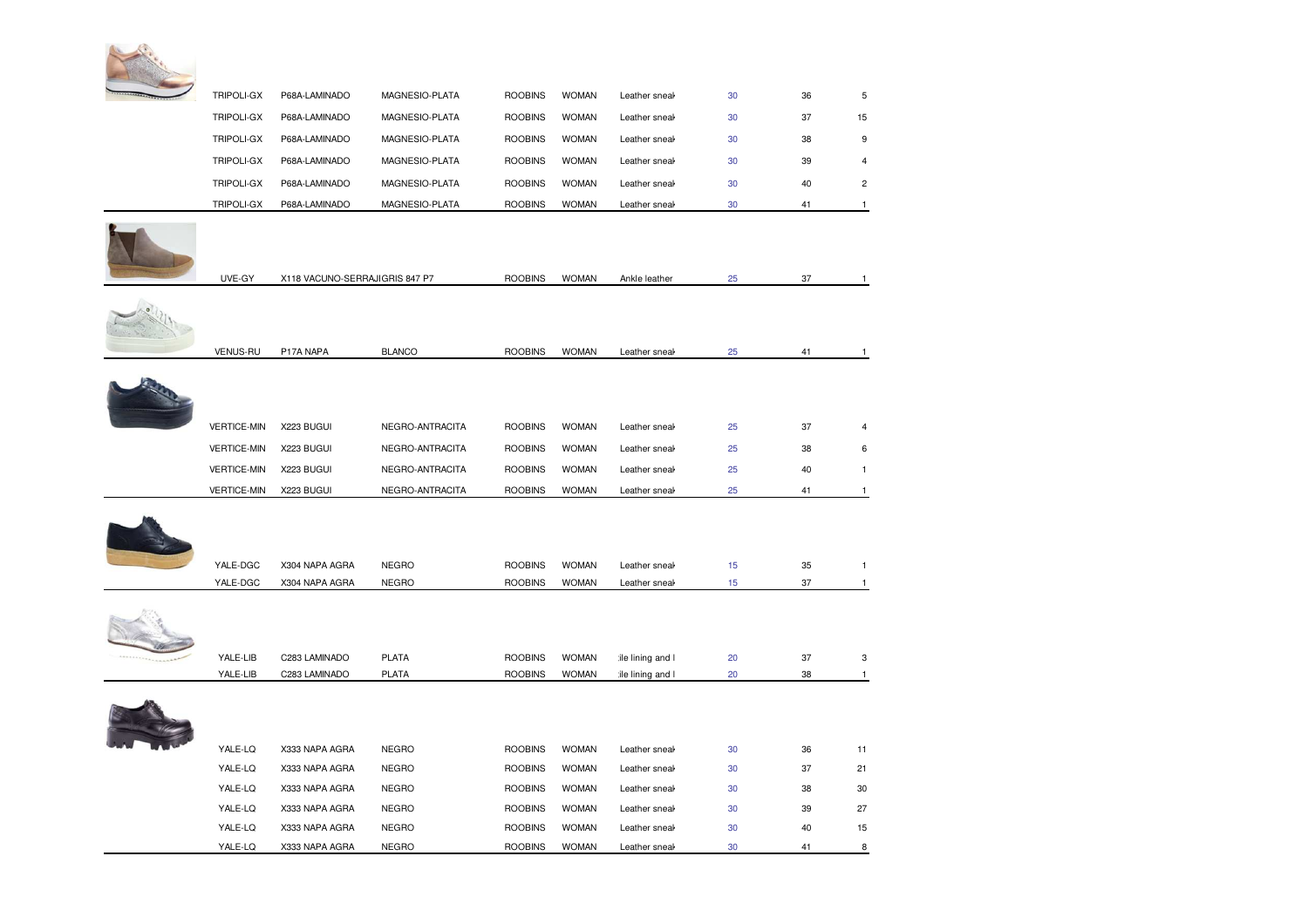

| TRIPOLI-GX         | P68A-LAMINADO                  | MAGNESIO-PLATA  | <b>ROOBINS</b> | <b>WOMAN</b> | Leather sneal    | 30               | 36 | 5              |
|--------------------|--------------------------------|-----------------|----------------|--------------|------------------|------------------|----|----------------|
| <b>TRIPOLI-GX</b>  | P68A-LAMINADO                  | MAGNESIO-PLATA  | <b>ROOBINS</b> | <b>WOMAN</b> | Leather sneak    | 30               | 37 | 15             |
| TRIPOLI-GX         | P68A-LAMINADO                  | MAGNESIO-PLATA  | <b>ROOBINS</b> | <b>WOMAN</b> | Leather sneak    | 30               | 38 | 9              |
| TRIPOLI-GX         | P68A-LAMINADO                  | MAGNESIO-PLATA  | <b>ROOBINS</b> | <b>WOMAN</b> | Leather sneal    | 30               | 39 | 4              |
| TRIPOLI-GX         | P68A-LAMINADO                  | MAGNESIO-PLATA  | <b>ROOBINS</b> | <b>WOMAN</b> | Leather sneal    | 30               | 40 | $\overline{c}$ |
| <b>TRIPOLI-GX</b>  | P68A-LAMINADO                  | MAGNESIO-PLATA  | <b>ROOBINS</b> | <b>WOMAN</b> | Leather sneal    | 30               | 41 | $\mathbf{1}$   |
| UVE-GY             | X118 VACUNO-SERRAJIGRIS 847 P7 |                 | <b>ROOBINS</b> | <b>WOMAN</b> | Ankle leather    | 25               | 37 | $\overline{1}$ |
| <b>VENUS-RU</b>    | P17A NAPA                      | <b>BLANCO</b>   | <b>ROOBINS</b> | <b>WOMAN</b> | Leather sneak    | 25               | 41 | $\mathbf{1}$   |
|                    |                                |                 |                |              |                  |                  |    |                |
| <b>VERTICE-MIN</b> | X223 BUGUI                     | NEGRO-ANTRACITA | <b>ROOBINS</b> | <b>WOMAN</b> | Leather sneal    | 25               | 37 | 4              |
| <b>VERTICE-MIN</b> | X223 BUGUI                     | NEGRO-ANTRACITA | <b>ROOBINS</b> | <b>WOMAN</b> | Leather sneal    | 25               | 38 | 6              |
| <b>VERTICE-MIN</b> | X223 BUGUI                     | NEGRO-ANTRACITA | <b>ROOBINS</b> | <b>WOMAN</b> | Leather sneal    | 25               | 40 | 1              |
| <b>VERTICE-MIN</b> | X223 BUGUI                     | NEGRO-ANTRACITA | <b>ROOBINS</b> | <b>WOMAN</b> | Leather sneak    | 25               | 41 | -1             |
| YALE-DGC           | X304 NAPA AGRA                 | <b>NEGRO</b>    | <b>ROOBINS</b> | <b>WOMAN</b> | Leather sneak    | 15               | 35 | $\mathbf{1}$   |
| YALE-DGC           | X304 NAPA AGRA                 | <b>NEGRO</b>    | <b>ROOBINS</b> | <b>WOMAN</b> | Leather sneak    | 15 <sub>15</sub> | 37 | $\mathbf{1}$   |
|                    |                                |                 |                |              |                  |                  |    |                |
| YALE-LIB           | C283 LAMINADO                  | <b>PLATA</b>    | <b>ROOBINS</b> | <b>WOMAN</b> | ile lining and I | 20               | 37 | 3              |
| YALE-LIB           | C283 LAMINADO                  | <b>PLATA</b>    | <b>ROOBINS</b> | <b>WOMAN</b> | ile lining and I | 20               | 38 | $\mathbf{1}$   |
|                    |                                |                 |                |              |                  |                  |    |                |
| YALE-LQ            | X333 NAPA AGRA                 | <b>NEGRO</b>    | <b>ROOBINS</b> | <b>WOMAN</b> | Leather sneak    | 30               | 36 | 11             |
| YALE-LQ            | X333 NAPA AGRA                 | <b>NEGRO</b>    | <b>ROOBINS</b> | <b>WOMAN</b> | Leather sneal    | 30               | 37 | 21             |
| YALE-LQ            | X333 NAPA AGRA                 | <b>NEGRO</b>    | <b>ROOBINS</b> | <b>WOMAN</b> | Leather sneal    | 30               | 38 | 30             |
| YALE-LQ            | X333 NAPA AGRA                 | <b>NEGRO</b>    | <b>ROOBINS</b> | <b>WOMAN</b> | Leather sneak    | 30               | 39 | 27             |
| YALE-LQ            | X333 NAPA AGRA                 | <b>NEGRO</b>    | <b>ROOBINS</b> | <b>WOMAN</b> | Leather sneak    | 30               | 40 | 15             |
| YALE-LQ            | X333 NAPA AGRA                 | <b>NEGRO</b>    | <b>ROOBINS</b> | <b>WOMAN</b> | Leather sneak    | 30               | 41 | 8              |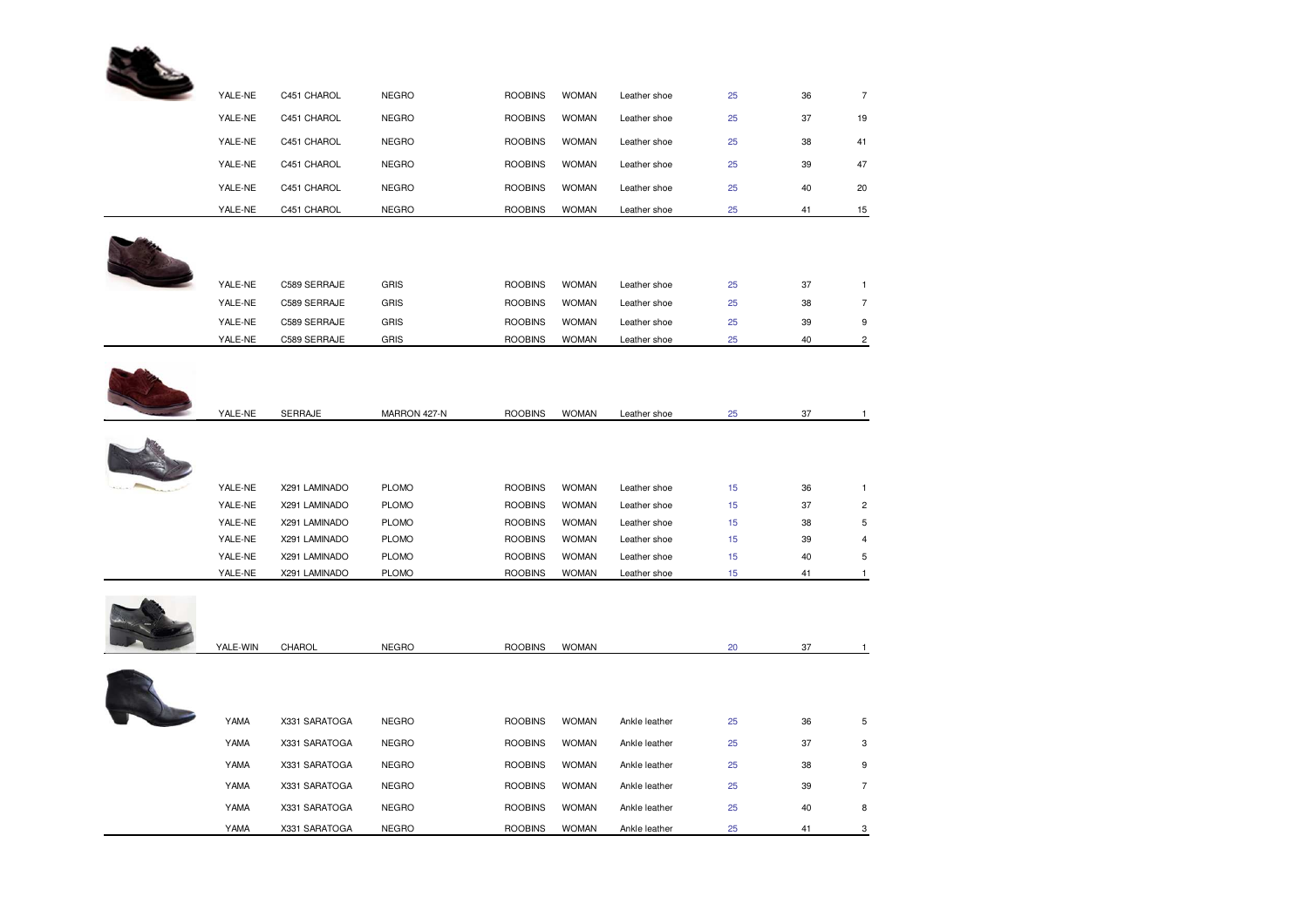

| YALE-NE | C451 CHAROL  | <b>NEGRO</b> | <b>ROOBINS</b> | <b>WOMAN</b> | Leather shoe | 25 | 36 | $\overline{7}$ |
|---------|--------------|--------------|----------------|--------------|--------------|----|----|----------------|
| YALE-NE | C451 CHAROL  | <b>NEGRO</b> | <b>ROOBINS</b> | <b>WOMAN</b> | Leather shoe | 25 | 37 | 19             |
| YALE-NE | C451 CHAROL  | <b>NEGRO</b> | <b>ROOBINS</b> | <b>WOMAN</b> | Leather shoe | 25 | 38 | 41             |
| YALE-NE | C451 CHAROL  | <b>NEGRO</b> | <b>ROOBINS</b> | <b>WOMAN</b> | Leather shoe | 25 | 39 | 47             |
| YALE-NE | C451 CHAROL  | <b>NEGRO</b> | <b>ROOBINS</b> | <b>WOMAN</b> | Leather shoe | 25 | 40 | 20             |
| YALE-NE | C451 CHAROL  | <b>NEGRO</b> | <b>ROOBINS</b> | <b>WOMAN</b> | Leather shoe | 25 | 41 | 15             |
|         |              |              |                |              |              |    |    |                |
| YALE-NE | C589 SERRAJE | <b>GRIS</b>  | <b>ROOBINS</b> | <b>WOMAN</b> | Leather shoe | 25 | 37 |                |
| YALE-NE | C589 SERRAJE | <b>GRIS</b>  | <b>ROOBINS</b> | <b>WOMAN</b> | Leather shoe | 25 | 38 | $\overline{7}$ |
| YALE-NE | C589 SERRAJE | <b>GRIS</b>  | <b>ROOBINS</b> | <b>WOMAN</b> | Leather shoe | 25 | 39 | 9              |
| YALE-NE | C589 SERRAJE | <b>GRIS</b>  | <b>ROOBINS</b> | <b>WOMAN</b> | Leather shoe | 25 | 40 | 2              |



|     | YALE-NE | <b>SERRAJE</b> | MARRON 427-N | <b>ROOBINS</b> | <b>WOMAN</b> | Leather shoe | 25 | 37 |   |
|-----|---------|----------------|--------------|----------------|--------------|--------------|----|----|---|
|     |         |                |              |                |              |              |    |    |   |
| ALA | YALE-NE | X291 LAMINADO  | <b>PLOMO</b> | <b>ROOBINS</b> | <b>WOMAN</b> | Leather shoe | 15 | 36 |   |
|     | YALE-NE | X291 LAMINADO  | <b>PLOMO</b> | <b>ROOBINS</b> | <b>WOMAN</b> | Leather shoe | 15 | 37 | 2 |
|     | YALE-NE | X291 LAMINADO  | <b>PLOMO</b> | <b>ROOBINS</b> | <b>WOMAN</b> | Leather shoe | 15 | 38 | 5 |
|     | YALE-NE | X291 LAMINADO  | <b>PLOMO</b> | <b>ROOBINS</b> | <b>WOMAN</b> | Leather shoe | 15 | 39 | 4 |
|     | YALE-NE | X291 LAMINADO  | <b>PLOMO</b> | <b>ROOBINS</b> | <b>WOMAN</b> | Leather shoe | 15 | 40 | 5 |
|     | YALE-NE | X291 LAMINADO  | <b>PLOMO</b> | <b>ROOBINS</b> | <b>WOMAN</b> | Leather shoe | 15 | 41 |   |



| YALE-WIN | CHAROL        | <b>NEGRO</b> | <b>ROOBINS</b> | <b>WOMAN</b> |               | 20 | 37 |                |
|----------|---------------|--------------|----------------|--------------|---------------|----|----|----------------|
|          |               |              |                |              |               |    |    |                |
|          |               |              |                |              |               |    |    |                |
| YAMA     | X331 SARATOGA | <b>NEGRO</b> | <b>ROOBINS</b> | <b>WOMAN</b> | Ankle leather | 25 | 36 | 5              |
| YAMA     | X331 SARATOGA | <b>NEGRO</b> | <b>ROOBINS</b> | <b>WOMAN</b> | Ankle leather | 25 | 37 | 3              |
| YAMA     | X331 SARATOGA | <b>NEGRO</b> | <b>ROOBINS</b> | <b>WOMAN</b> | Ankle leather | 25 | 38 | 9              |
| YAMA     | X331 SARATOGA | <b>NEGRO</b> | <b>ROOBINS</b> | <b>WOMAN</b> | Ankle leather | 25 | 39 | $\overline{7}$ |
| YAMA     | X331 SARATOGA | <b>NEGRO</b> | <b>ROOBINS</b> | <b>WOMAN</b> | Ankle leather | 25 | 40 | 8              |
| YAMA     | X331 SARATOGA | <b>NEGRO</b> | <b>ROOBINS</b> | <b>WOMAN</b> | Ankle leather | 25 | 41 | 3              |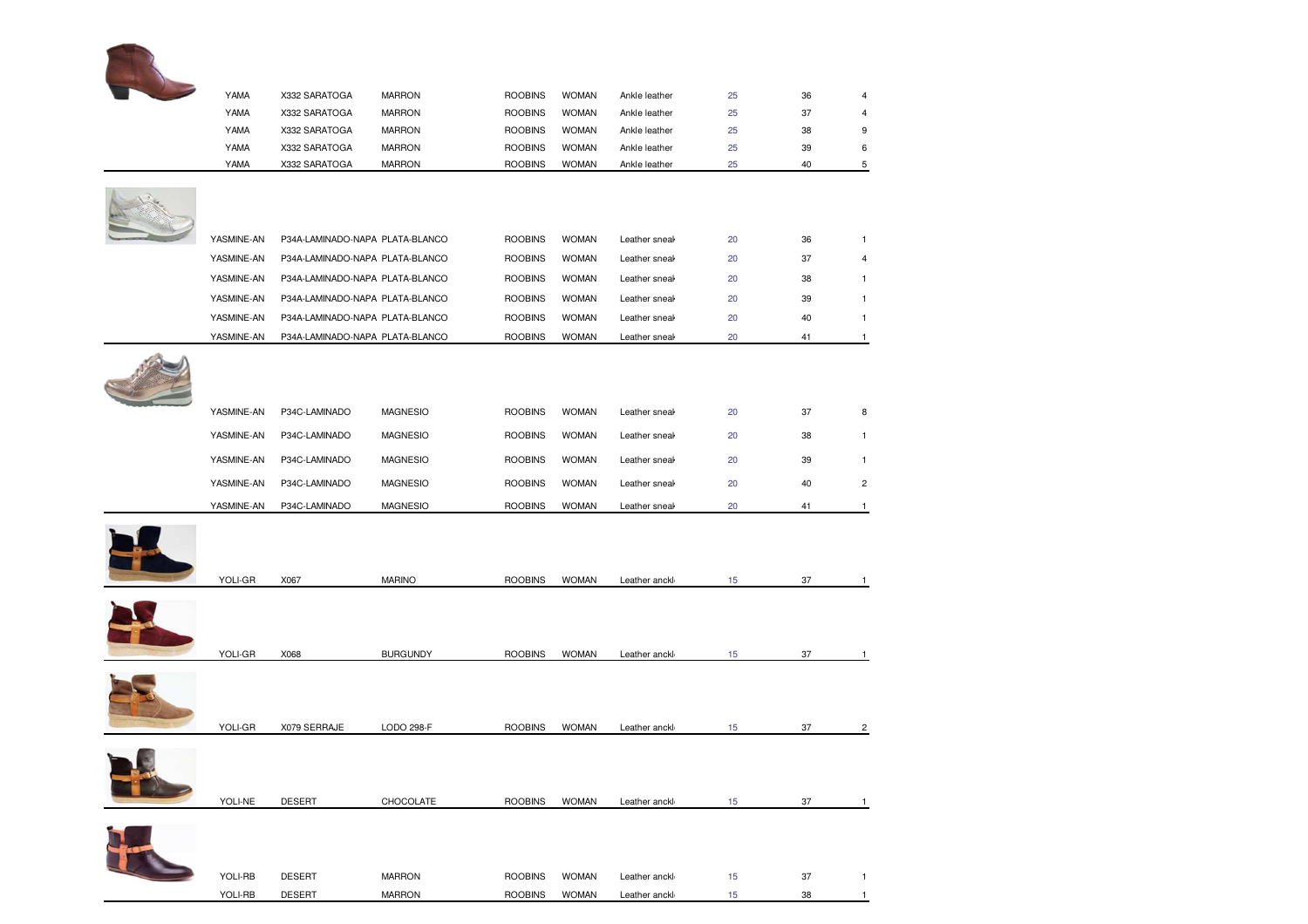| YAMA       | X332 SARATOGA                   | <b>MARRON</b>   | <b>ROOBINS</b> | <b>WOMAN</b> | Ankle leather | 25 | 36 | $\overline{\mathbf{4}}$ |
|------------|---------------------------------|-----------------|----------------|--------------|---------------|----|----|-------------------------|
| YAMA       | X332 SARATOGA                   | <b>MARRON</b>   | <b>ROOBINS</b> | <b>WOMAN</b> | Ankle leather | 25 | 37 | 4                       |
| YAMA       | X332 SARATOGA                   | <b>MARRON</b>   | <b>ROOBINS</b> | <b>WOMAN</b> | Ankle leather | 25 | 38 | 9                       |
| YAMA       | X332 SARATOGA                   | <b>MARRON</b>   | <b>ROOBINS</b> | <b>WOMAN</b> | Ankle leather | 25 | 39 | 6                       |
| YAMA       | X332 SARATOGA                   | <b>MARRON</b>   | <b>ROOBINS</b> | <b>WOMAN</b> | Ankle leather | 25 | 40 | 5                       |
|            |                                 |                 |                |              |               |    |    |                         |
|            |                                 |                 |                |              |               |    |    |                         |
|            |                                 |                 |                |              |               |    |    |                         |
| YASMINE-AN | P34A-LAMINADO-NAPA PLATA-BLANCO |                 | <b>ROOBINS</b> | <b>WOMAN</b> | Leather sneak | 20 | 36 | $\mathbf{1}$            |
| YASMINE-AN | P34A-LAMINADO-NAPA PLATA-BLANCO |                 | <b>ROOBINS</b> | <b>WOMAN</b> | Leather sneak | 20 | 37 | $\overline{\mathbf{4}}$ |
| YASMINE-AN | P34A-LAMINADO-NAPA PLATA-BLANCO |                 | <b>ROOBINS</b> | <b>WOMAN</b> | Leather sneak | 20 | 38 | 1                       |
| YASMINE-AN | P34A-LAMINADO-NAPA PLATA-BLANCO |                 | <b>ROOBINS</b> | <b>WOMAN</b> | Leather sneak | 20 | 39 | 1                       |
| YASMINE-AN | P34A-LAMINADO-NAPA PLATA-BLANCO |                 | <b>ROOBINS</b> | <b>WOMAN</b> | Leather sneak | 20 | 40 | 1                       |
| YASMINE-AN | P34A-LAMINADO-NAPA PLATA-BLANCO |                 | <b>ROOBINS</b> | <b>WOMAN</b> | Leather sneak | 20 | 41 | $\mathbf{1}$            |
|            |                                 |                 |                |              |               |    |    |                         |
|            |                                 |                 |                |              |               |    |    |                         |
|            |                                 |                 |                |              |               |    |    |                         |
| YASMINE-AN | P34C-LAMINADO                   | <b>MAGNESIO</b> | <b>ROOBINS</b> | <b>WOMAN</b> | Leather sneal | 20 | 37 | 8                       |
| YASMINE-AN | P34C-LAMINADO                   | <b>MAGNESIO</b> | <b>ROOBINS</b> | <b>WOMAN</b> | Leather sneal | 20 | 38 | 1                       |
| YASMINE-AN | P34C-LAMINADO                   | <b>MAGNESIO</b> | <b>ROOBINS</b> | <b>WOMAN</b> | Leather sneak | 20 | 39 | $\mathbf{1}$            |
| YASMINE-AN | P34C-LAMINADO                   | <b>MAGNESIO</b> | <b>ROOBINS</b> | <b>WOMAN</b> | Leather sneak | 20 | 40 | $\overline{\mathbf{c}}$ |
| YASMINE-AN | P34C-LAMINADO                   | <b>MAGNESIO</b> | <b>ROOBINS</b> | <b>WOMAN</b> | Leather sneal | 20 | 41 | 1                       |
|            |                                 |                 |                |              |               |    |    |                         |
|            |                                 |                 |                |              |               |    |    |                         |
|            |                                 |                 |                |              |               |    |    |                         |
| YOLI-GR    | X067                            | <b>MARINO</b>   | <b>ROOBINS</b> | <b>WOMAN</b> | Leather anckl | 15 | 37 | 1                       |
|            |                                 |                 |                |              |               |    |    |                         |
|            |                                 |                 |                |              |               |    |    |                         |
|            |                                 |                 |                |              |               |    |    |                         |
| YOLI-GR    | X068                            | <b>BURGUNDY</b> | <b>ROOBINS</b> | <b>WOMAN</b> | Leather anckl | 15 | 37 |                         |
|            |                                 |                 |                |              |               |    |    |                         |
|            |                                 |                 |                |              |               |    |    |                         |
|            |                                 |                 |                |              |               |    |    |                         |
| YOLI-GR    | X079 SERRAJE                    | LODO 298-F      | <b>ROOBINS</b> | <b>WOMAN</b> | Leather anckl | 15 | 37 | 2                       |
|            |                                 |                 |                |              |               |    |    |                         |
|            |                                 |                 |                |              |               |    |    |                         |
|            |                                 |                 |                |              |               |    |    |                         |
| YOLI-NE    | <b>DESERT</b>                   | CHOCOLATE       | <b>ROOBINS</b> | <b>WOMAN</b> | Leather anckl | 15 | 37 | 1                       |
|            |                                 |                 |                |              |               |    |    |                         |
|            |                                 |                 |                |              |               |    |    |                         |
|            |                                 |                 |                |              |               |    |    |                         |
| YOLI-RB    | <b>DESERT</b>                   | <b>MARRON</b>   | <b>ROOBINS</b> | <b>WOMAN</b> | Leather anckl | 15 | 37 | 1                       |
|            |                                 |                 |                |              |               |    |    |                         |

YOLI-RB DESERT MARRON ROOBINS WOMAN Leather anckli textile and buckle 15 38 1 cm s